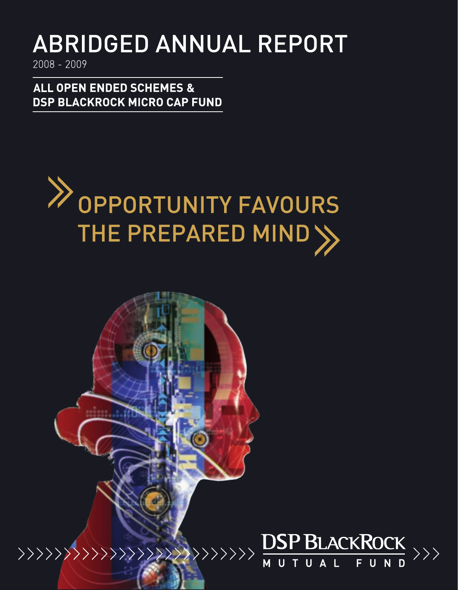# **ABRIDGED ANNUAL REPORT**

2008 - 2009

**ALL OPEN ENDED SCHEMES & DSP BLACKROCK MICRO CAP FUND** 



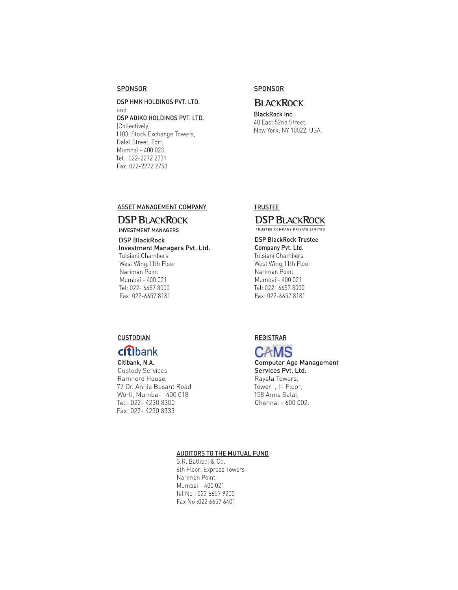#### SPONSOR

## DSP HMK HOLDINGS PVT. LTD. and DSP ADIKO HOLDINGS PVT. LTD. [Collectively] 1103, Stock Exchange Towers, Dalal Street, Fort, Mumbai - 400 023. Tel.: 022-2272 2731 Fax: 022-2272 2753

## SPONSOR

## **BLACKROCK**

**BlackRock Inc.** 40 East 52nd Street. New York, NY 10022, USA.

## ASSET MANAGEMENT COMPANY

## **DSP BLACKROCK**

**INVESTMENT MANAGERS** 

## **DSP BlackRock** Investment Managers Pvt. Ltd. Tulsiani Chambers West Wing, 11th Floor Nariman Point

Mumbai - 400 021 Tel: 022- 6657 8000 Fax: 022-6657 8181

## **TRUSTEE**

## **DSP BLACKROCK** TRUSTEE COMPANY PRIVATE LIMITED

## **DSP BlackRock Trustee** Company Pvt. Ltd. Tulsiani Chambers West Wing, 11th Floor Nariman Point Mumbai - 400 021 Tel: 022- 6657 8000 Fax: 022-6657 8181

## **CUSTODIAN**

## citibank

Citibank, N.A. **Custody Services** Ramnord House. 77 Dr. Annie Besant Road, Worli, Mumbai - 400 018 Tel.: 022- 4230 8300 Fax: 022- 4230 8333

## **REGISTRAR**



**Computer Age Management** Services Pvt. Ltd. Rayala Towers, Tower I, III Floor, 158 Anna Salai, Chennai - 600 002.

## AUDITORS TO THE MUTUAL FUND

S.R. Batliboi & Co. 6th Floor, Express Towers Nariman Point, Mumbai - 400 021 Tel No: 022 6657 9200 Fax No :022 6657 6401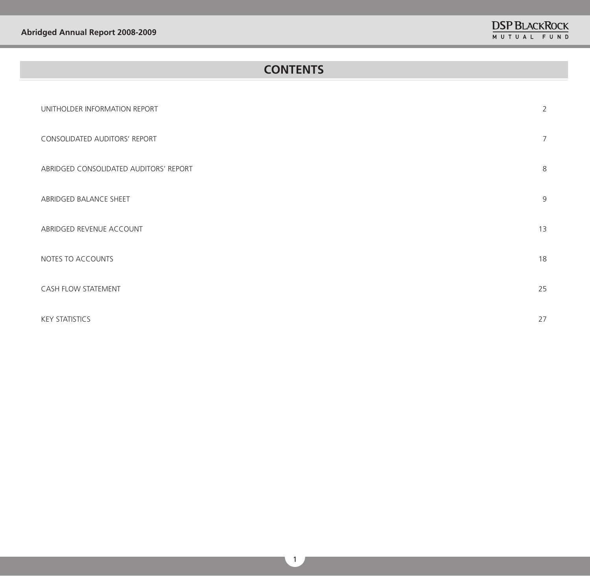## **CONTENTS**

| UNITHOLDER INFORMATION REPORT          | $\overline{2}$  |
|----------------------------------------|-----------------|
| CONSOLIDATED AUDITORS' REPORT          | $7\overline{ }$ |
| ABRIDGED CONSOLIDATED AUDITORS' REPORT | 8               |
| ABRIDGED BALANCE SHEET                 | 9               |
| ABRIDGED REVENUE ACCOUNT               | 13              |
| NOTES TO ACCOUNTS                      | 18              |
| <b>CASH FLOW STATEMENT</b>             | 25              |
| <b>KEY STATISTICS</b>                  | 27              |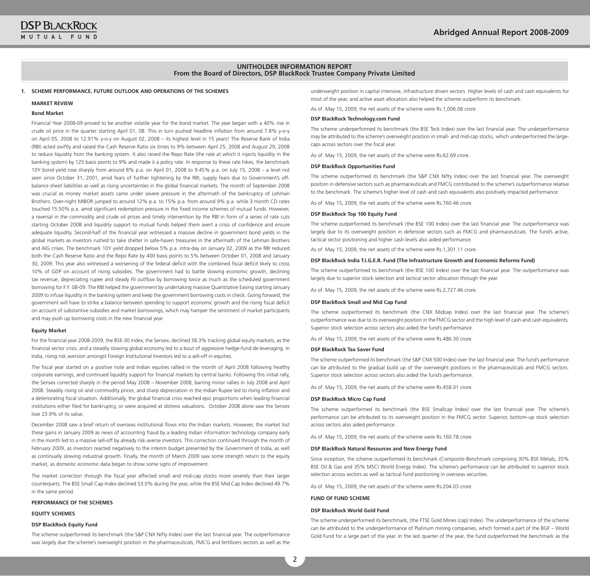#### **UNITHOLDER INFORMATION REPORT From the Board of Directors, DSP BlackRock Trustee Company Private Limited**

#### **1. SCHEME PERFORMANCE, FUTURE OUTLOOK AND OPERATIONS OF THE SCHEMES**

#### **MARKET REVIEW**

#### **Bond Market**

Financial year 2008-09 proved to be another volatile year for the bond market. The year began with a 40% rise in crude oil price in the quarter starting April 01, 08. This in turn pushed headline inflation from around 7.8% y-o-y on April 05, 2008 to 12.91% y-o-y on August 02, 2008 – its highest level in 15 years! The Reserve bank of India (RbI) acted swiftly and raised the Cash Reserve Ratio six times to 9% between April 25, 2008 and August 29, 2008 to reduce liquidity from the banking system. It also raised the Repo Rate (the rate at which it injects liquidity in the banking system) by 125 basis points to 9% and made it a policy rate. In response to these rate hikes, the benchmark 10y bond yield rose sharply from around 8% p.a. on April 01, 2008 to 9.45% p.a. on July 15, 2008 – a level not seen since October 31, 2001, amid fears of further tightening by the RBI, supply fears due to Government's offbalance sheet liabilities as well as rising uncertainties in the global financial markets. The month of September 2008 was crucial as money market assets came under severe pressure in the aftermath of the bankruptcy of Lehman brothers. Over-night MIbOR jumped to around 12% p.a. to 15% p.a. from around 9% p.a. while 3 month CD rates touched 15.50% p.a. amid significant redemption pressure in the fixed income schemes of mutual funds. However, a reversal in the commodity and crude oil prices and timely intervention by the RbI in form of a series of rate cuts starting October 2008 and liquidity support to mutual funds helped them avert a crisis of confidence and ensure adequate liquidity. Second-half of the financial year witnessed a massive decline in government bond yields in the global markets as investors rushed to take shelter in safe-haven treasuries in the aftermath of the Lehman brothers and AIg crises. The benchmark 10y yield dropped below 5% p.a. intra-day on January 02, 2009 as the RbI reduced both the Cash Reserve Ratio and the Repo Rate by 400 basis points to 5% between October 01, 2008 and January 30, 2009. This year also witnessed a worsening of the federal deficit with the combined fiscal deficit likely to cross 10% of gDP on account of rising subsidies. The government had to battle slowing economic growth, declining tax revenue, depreciating rupee and steady FII outflow by borrowing twice as much as the scheduled government borrowing for F.y. 08-09. The RbI helped the government by undertaking massive Quantitative Easing starting January 2009 to infuse liquidity in the banking system and keep the government borrowing costs in check. going forward, the government will have to strike a balance between spending to support economic growth and the rising fiscal deficit on account of substantive subsidies and market borrowings, which may hamper the sentiment of market participants and may push up borrowing costs in the new financial year.

#### **Equity Market**

For the financial year 2008-2009, the bSE-30 index, the Sensex, declined 38.3% tracking global equity markets, as the financial sector crisis, and a steadily slowing global economy led to a bout of aggressive hedge-fund de-leveraging. In India, rising risk aversion amongst Foreign Institutional Investors led to a sell-off in equities.

The fiscal year started on a positive note and Indian equities rallied in the month of April 2008 following healthy corporate earnings, and continued liquidity support for financial markets by central banks. Following this initial rally, the Sensex corrected sharply in the period May 2008 – November 2008, barring minor rallies in July 2008 and April 2008. Steadily rising oil and commodity prices, and sharp depreciation in the Indian Rupee led to rising inflation and a deteriorating fiscal situation. Additionally, the global financial crisis reached epic proportions when leading financial institutions either filed for bankruptcy, or were acquired at distress valuations. October 2008 alone saw the Sensex lose 23.9% of its value.

December 2008 saw a brief return of overseas institutional flows into the Indian markets. However, the market lost these gains in January 2009 as news of accounting fraud by a leading Indian information technology company early in the month led to a massive sell-off by already risk-averse investors. This correction continued through the month of February 2009, as investors reacted negatively to the interim budget presented by the government of India, as well as continually slowing industrial growth. Finally, the month of March 2009 saw some strength return to the equity market, as domestic economic data began to show some signs of improvement.

The market correction through the fiscal year affected small and mid-cap stocks more severely than their larger counterparts. The bSE Small Cap Index declined 53.0% during the year, while the bSE Mid Cap Index declined 49.7% in the same period.

#### **PERFORMANCE OF THE SCHEMES**

#### **EQUITY SCHEMES**

#### **DSP BlackRock Equity Fund**

The scheme outperformed its benchmark (the S&P CNX Nifty Index) over the last financial year. The outperformance was largely due the scheme's overweight position in the pharmaceuticals, FMCg and fertilizers sectors as well as the

underweight position in capital intensive, infrastructure driven sectors. Higher levels of cash and cash equivalents for most of the year, and active asset allocation also helped the scheme outperform its benchmark.

As of May 15, 2009, the net assets of the scheme were Rs.1,006.06 crore.

#### **DSP BlackRock Technology.com Fund**

The scheme underperformed its benchmark (the bSE Teck Index) over the last financial year. The underperformance may be attributed to the scheme's overweight position in small- and mid-cap stocks, which underperformed the largecaps across sectors over the fiscal year.

As of May 15, 2009, the net assets of the scheme were Rs.62.69 crore.

#### **DSP BlackRock Opportunities Fund**

The scheme outperformed its benchmark (the S&P CNX Nifty Index) over the last financial year. The overweight position in defensive sectors such as pharmaceuticals and FMCg contributed to the scheme's outperformance relative to the benchmark. The scheme's higher level of cash and cash equivalents also positively impacted performance.

As of May 15, 2009, the net assets of the scheme were Rs.760.46 crore.

#### **DSP BlackRock Top 100 Equity Fund**

The scheme outperformed its benchmark (the bSE 100 Index) over the last financial year. The outperformance was largely due to its overweight position in defensive sectors such as FMCg and pharmaceuticals. The fund's active, tactical sector positioning and higher cash levels also aided performance.

As of May 15, 2009, the net assets of the scheme were Rs.1,301.11 crore.

#### **DSP BlackRock India T.I.G.E.R. Fund (The Infrastructure Growth and Economic Reforms Fund)**

The scheme outperformed its benchmark (the bSE 100 Index) over the last financial year. The outperformance was largely due to superior stock selection and tactical sector allocation through the year.

As of May 15, 2009, the net assets of the scheme were Rs.2,727.46 crore.

#### **DSP BlackRock Small and Mid Cap Fund**

The scheme outperformed its benchmark (the CNX Midcap Index) over the last financial year. The scheme's outperformance was due to its overweight position in the FMCg sector and the high level of cash and cash equivalents. Superior stock selection across sectors also aided the fund's performance.

As of May 15, 2009, the net assets of the scheme were Rs.486.30 crore.

#### **DSP BlackRock Tax Saver Fund**

The scheme outperformed its benchmark (the S&P CNX 500 Index) over the last financial year. The fund's performance can be attributed to the gradual build up of the overweight positions in the pharmaceuticals and FMCg sectors. Superior stock selection across sectors also aided the fund's performance.

As of May 15, 2009, the net assets of the scheme were Rs.458.01 crore.

#### **DSP BlackRock Micro Cap Fund**

The scheme outperformed its benchmark (the bSE Smallcap Index) over the last financial year. The scheme's performance can be attributed to its overweight position in the FMCg sector. Superior, bottom-up stock selection across sectors also aided performance.

As of May 15, 2009, the net assets of the scheme were Rs.160.78 crore.

#### **DSP BlackRock Natural Resources and New Energy Fund**

Since inception, the scheme outperformed its benchmark (Composite benchmark comprising 30% bSE Metals, 35% bSE Oil & gas and 35% MSCI world Energy Index). The scheme's performance can be attributed to superior stock selection across sectors as well as tactical fund positioning in overseas securities.

As of May 15, 2009, the net assets of the scheme were Rs.204.03 crore.

#### **FUND OF FUND SCHEME**

#### **DSP BlackRock World Gold Fund**

The scheme underperformed its benchmark, (the FTSE gold Mines (cap) Index). The underperformance of the scheme can be attributed to the underperformance of Platinum mining companies, which formed a part of the bgF – world Gold Fund for a large part of the year. In the last quarter of the year, the fund outperformed the benchmark as the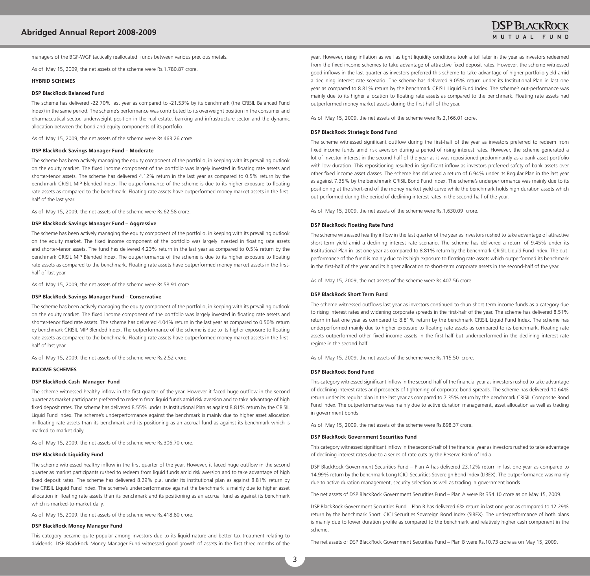managers of the bgF-wgF tactically reallocated funds between various precious metals.

As of May 15, 2009, the net assets of the scheme were Rs.1,780.87 crore.

#### **HYBRID SCHEMES**

#### **DSP BlackRock Balanced Fund**

The scheme has delivered -22.70% last year as compared to -21.53% by its benchmark (the CRISIL balanced Fund Index) in the same period. The scheme's performance was contributed to its overweight position in the consumer and pharmaceutical sector, underweight position in the real estate, banking and infrastructure sector and the dynamic allocation between the bond and equity components of its portfolio.

As of May 15, 2009, the net assets of the scheme were Rs.463.26 crore.

#### **DSP BlackRock Savings Manager Fund – Moderate**

The scheme has been actively managing the equity component of the portfolio, in keeping with its prevailing outlook on the equity market. The fixed income component of the portfolio was largely invested in floating rate assets and shorter-tenor assets. The scheme has delivered 4.12% return in the last year as compared to 0.5% return by the benchmark CRISIL MIP blended Index. The outperformance of the scheme is due to its higher exposure to floating rate assets as compared to the benchmark. Floating rate assets have outperformed money market assets in the firsthalf of the last year.

As of May 15, 2009, the net assets of the scheme were Rs.62.58 crore.

#### **DSP BlackRock Savings Manager Fund – Aggressive**

The scheme has been actively managing the equity component of the portfolio, in keeping with its prevailing outlook on the equity market. The fixed income component of the portfolio was largely invested in floating rate assets and shorter-tenor assets. The fund has delivered 4.23% return in the last year as compared to 0.5% return by the benchmark CRISIL MIP blended Index. The outperformance of the scheme is due to its higher exposure to floating rate assets as compared to the benchmark. Floating rate assets have outperformed money market assets in the firsthalf of last year.

As of May 15, 2009, the net assets of the scheme were Rs.58.91 crore.

#### **DSP BlackRock Savings Manager Fund – Conservative**

The scheme has been actively managing the equity component of the portfolio, in keeping with its prevailing outlook on the equity market. The fixed income component of the portfolio was largely invested in floating rate assets and shorter-tenor fixed rate assets. The scheme has delivered 4.04% return in the last year as compared to 0.50% return by benchmark CRISIL MIP blended Index. The outperformance of the scheme is due to its higher exposure to floating rate assets as compared to the benchmark. Floating rate assets have outperformed money market assets in the firsthalf of last year.

As of May 15, 2009, the net assets of the scheme were Rs.2.52 crore.

#### **INCOME SCHEMES**

#### **DSP BlackRock Cash Manager Fund**

The scheme witnessed healthy inflow in the first quarter of the year. However it faced huge outflow in the second quarter as market participants preferred to redeem from liquid funds amid risk aversion and to take advantage of high fixed deposit rates. The scheme has delivered 8.55% under its Institutional Plan as against 8.81% return by the CRISIL Liquid Fund Index. The scheme's underperformance against the benchmark is mainly due to higher asset allocation in floating rate assets than its benchmark and its positioning as an accrual fund as against its benchmark which is marked-to-market daily.

As of May 15, 2009, the net assets of the scheme were Rs.306.70 crore.

#### **DSP BlackRock Liquidity Fund**

The scheme witnessed healthy inflow in the first quarter of the year. However, it faced huge outflow in the second quarter as market participants rushed to redeem from liquid funds amid risk aversion and to take advantage of high fixed deposit rates. The scheme has delivered 8.29% p.a. under its institutional plan as against 8.81% return by the CRISIL Liquid Fund Index. The scheme's underperformance against the benchmark is mainly due to higher asset allocation in floating rate assets than its benchmark and its positioning as an accrual fund as against its benchmark which is marked-to-market daily.

As of May 15, 2009, the net assets of the scheme were Rs.418.80 crore.

#### **DSP BlackRock Money Manager Fund**

This category became quite popular among investors due to its liquid nature and better tax treatment relating to dividends. DSP blackRock Money Manager Fund witnessed good growth of assets in the first three months of the year. However, rising inflation as well as tight liquidity conditions took a toll later in the year as investors redeemed from the fixed income schemes to take advantage of attractive fixed deposit rates. However, the scheme witnessed good inflows in the last quarter as investors preferred this scheme to take advantage of higher portfolio yield amid a declining interest rate scenario. The scheme has delivered 9.05% return under its Institutional Plan in last one year as compared to 8.81% return by the benchmark CRISIL Liquid Fund Index. The scheme's out-performance was mainly due to its higher allocation to floating rate assets as compared to the benchmark. Floating rate assets had outperformed money market assets during the first-half of the year.

As of May 15, 2009, the net assets of the scheme were Rs.2,166.01 crore.

#### **DSP BlackRock Strategic Bond Fund**

The scheme witnessed significant outflow during the first-half of the year as investors preferred to redeem from fixed income funds amid risk aversion during a period of rising interest rates. However, the scheme generated a lot of investor interest in the second-half of the year as it was repositioned predominantly as a bank asset portfolio with low duration. This repositioning resulted in significant inflow as investors preferred safety of bank assets over other fixed income asset classes. The scheme has delivered a return of 6.94% under its Regular Plan in the last year as against 7.35% by the benchmark CRISIL bond Fund Index. The scheme's underperformance was mainly due to its positioning at the short-end of the money market yield curve while the benchmark holds high duration assets which out-performed during the period of declining interest rates in the second-half of the year.

As of May 15, 2009, the net assets of the scheme were Rs.1,630.09 crore.

#### **DSP BlackRock Floating Rate Fund**

The scheme witnessed healthy inflow in the last quarter of the year as investors rushed to take advantage of attractive short-term yield amid a declining interest rate scenario. The scheme has delivered a return of 9.45% under its Institutional Plan in last one year as compared to 8.81% return by the benchmark CRISIL Liquid Fund Index. The outperformance of the fund is mainly due to its high exposure to floating rate assets which outperformed its benchmark in the first-half of the year and its higher allocation to short-term corporate assets in the second-half of the year.

As of May 15, 2009, the net assets of the scheme were Rs.407.56 crore.

#### **DSP BlackRock Short Term Fund**

The scheme witnessed outflows last year as investors continued to shun short-term income funds as a category due to rising interest rates and widening corporate spreads in the first-half of the year. The scheme has delivered 8.51% return in last one year as compared to 8.81% return by the benchmark CRISIL Liquid Fund Index. The scheme has underperformed mainly due to higher exposure to floating rate assets as compared to its benchmark. Floating rate assets outperformed other fixed income assets in the first-half but underperformed in the declining interest rate regime in the second-half.

As of May 15, 2009, the net assets of the scheme were Rs.115.50 crore.

#### **DSP BlackRock Bond Fund**

This category witnessed significant inflow in the second-half of the financial year as investors rushed to take advantage of declining interest rates and prospects of tightening of corporate bond spreads. The scheme has delivered 10.64% return under its regular plan in the last year as compared to 7.35% return by the benchmark CRISIL Composite bond Fund Index. The outperformance was mainly due to active duration management, asset allocation as well as trading in government bonds.

As of May 15, 2009, the net assets of the scheme were Rs.898.37 crore.

#### **DSP BlackRock Government Securities Fund**

This category witnessed significant inflow in the second-half of the financial year as investors rushed to take advantage of declining interest rates due to a series of rate cuts by the Reserve bank of India.

DSP blackRock government Securities Fund – Plan A has delivered 23.12% return in last one year as compared to 14.99% return by the benchmark Long ICICI Securities Sovereign bond Index (LIbEX). The outperformance was mainly due to active duration management, security selection as well as trading in government bonds.

The net assets of DSP blackRock government Securities Fund – Plan A were Rs.354.10 crore as on May 15, 2009.

DSP BlackRock Government Securities Fund – Plan B has delivered 6% return in last one year as compared to 12.29% return by the benchmark Short ICICI Securities Sovereign bond Index (SIbEX). The underperformance of both plans is mainly due to lower duration profile as compared to the benchmark and relatively higher cash component in the scheme.

The net assets of DSP blackRock government Securities Fund – Plan b were Rs.10.73 crore as on May 15, 2009.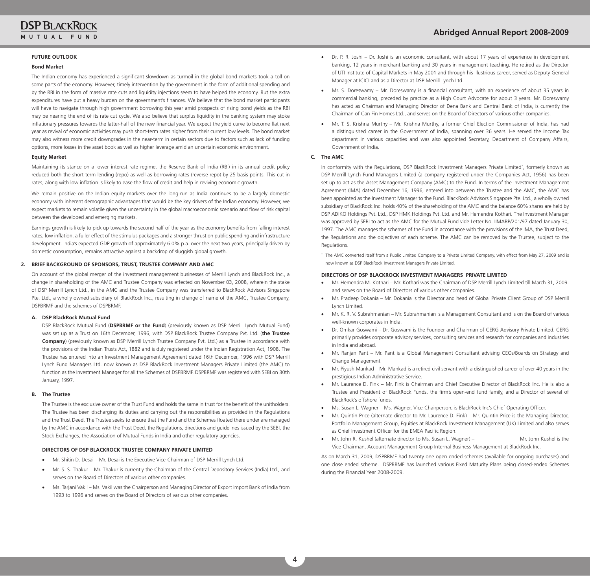#### **FUTURE OUTLOOK**

#### **Bond Market**

The Indian economy has experienced a significant slowdown as turmoil in the global bond markets took a toll on some parts of the economy. However, timely intervention by the government in the form of additional spending and by the RbI in the form of massive rate cuts and liquidity injections seem to have helped the economy. but the extra expenditures have put a heavy burden on the government's finances. we believe that the bond market participants will have to navigate through high government borrowing this year amid prospects of rising bond yields as the RbI may be nearing the end of its rate cut cycle. we also believe that surplus liquidity in the banking system may stoke inflationary pressures towards the latter-half of the new financial year. we expect the yield curve to become flat next year as revival of economic activities may push short-term rates higher from their current low levels. The bond market may also witness more credit downgrades in the near-term in certain sectors due to factors such as lack of funding options, more losses in the asset book as well as higher leverage amid an uncertain economic environment.

#### **Equity Market**

Maintaining its stance on a lower interest rate regime, the Reserve bank of India (RbI) in its annual credit policy reduced both the short-term lending (repo) as well as borrowing rates (reverse repo) by 25 basis points. This cut in rates, along with low inflation is likely to ease the flow of credit and help in reviving economic growth.

we remain positive on the Indian equity markets over the long-run as India continues to be a largely domestic economy with inherent demographic advantages that would be the key drivers of the Indian economy. However, we expect markets to remain volatile given the uncertainty in the global macroeconomic scenario and flow of risk capital between the developed and emerging markets.

Earnings growth is likely to pick up towards the second half of the year as the economy benefits from falling interest rates, low inflation, a fuller effect of the stimulus packages and a stronger thrust on public spending and infrastructure development. India's expected gDP growth of approximately 6.0% p.a. over the next two years, principally driven by domestic consumption, remains attractive against a backdrop of sluggish global growth.

#### **2. BRIEF BACKGROUND OF SPONSORS, TRUST, TRUSTEE COMPANY AND AMC**

On account of the global merger of the investment management businesses of Merrill Lynch and blackRock Inc., a change in shareholding of the AMC and Trustee Company was effected on November 03, 2008, wherein the stake of DSP Merrill Lynch Ltd., in the AMC and the Trustee Company was transferred to blackRock Advisors Singapore Pte. Ltd., a wholly owned subsidiary of blackRock Inc., resulting in change of name of the AMC, Trustee Company, DSPBRMF and the schemes of DSPBRMF.

#### **A. DSP BlackRock Mutual Fund**

 DSP blackRock Mutual Fund (**DSPBRMF or the Fund**) (previously known as DSP Merrill Lynch Mutual Fund) was set up as a Trust on 16th December, 1996, with DSP blackRock Trustee Company Pvt. Ltd. (**the Trustee Company**) (previously known as DSP Merrill Lynch Trustee Company Pvt. Ltd.) as a Trustee in accordance with the provisions of the Indian Trusts Act, 1882 and is duly registered under the Indian Registration Act, 1908. The Trustee has entered into an Investment Management Agreement dated 16th December, 1996 with DSP Merrill Lynch Fund Managers Ltd. now known as DSP blackRock Investment Managers Private Limited (the AMC) to function as the Investment Manager for all the Schemes of DSPBRMF. DSPBRMF was registered with SEBI on 30th January, 1997.

#### **B. The Trustee**

The Trustee is the exclusive owner of the Trust Fund and holds the same in trust for the benefit of the unitholders. The Trustee has been discharging its duties and carrying out the responsibilities as provided in the Regulations and the Trust Deed. The Trustee seeks to ensure that the Fund and the Schemes floated there under are managed by the AMC in accordance with the Trust Deed, the Regulations, directions and guidelines issued by the SEbI, the Stock Exchanges, the Association of Mutual Funds in India and other regulatory agencies.

#### **DIRECTORS OF DSP BLACKROCK TRUSTEE COMPANY PRIVATE LIMITED**

- Mr. Shitin D. Desai Mr. Desai is the Executive Vice-Chairman of DSP Merrill Lynch Ltd.
- Mr. S. S. Thakur Mr. Thakur is currently the Chairman of the Central Depository Services (India) Ltd., and serves on the board of Directors of various other companies.
- Ms. Tarjani Vakil Ms. Vakil was the Chairperson and Managing Director of Export Import Bank of India from 1993 to 1996 and serves on the board of Directors of various other companies.
- Dr. P. R. Joshi Dr. Joshi is an economic consultant, with about 17 years of experience in development banking, 12 years in merchant banking and 30 years in management teaching. He retired as the Director of UTI Institute of Capital Markets in May 2001 and through his illustrious career, served as Deputy general Manager at ICICI and as a Director at DSP Merrill Lynch Ltd.
- Mr. S. Doreswamy Mr. Doreswamy is a financial consultant, with an experience of about 35 years in commercial banking, preceded by practice as a High Court Advocate for about 3 years. Mr. Doreswamy has acted as Chairman and Managing Director of Dena Bank and Central Bank of India, is currently the Chairman of Can Fin Homes Ltd., and serves on the board of Directors of various other companies.
- Mr. T. S. Krishna Murthy Mr. Krishna Murthy, a former Chief Election Commissioner of India, has had a distinguished career in the government of India, spanning over 36 years. He served the Income Tax department in various capacities and was also appointed Secretary, Department of Company Affairs, Government of India.

#### **C. The AMC**

In conformity with the Regulations, DSP BlackRock Investment Managers Private Limited\*, formerly known as DSP Merrill Lynch Fund Managers Limited (a company registered under the Companies Act, 1956) has been set up to act as the Asset Management Company (AMC) to the Fund. In terms of the Investment Management Agreement (IMA) dated December 16, 1996, entered into between the Trustee and the AMC, the AMC has been appointed as the Investment Manager to the Fund. BlackRock Advisors Singapore Pte. Ltd., a wholly owned subsidiary of blackRock Inc. holds 40% of the shareholding of the AMC and the balance 60% shares are held by DSP ADIKO Holdings Pvt. Ltd., DSP HMK Holdings Pvt. Ltd. and Mr. Hemendra Kothari. The Investment Manager was approved by SEbI to act as the AMC for the Mutual Fund vide Letter No. IIMARP/201/97 dated January 30, 1997. The AMC manages the schemes of the Fund in accordance with the provisions of the IMA, the Trust Deed, the Regulations and the objectives of each scheme. The AMC can be removed by the Trustee, subject to the Regulations.

\* The AMC converted itself from a Public Limited Company to a Private Limited Company, with effect from May 27, 2009 and is now known as DSP blackRock Investment Managers Private Limited.

#### **DIRECTORS OF DSP BLACKROCK INVESTMENT MANAGERS PRIVATE LIMITED**

- Mr. Hemendra M. Kothari Mr. Kothari was the Chairman of DSP Merrill Lynch Limited till March 31, 2009. and serves on the board of Directors of various other companies.
- Mr. Pradeep Dokania Mr. Dokania is the Director and head of Global Private Client Group of DSP Merrill Lynch Limited.
- Mr. K. R. V. Subrahmanian Mr. Subrahmanian is a Management Consultant and is on the Board of various well-known corporates in India.
- Dr. Omkar Goswami Dr. Goswami is the Founder and Chairman of CERG Advisory Private Limited. CERG primarily provides corporate advisory services, consulting services and research for companies and industries in India and abroad.
- Mr. Ranjan Pant Mr. Pant is a Global Management Consultant advising CEOs/Boards on Strategy and Change Management
- Mr. Piyush Mankad Mr. Mankad is a retired civil servant with a distinguished career of over 40 years in the prestigious Indian Administrative Service.
- Mr. Laurence D. Fink Mr. Fink is Chairman and Chief Executive Director of BlackRock Inc. He is also a Trustee and President of blackRock Funds, the firm's open-end fund family, and a Director of several of blackRock's offshore funds.
- Ms. Susan L. Wagner Ms. Wagner, Vice-Chairperson, is BlackRock Inc's Chief Operating Officer.
- Mr. Quintin Price (alternate director to Mr. Laurence D. Fink) Mr. Quintin Price is the Managing Director, Portfolio Management Group, Equities at BlackRock Investment Management (UK) Limited and also serves as Chief Investment Officer for the EMEA Pacific Region.
- Mr. John R. Kushel (alternate director to Ms. Susan L. Wagner) Mr. John Kushel is the Vice-Chairman, Account Management group Internal business Management at blackRock Inc.

As on March 31, 2009, DSPbRMF had twenty one open ended schemes (available for ongoing purchases) and one close ended scheme. DSPbRMF has launched various Fixed Maturity Plans being closed-ended Schemes during the Financial Year 2008-2009.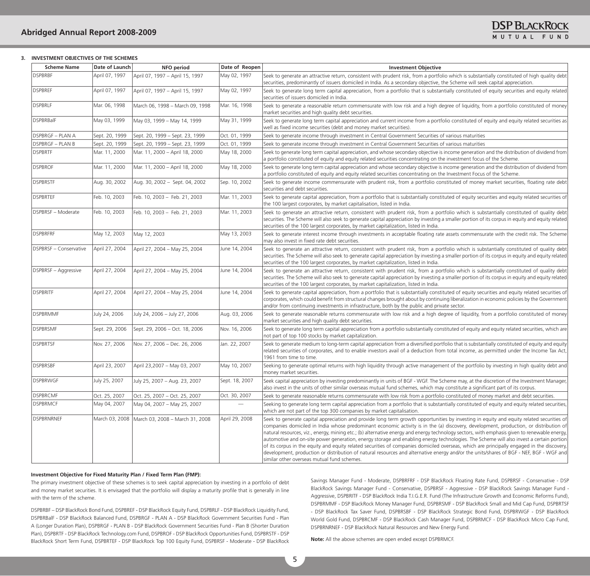#### **3. INVESTMENT OBJECTIVES OF THE SCHEMES**

| <b>Scheme Name</b>        | Date of Launch | <b>NFO</b> period                                | Date of Reopen           | <b>Investment Objective</b>                                                                                                                                                                                                                                                                                                                                                                                                                                                                                                                                                                                                                                                                                                                                                                                                                                                                                          |
|---------------------------|----------------|--------------------------------------------------|--------------------------|----------------------------------------------------------------------------------------------------------------------------------------------------------------------------------------------------------------------------------------------------------------------------------------------------------------------------------------------------------------------------------------------------------------------------------------------------------------------------------------------------------------------------------------------------------------------------------------------------------------------------------------------------------------------------------------------------------------------------------------------------------------------------------------------------------------------------------------------------------------------------------------------------------------------|
| <b>DSPBRBF</b>            | April 07, 1997 | April 07, 1997 - April 15, 1997                  | May 02, 1997             | Seek to generate an attractive return, consistent with prudent risk, from a portfolio which is substantially constituted of high quality debt<br>securities, predominantly of issuers domiciled in India. As a secondary objective, the Scheme will seek capital appreciation.                                                                                                                                                                                                                                                                                                                                                                                                                                                                                                                                                                                                                                       |
| <b>DSPBREF</b>            | April 07, 1997 | April 07, 1997 - April 15, 1997                  | May 02, 1997             | Seek to generate long term capital appreciation, from a portfolio that is substantially constituted of equity securities and equity related<br>securities of issuers domiciled in India.                                                                                                                                                                                                                                                                                                                                                                                                                                                                                                                                                                                                                                                                                                                             |
| DSPBRLF                   | Mar. 06, 1998  | March 06, 1998 - March 09, 1998                  | Mar. 16, 1998            | Seek to generate a reasonable return commensurate with low risk and a high degree of liquidity, from a portfolio constituted of money<br>market securities and high quality debt securities.                                                                                                                                                                                                                                                                                                                                                                                                                                                                                                                                                                                                                                                                                                                         |
| DSPBRBalF                 | May 03, 1999   | May 03, 1999 - May 14, 1999                      | May 31, 1999             | Seek to generate long term capital appreciation and current income from a portfolio constituted of equity and equity related securities as<br>well as fixed income securities (debt and money market securities).                                                                                                                                                                                                                                                                                                                                                                                                                                                                                                                                                                                                                                                                                                    |
| <b>DSPBRGF - PLAN A</b>   | Sept. 20, 1999 | Sept. 20, 1999 – Sept. 23, 1999                  | Oct. 01, 1999            | Seek to generate income through investment in Central Government Securities of various maturities                                                                                                                                                                                                                                                                                                                                                                                                                                                                                                                                                                                                                                                                                                                                                                                                                    |
| DSPBRGF - PLAN B          | Sept. 20, 1999 | Sept. 20, 1999 - Sept. 23, 1999                  | Oct. 01, 1999            | Seek to generate income through investment in Central Government Securities of various maturities                                                                                                                                                                                                                                                                                                                                                                                                                                                                                                                                                                                                                                                                                                                                                                                                                    |
| <b>DSPBRTF</b>            | Mar. 11, 2000  | Mar. 11, 2000 - April 18, 2000                   | May 18, 2000             | Seek to generate long term capital appreciation, and whose secondary objective is income generation and the distribution of dividend from<br>a portfolio constituted of equity and equity related securities concentrating on the investment focus of the Scheme.                                                                                                                                                                                                                                                                                                                                                                                                                                                                                                                                                                                                                                                    |
| <b>DSPBROF</b>            | Mar. 11, 2000  | Mar. 11, 2000 - April 18, 2000                   | May 18, 2000             | Seek to generate long term capital appreciation and whose secondary objective is income generation and the distribution of dividend from<br>a portfolio constituted of equity and equity related securities concentrating on the Investment Focus of the Scheme.                                                                                                                                                                                                                                                                                                                                                                                                                                                                                                                                                                                                                                                     |
| <b>DSPBRSTF</b>           | Aug. 30, 2002  | Aug. 30, 2002 - Sept. 04, 2002                   | Sep. 10, 2002            | Seek to generate income commensurate with prudent risk, from a portfolio constituted of money market securities, floating rate debt<br>securities and debt securities.                                                                                                                                                                                                                                                                                                                                                                                                                                                                                                                                                                                                                                                                                                                                               |
| <b>DSPBRTEF</b>           | Feb. 10, 2003  | Feb. 10, 2003 - Feb. 21, 2003                    | Mar. 11, 2003            | Seek to generate capital appreciation, from a portfolio that is substantially constituted of equity securities and equity related securities of<br>the 100 largest corporates, by market capitalisation, listed in India.                                                                                                                                                                                                                                                                                                                                                                                                                                                                                                                                                                                                                                                                                            |
| <b>DSPBRSF - Moderate</b> | Feb. 10, 2003  | Feb. 10, 2003 - Feb. 21, 2003                    | Mar. 11, 2003            | Seek to generate an attractive return, consistent with prudent risk, from a portfolio which is substantially constituted of quality debt<br>securities. The Scheme will also seek to generate capital appreciation by investing a smaller portion of its corpus in equity and equity related<br>securities of the 100 largest corporates, by market capitalization, listed in India.                                                                                                                                                                                                                                                                                                                                                                                                                                                                                                                                 |
| <b>DSPBRFRF</b>           | May 12, 2003   | May 12, 2003                                     | May 13, 2003             | Seek to generate interest income through investments in acceptable floating rate assets commensurate with the credit risk. The Scheme<br>may also invest in fixed rate debt securities.                                                                                                                                                                                                                                                                                                                                                                                                                                                                                                                                                                                                                                                                                                                              |
| DSPBRSF - Conservative    | April 27, 2004 | April 27, 2004 - May 25, 2004                    | June 14, 2004            | Seek to generate an attractive return, consistent with prudent risk, from a portfolio which is substantially constituted of quality debt<br>securities. The Scheme will also seek to generate capital appreciation by investing a smaller portion of its corpus in equity and equity related<br>securities of the 100 largest corporates, by market capitalization, listed in India.                                                                                                                                                                                                                                                                                                                                                                                                                                                                                                                                 |
| DSPBRSF - Aggressive      | April 27, 2004 | April 27, 2004 - May 25, 2004                    | June 14, 2004            | Seek to generate an attractive return, consistent with prudent risk, from a portfolio which is substantially constituted of quality debt<br>securities. The Scheme will also seek to generate capital appreciation by investing a smaller portion of its corpus in equity and equity related<br>securities of the 100 largest corporates, by market capitalization, listed in India.                                                                                                                                                                                                                                                                                                                                                                                                                                                                                                                                 |
| <b>DSPBRITF</b>           | April 27, 2004 | April 27, 2004 - May 25, 2004                    | June 14, 2004            | Seek to generate capital appreciation, from a portfolio that is substantially constituted of equity securities and equity related securities of<br>corporates, which could benefit from structural changes brought about by continuing liberalization in economic policies by the Government<br>and/or from continuing investments in infrastructure, both by the public and private sector.                                                                                                                                                                                                                                                                                                                                                                                                                                                                                                                         |
| <b>DSPBRMMF</b>           | July 24, 2006  | July 24, 2006 - July 27, 2006                    | Aug. 03, 2006            | Seek to generate reasonable returns commensurate with low risk and a high degree of liquidity, from a portfolio constituted of money<br>market securities and high quality debt securities.                                                                                                                                                                                                                                                                                                                                                                                                                                                                                                                                                                                                                                                                                                                          |
| <b>DSPBRSMF</b>           | Sept. 29, 2006 | Sept. 29, 2006 - Oct. 18, 2006                   | Nov. 16, 2006            | Seek to generate long term capital appreciation from a portfolio substantially constituted of equity and equity related securities, which are<br>not part of top 100 stocks by market capitalization.                                                                                                                                                                                                                                                                                                                                                                                                                                                                                                                                                                                                                                                                                                                |
| <b>DSPBRTSF</b>           | Nov. 27, 2006  | Nov. 27, 2006 - Dec. 26, 2006                    | Jan. 22, 2007            | Seek to generate medium to long-term capital appreciation from a diversified portfolio that is substantially constituted of equity and equity<br>related securities of corporates, and to enable investors avail of a deduction from total income, as permitted under the Income Tax Act,<br>1961 from time to time.                                                                                                                                                                                                                                                                                                                                                                                                                                                                                                                                                                                                 |
| <b>DSPBRSBF</b>           | April 23, 2007 | April 23,2007 - May 03, 2007                     | May 10, 2007             | Seeking to generate optimal returns with high liquidity through active management of the portfolio by investing in high quality debt and<br>money market securities.                                                                                                                                                                                                                                                                                                                                                                                                                                                                                                                                                                                                                                                                                                                                                 |
| <b>DSPBRWGF</b>           | July 25, 2007  | July 25, 2007 - Aug. 23, 2007                    | Sept. 18, 2007           | Seek capital appreciation by investing predominantly in units of BGF - WGF. The Scheme may, at the discretion of the Investment Manager,<br>also invest in the units of other similar overseas mutual fund schemes, which may constitute a significant part of its corpus.                                                                                                                                                                                                                                                                                                                                                                                                                                                                                                                                                                                                                                           |
| <b>DSPBRCMF</b>           | Oct. 25, 2007  | Oct. 25, 2007 - Oct. 25, 2007                    | Oct. 30, 2007            | Seek to generate reasonable returns commensurate with low risk from a portfolio constituted of money market and debt securities.                                                                                                                                                                                                                                                                                                                                                                                                                                                                                                                                                                                                                                                                                                                                                                                     |
| <b>DSPBRMCF</b>           | May 04, 2007   | May 04, 2007 - May 25, 2007                      | $\overline{\phantom{m}}$ | Seeking to generate long term capital appreciation from a portfolio that is substantially constituted of equity and equity related securities,<br>which are not part of the top 300 companies by market capitalisation.                                                                                                                                                                                                                                                                                                                                                                                                                                                                                                                                                                                                                                                                                              |
| <b>DSPBRNRNEF</b>         |                | March 03, 2008   March 03, 2008 – March 31, 2008 | April 29, 2008           | Seek to generate capital appreciation and provide long term growth opportunities by investing in equity and equity related securities of<br>companies domiciled in India whose predominant economic activity is in the (a) discovery, development, production, or distribution of<br>natural resources, viz., energy, mining etc.; (b) alternative energy and energy technology sectors, with emphasis given to renewable energy,<br>automotive and on-site power generation, energy storage and enabling energy technologies. The Scheme will also invest a certain portion<br>of its corpus in the equity and equity related securities of companies domiciled overseas, which are principally engaged in the discovery,<br>development, production or distribution of natural resources and alternative energy and/or the units/shares of BGF - NEF, BGF - WGF and<br>similar other overseas mutual fund schemes. |

#### **Investment Objective for Fixed Maturity Plan / Fixed Term Plan (FMP):**

The primary investment objective of these schemes is to seek capital appreciation by investing in a portfolio of debt and money market securities. It is envisaged that the portfolio will display a maturity profile that is generally in line with the term of the scheme.

DSPbRbF – DSP blackRock bond Fund, DSPbREF - DSP blackRock Equity Fund, DSPbRLF - DSP blackRock Liquidity Fund, DSPBRBalF - DSP BlackRock Balanced Fund, DSPBRGF - PLAN A - DSP BlackRock Government Securities Fund - Plan A (Longer Duration Plan), DSPBRGF - PLAN B - DSP BlackRock Government Securities Fund - Plan B (Shorter Duration Plan), DSPBRTF - DSP BlackRock Technology.com Fund, DSPBROF - DSP BlackRock Opportunities Fund, DSPBRSTF - DSP blackRock Short Term Fund, DSPbRTEF - DSP blackRock Top 100 Equity Fund, DSPbRSF - Moderate - DSP blackRock

Savings Manager Fund - Moderate, DSPBRFRF - DSP BlackRock Floating Rate Fund, DSPBRSF - Conservative - DSP BlackRock Savings Manager Fund - Conservative, DSPBRSF - Aggressive - DSP BlackRock Savings Manager Fund -Aggressive, DSPBRITF - DSP BlackRock India T.I.G.E.R. Fund (The Infrastructure Growth and Economic Reforms Fund), DSPbRMMF - DSP blackRock Money Manager Fund, DSPbRSMF - DSP blackRock Small and Mid Cap Fund, DSPbRTSF - DSP BlackRock Tax Saver Fund, DSPBRSBF - DSP BlackRock Strategic Bond Fund, DSPBRWGF - DSP BlackRock World Gold Fund, DSPBRCMF - DSP BlackRock Cash Manager Fund, DSPBRMCF - DSP BlackRock Micro Cap Fund, DSPBRNRNEF - DSP BlackRock Natural Resources and New Energy Fund.

**Note:** All the above schemes are open ended except DSPBRMCF.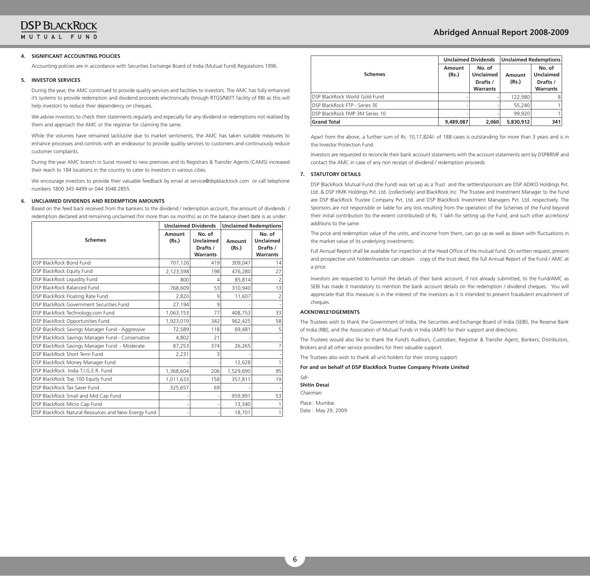#### **4. SIGNIFICANT ACCOUNTING POLICIES**

Accounting policies are in accordance with Securities Exchange board of India (Mutual Fund) Regulations 1996.

#### **5. INVESTOR SERVICES**

During the year, the AMC continued to provide quality services and facilities to investors. The AMC has fully enhanced it's systems to provide redemption and dividend proceeds electronically through RTgS/NEFT facility of RbI as this will help investors to reduce their dependency on cheques.

we advise investors to check their statements regularly and especially for any dividend or redemptions not realised by them and approach the AMC or the registrar for claiming the same.

while the volumes have remained lacklustre due to market sentiments, the AMC has taken suitable measures to enhance processes and controls with an endeavour to provide quality services to customers and continuously reduce customer complaints.

During the year AMC branch in Surat moved to new premises and its Registrars & Transfer Agents (CAMS) increased their reach to 184 locations in the country to cater to investors in various cities.

we encourage investors to provide their valuable feedback by email at service@dspblackrock.com or call telephone numbers 1800 345 4499 or 044 3048 2855.

#### **6. UNCLAIMED DIVIDENDS AND REDEMPTION AMOUNTS**

based on the feed back received from the bankers to the dividend / redemption account, the amount of dividends / redemption declared and remaining unclaimed (for more than six months) as on the balance sheet date is as under:

|                                                     |                 | <b>Unclaimed Dividends</b>                                |                 | <b>Unclaimed Redemptions</b>                              |
|-----------------------------------------------------|-----------------|-----------------------------------------------------------|-----------------|-----------------------------------------------------------|
| <b>Schemes</b>                                      | Amount<br>(Rs.) | No. of<br><b>Unclaimed</b><br>Drafts /<br><b>Warrants</b> | Amount<br>(Rs.) | No. of<br><b>Unclaimed</b><br>Drafts /<br><b>Warrants</b> |
| DSP BlackRock Bond Fund                             | 707,126         | 419                                                       | 309,047         | 14                                                        |
| DSP BlackRock Equity Fund                           | 2,123,598       | 198                                                       | 476,280         | 27                                                        |
| DSP BlackRock Liquidity Fund                        | 800             | 4                                                         | 85,814          |                                                           |
| DSP BlackRock Balanced Fund                         | 768,609         | 53                                                        | 310,940         | 13                                                        |
| DSP BlackRock Floating Rate Fund                    | 2,820           | 9                                                         | 11,607          |                                                           |
| DSP BlackRock Government Securities Fund            | 27,194          | 9                                                         |                 |                                                           |
| DSP BlackRock Technology.com Fund                   | 1,063,153       | 77                                                        | 408,753         | 33                                                        |
| DSP BlackRock Opportunities Fund                    | 1,923,019       | 342                                                       | 962,425         | 58                                                        |
| DSP BlackRock Savings Manager Fund - Aggressive     | 72,589          | 118                                                       | 69,481          | 5                                                         |
| DSP BlackRock Savings Manager Fund - Conservative   | 4,802           | 21                                                        |                 |                                                           |
| DSP BlackRock Savings Manager Fund - Moderate       | 87,253          | 374                                                       | 26,265          |                                                           |
| DSP BlackRock Short Term Fund                       | 2,231           | 3                                                         |                 |                                                           |
| DSP BlackRock Money Manager Fund                    |                 |                                                           | 12,628          |                                                           |
| DSP BlackRock India T.I.G.E.R. Fund                 | 1,368,604       | 206                                                       | 1,529,690       | 95                                                        |
| DSP BlackRock Top 100 Equity Fund                   | 1,011,633       | 158                                                       | 357,811         | 19                                                        |
| DSP BlackRock Tax Saver Fund                        | 325,657         | 69                                                        |                 |                                                           |
| DSP BlackRock Small and Mid Cap Fund                |                 |                                                           | 959,991         | 53                                                        |
| DSP BlackRock Micro Cap Fund                        |                 |                                                           | 13,340          |                                                           |
| DSP BlackRock Natural Resources and New Energy Fund |                 |                                                           | 18,701          |                                                           |

|                                        |                 | <b>Unclaimed Dividends</b>                                | Unclaimed Redemptions |                                                           |  |  |
|----------------------------------------|-----------------|-----------------------------------------------------------|-----------------------|-----------------------------------------------------------|--|--|
| <b>Schemes</b>                         | Amount<br>(Rs.) | No. of<br><b>Unclaimed</b><br>Drafts /<br><b>Warrants</b> | Amount<br>(Rs.)       | No. of<br><b>Unclaimed</b><br>Drafts /<br><b>Warrants</b> |  |  |
| DSP BlackRock World Gold Fund          |                 |                                                           | 122,980               | 8                                                         |  |  |
| <b>IDSP BlackRock FTP - Series 3E</b>  |                 |                                                           | 55,240                |                                                           |  |  |
| <b>IDSP BlackRock FMP 3M Series 10</b> |                 |                                                           | 99.920                |                                                           |  |  |
| <b>Grand Total</b>                     | 9,489,087       | 2,060                                                     | 5,830,912             | 341                                                       |  |  |

Apart from the above, a further sum of Rs. 10,17,824/- of 188 cases is outstanding for more than 3 years and is in the Investor Protection Fund.

Investors are requested to reconcile their bank account statements with the account statements sent by DSPBRMF and contact the AMC in case of any non receipt of dividend / redemption proceeds.

#### **7. STATUTORY DETAILS**

 DSP blackRock Mutual Fund (the Fund) was set up as a Trust and the settlers/sponsors are DSP ADIKO Holdings Pvt. Ltd. & DSP HMK Holdings Pvt. Ltd. (collectively) and blackRock Inc. The Trustee and Investment Manager to the Fund are DSP blackRock Trustee Company Pvt. Ltd. and DSP blackRock Investment Managers Pvt. Ltd. respectively. The Sponsors are not responsible or liable for any loss resulting from the operation of the Schemes of the Fund beyond their initial contribution (to the extent contributed) of Rs. 1 lakh for setting up the Fund, and such other accretions/ additions to the same.

The price and redemption value of the units, and income from them, can go up as well as down with fluctuations in the market value of its underlying investments.

Full Annual Report shall be available for inspection at the Head Office of the mutual fund. On written request, present and prospective unit holder/investor can obtain copy of the trust deed, the full Annual Report of the Fund / AMC at a price.

Investors are requested to furnish the details of their bank account, if not already submitted, to the Fund/AMC as SEbI has made it mandatory to mention the bank account details on the redemption / dividend cheques. you will appreciate that this measure is in the interest of the investors as it is intended to prevent fraudulent encashment of cheques.

#### **ACKNOWLE1DGEMENTS**

The Trustees wish to thank the government of India, the Securities and Exchange board of India (SEbI), the Reserve bank of India (RbI), and the Association of Mutual Funds in India (AMFI) for their support and directions.

The Trustees would also like to thank the Fund's Auditors, Custodian, Registrar & Transfer Agent, bankers, Distributors, Brokers and all other service providers for their valuable support.

The Trustees also wish to thank all unit holders for their strong support.

#### **For and on behalf of DSP BlackRock Trustee Company Private Limited**

*Sd/-* **Shitin Desai** *Chairman*

Place : Mumbai

Date : May 29, 2009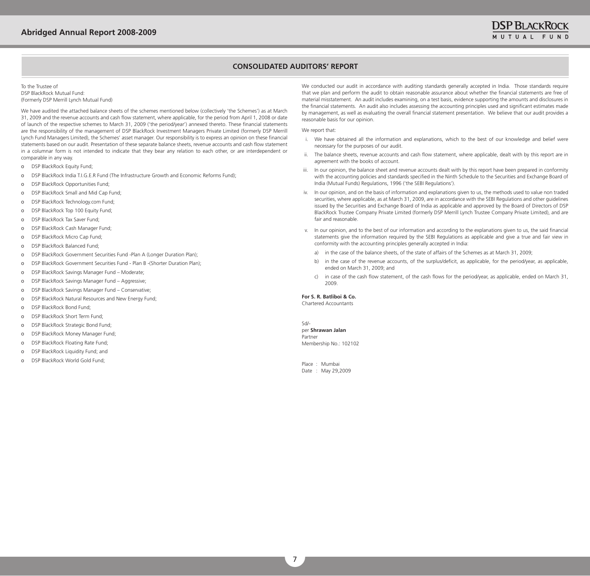## **CONSOLIDATED AUDITORS' REPORT**

#### To the Trustee of DSP BlackRock Mutual Fund: (Formerly DSP Merrill Lynch Mutual Fund)

we have audited the attached balance sheets of the schemes mentioned below (collectively 'the Schemes') as at March 31, 2009 and the revenue accounts and cash flow statement, where applicable, for the period from April 1, 2008 or date of launch of the respective schemes to March 31, 2009 ('the period/year') annexed thereto. These financial statements are the responsibility of the management of DSP blackRock Investment Managers Private Limited (formerly DSP Merrill Lynch Fund Managers Limited), the Schemes' asset manager. Our responsibility is to express an opinion on these financial statements based on our audit. Presentation of these separate balance sheets, revenue accounts and cash flow statement in a columnar form is not intended to indicate that they bear any relation to each other, or are interdependent or comparable in any way.

- o DSP blackRock Equity Fund;
- o DSP BlackRock India T.I.G.E.R Fund (The Infrastructure Growth and Economic Reforms Fund);
- o DSP blackRock Opportunities Fund;
- o DSP blackRock Small and Mid Cap Fund;
- o DSP blackRock Technology.com Fund;
- o DSP blackRock Top 100 Equity Fund;
- o DSP blackRock Tax Saver Fund;
- o DSP blackRock Cash Manager Fund;
- o DSP BlackRock Micro Cap Fund;
- o DSP BlackRock Balanced Fund;
- o DSP blackRock government Securities Fund -Plan A (Longer Duration Plan);
- o DSP BlackRock Government Securities Fund Plan B -(Shorter Duration Plan);
- o DSP blackRock Savings Manager Fund Moderate;
- o DSP blackRock Savings Manager Fund Aggressive;
- o DSP blackRock Savings Manager Fund Conservative;
- DSP BlackRock Natural Resources and New Energy Fund;
- o DSP BlackRock Bond Fund:
- o DSP blackRock Short Term Fund;
- o DSP BlackRock Strategic Bond Fund;
- o DSP blackRock Money Manager Fund;
- o DSP BlackRock Floating Rate Fund;
- o DSP blackRock Liquidity Fund; and
- DSP BlackRock World Gold Fund;

we conducted our audit in accordance with auditing standards generally accepted in India. Those standards require that we plan and perform the audit to obtain reasonable assurance about whether the financial statements are free of material misstatement. An audit includes examining, on a test basis, evidence supporting the amounts and disclosures in the financial statements. An audit also includes assessing the accounting principles used and significant estimates made by management, as well as evaluating the overall financial statement presentation. we believe that our audit provides a reasonable basis for our opinion.

#### We report that:

- i. we have obtained all the information and explanations, which to the best of our knowledge and belief were necessary for the purposes of our audit.
- ii. The balance sheets, revenue accounts and cash flow statement, where applicable, dealt with by this report are in agreement with the books of account.
- iii. In our opinion, the balance sheet and revenue accounts dealt with by this report have been prepared in conformity with the accounting policies and standards specified in the Ninth Schedule to the Securities and Exchange board of India (Mutual Funds) Regulations, 1996 ('the SEbI Regulations').
- iv. In our opinion, and on the basis of information and explanations given to us, the methods used to value non traded securities, where applicable, as at March 31, 2009, are in accordance with the SEbI Regulations and other guidelines issued by the Securities and Exchange board of India as applicable and approved by the board of Directors of DSP blackRock Trustee Company Private Limited (formerly DSP Merrill Lynch Trustee Company Private Limited), and are fair and reasonable.
- v. In our opinion, and to the best of our information and according to the explanations given to us, the said financial statements give the information required by the SEbI Regulations as applicable and give a true and fair view in conformity with the accounting principles generally accepted in India:
	- a) in the case of the balance sheets, of the state of affairs of the Schemes as at March 31, 2009;
	- b) in the case of the revenue accounts, of the surplus/deficit, as applicable, for the period/year, as applicable, ended on March 31, 2009; and
	- c) in case of the cash flow statement, of the cash flows for the period/year, as applicable, ended on March 31, 2009.

#### **For S. R. Batliboi & Co.**

Chartered Accountants

Sd/ per **Shrawan Jalan** Partner Membership No.: 102102

Place : Mumbai Date : May 29,2009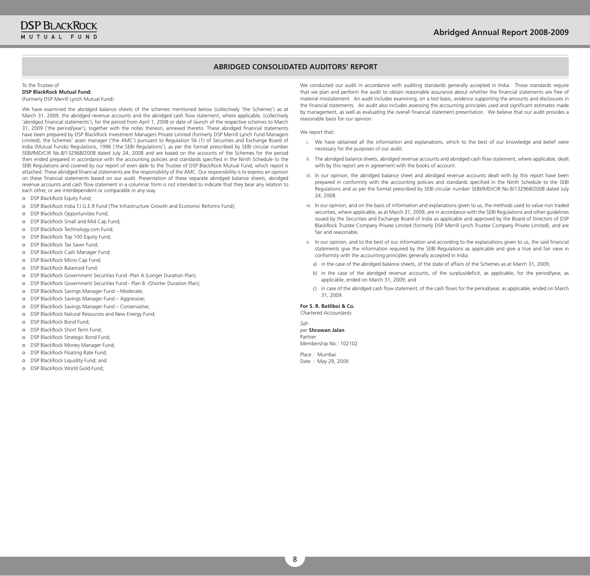## **ABRIDGED CONSOLIDATED AUDITORS' REPORT**

#### To the Trustee of **DSP BlackRock Mutual Fund:**

(Formerly DSP Merrill Lynch Mutual Fund)

we have examined the abridged balance sheets of the schemes mentioned below (collectively 'the Schemes') as at March 31, 2009, the abridged revenue accounts and the abridged cash flow statement, where applicable, (collectively 'abridged financial statements'), for the period from April 1, 2008 or date of launch of the respective schemes to March 31, 2009 ('the period/year'), together with the notes thereon, annexed thereto. These abridged financial statements have been prepared by DSP blackRock Investment Managers Private Limited (formerly DSP Merrill Lynch Fund Managers Limited), the Schemes' asset manager ('the AMC') pursuant to Regulation 56 (1) of Securities and Exchange board of India (Mutual Funds) Regulations, 1996 ('the SEbI Regulations'), as per the format prescribed by SEbI circular number SEbI/IMD/CIR No.8/132968/2008 dated July 24, 2008 and are based on the accounts of the Schemes for the period then ended prepared in accordance with the accounting policies and standards specified in the Ninth Schedule to the SEbI Regulations and covered by our report of even date to the Trustee of DSP blackRock Mutual Fund, which report is attached. These abridged financial statements are the responsibility of the AMC. Our responsibility is to express an opinion on these financial statements based on our audit. Presentation of these separate abridged balance sheets, abridged revenue accounts and cash flow statement in a columnar form is not intended to indicate that they bear any relation to each other, or are interdependent or comparable in any way.

- o DSP blackRock Equity Fund;
- o DSP blackRock India T.I.g.E.R Fund (The Infrastructure growth and Economic Reforms Fund);
- o DSP blackRock Opportunities Fund;
- o DSP blackRock Small and Mid Cap Fund;
- o DSP blackRock Technology.com Fund;
- o DSP blackRock Top 100 Equity Fund;
- o DSP blackRock Tax Saver Fund;
- o DSP blackRock Cash Manager Fund;
- o DSP blackRock Micro Cap Fund;
- o DSP blackRock balanced Fund;
- o DSP blackRock government Securities Fund -Plan A (Longer Duration Plan);
- o DSP BlackRock Government Securities Fund Plan B -(Shorter Duration Plan);
- o DSP blackRock Savings Manager Fund Moderate;
- o DSP blackRock Savings Manager Fund Aggressive;
- o DSP blackRock Savings Manager Fund Conservative;
- o DSP blackRock Natural Resources and New Energy Fund;
- o DSP blackRock bond Fund;
- o DSP blackRock Short Term Fund;
- o DSP BlackRock Strategic Bond Fund;
- o DSP blackRock Money Manager Fund;
- o DSP blackRock Floating Rate Fund;
- o DSP blackRock Liquidity Fund; and
- o DSP blackRock world gold Fund;

we conducted our audit in accordance with auditing standards generally accepted in India. Those standards require that we plan and perform the audit to obtain reasonable assurance about whether the financial statements are free of material misstatement. An audit includes examining, on a test basis, evidence supporting the amounts and disclosures in the financial statements. An audit also includes assessing the accounting principles used and significant estimates made by management, as well as evaluating the overall financial statement presentation. we believe that our audit provides a reasonable basis for our opinion.

We report that:

- i. we have obtained all the information and explanations, which to the best of our knowledge and belief were necessary for the purposes of our audit.
- ii. The abridged balance sheets, abridged revenue accounts and abridged cash flow statement, where applicable, dealt with by this report are in agreement with the books of account.
- iii. In our opinion, the abridged balance sheet and abridged revenue accounts dealt with by this report have been prepared in conformity with the accounting policies and standards specified in the Ninth Schedule to the SEbI Regulations and as per the format prescribed by SEbI circular number SEbI/IMD/CIR No.8/132968/2008 dated July 24, 2008.
- iv. In our opinion, and on the basis of information and explanations given to us, the methods used to value non traded securities, where applicable, as at March 31, 2009, are in accordance with the SEbI Regulations and other guidelines issued by the Securities and Exchange board of India as applicable and approved by the board of Directors of DSP blackRock Trustee Company Private Limited (formerly DSP Merrill Lynch Trustee Company Private Limited), and are fair and reasonable.
- v. In our opinion, and to the best of our information and according to the explanations given to us, the said financial statements give the information required by the SEbI Regulations as applicable and give a true and fair view in conformity with the accounting principles generally accepted in India:
- a) in the case of the abridged balance sheets, of the state of affairs of the Schemes as at March 31, 2009;
- b) in the case of the abridged revenue accounts, of the surplus/deficit, as applicable, for the period/year, as applicable, ended on March 31, 2009; and
- c) in case of the abridged cash flow statement, of the cash flows for the period/year, as applicable, ended on March 31, 2009.

#### **For S. R. Batliboi & Co.**

*Chartered Accountants*

#### *Sd/* per **Shrawan Jalan**

Partner Membership No.: 102102

Place : Mumbai Date : May 29, 2009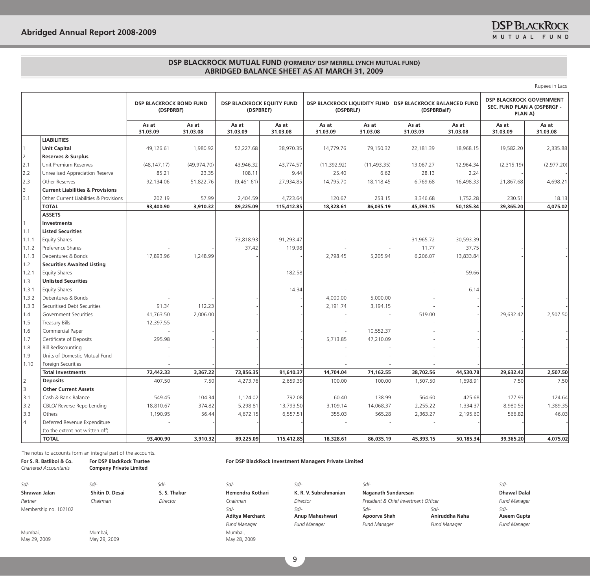Rupees in Lacs

|                |                                             | <b>DSP BLACKROCK BOND FUND</b><br>(DSPBRBF) |                   | <b>DSP BLACKROCK EQUITY FUND</b><br>(DSPBREF) |                   | DSP BLACKROCK LIQUIDITY FUND<br>(DSPBRLF) |                   | DSP BLACKROCK BALANCED FUND<br>(DSPBRBalF) |                   | <b>DSP BLACKROCK GOVERNMENT</b><br>SEC. FUND PLAN A (DSPBRGF -<br>PLAN A) |                   |
|----------------|---------------------------------------------|---------------------------------------------|-------------------|-----------------------------------------------|-------------------|-------------------------------------------|-------------------|--------------------------------------------|-------------------|---------------------------------------------------------------------------|-------------------|
|                |                                             | As at<br>31.03.09                           | As at<br>31.03.08 | As at<br>31.03.09                             | As at<br>31.03.08 | As at<br>31.03.09                         | As at<br>31.03.08 | As at<br>31.03.09                          | As at<br>31.03.08 | As at<br>31.03.09                                                         | As at<br>31.03.08 |
|                | <b>LIABILITIES</b>                          |                                             |                   |                                               |                   |                                           |                   |                                            |                   |                                                                           |                   |
| $\mathbf{1}$   | <b>Unit Capital</b>                         | 49,126.61                                   | 1,980.92          | 52,227.68                                     | 38,970.35         | 14,779.76                                 | 79,150.32         | 22,181.39                                  | 18,968.15         | 19,582.20                                                                 | 2,335.88          |
| 2              | <b>Reserves &amp; Surplus</b>               |                                             |                   |                                               |                   |                                           |                   |                                            |                   |                                                                           |                   |
| 2.1            | Unit Premium Reserves                       | (48, 147.17)                                | (49, 974.70)      | 43,946.32                                     | 43,774.57         | (11, 392.92)                              | (11, 493.35)      | 13,067.27                                  | 12,964.34         | (2,315.19)                                                                | (2,977.20)        |
| 2.2            | Unrealised Appreciation Reserve             | 85.21                                       | 23.35             | 108.11                                        | 9.44              | 25.40                                     | 6.62              | 28.13                                      | 2.24              |                                                                           |                   |
| 2.3            | Other Reserves                              | 92,134.06                                   | 51,822.76         | (9,461.61)                                    | 27,934.85         | 14,795.70                                 | 18,118.45         | 6,769.68                                   | 16,498.33         | 21,867.68                                                                 | 4,698.21          |
| 3              | <b>Current Liabilities &amp; Provisions</b> |                                             |                   |                                               |                   |                                           |                   |                                            |                   |                                                                           |                   |
| 3.1            | Other Current Liabilities & Provisions      | 202.19                                      | 57.99             | 2,404.59                                      | 4,723.64          | 120.67                                    | 253.15            | 3,346.68                                   | 1,752.28          | 230.51                                                                    | 18.13             |
|                | <b>TOTAL</b>                                | 93,400.90                                   | 3,910.32          | 89,225.09                                     | 115,412.85        | 18,328.61                                 | 86,035.19         | 45,393.15                                  | 50,185.34         | 39,365.20                                                                 | 4,075.02          |
|                | <b>ASSETS</b>                               |                                             |                   |                                               |                   |                                           |                   |                                            |                   |                                                                           |                   |
|                | <b>Investments</b>                          |                                             |                   |                                               |                   |                                           |                   |                                            |                   |                                                                           |                   |
| 1.1            | <b>Listed Securities</b>                    |                                             |                   |                                               |                   |                                           |                   |                                            |                   |                                                                           |                   |
| 1.1.1          | <b>Equity Shares</b>                        |                                             |                   | 73,818.93                                     | 91,293.47         |                                           |                   | 31,965.72                                  | 30,593.39         |                                                                           |                   |
| 1.1.2          | Preference Shares                           |                                             |                   | 37.42                                         | 119.98            |                                           |                   | 11.77                                      | 37.75             |                                                                           |                   |
| 1.1.3          | Debentures & Bonds                          | 17,893.96                                   | 1,248.99          |                                               |                   | 2,798.45                                  | 5,205.94          | 6,206.07                                   | 13,833.84         |                                                                           |                   |
| 1.2            | <b>Securities Awaited Listing</b>           |                                             |                   |                                               |                   |                                           |                   |                                            |                   |                                                                           |                   |
| 1.2.1          | <b>Equity Shares</b>                        |                                             |                   |                                               | 182.58            |                                           |                   |                                            | 59.66             |                                                                           |                   |
| 1.3            | <b>Unlisted Securities</b>                  |                                             |                   |                                               |                   |                                           |                   |                                            |                   |                                                                           |                   |
| 1.3.1          | <b>Equity Shares</b>                        |                                             |                   |                                               | 14.34             |                                           |                   |                                            | 6.14              |                                                                           |                   |
| 1.3.2          | Debentures & Bonds                          |                                             |                   |                                               |                   | 4,000.00                                  | 5,000.00          |                                            |                   |                                                                           |                   |
| 1.3.3          | Securitised Debt Securities                 | 91.34                                       | 112.23            |                                               |                   | 2,191.74                                  | 3,194.15          |                                            |                   |                                                                           |                   |
| 1.4            | Government Securities                       | 41,763.50                                   | 2,006.00          |                                               |                   |                                           |                   | 519.00                                     |                   | 29,632.42                                                                 | 2,507.50          |
| 1.5            | Treasury Bills                              | 12,397.55                                   |                   |                                               |                   |                                           |                   |                                            |                   |                                                                           |                   |
| 1.6            | Commercial Paper                            |                                             |                   |                                               |                   |                                           | 10,552.37         |                                            |                   |                                                                           |                   |
| 1.7            | Certificate of Deposits                     | 295.98                                      |                   |                                               |                   | 5,713.85                                  | 47,210.09         |                                            |                   |                                                                           |                   |
| 1.8            | <b>Bill Rediscounting</b>                   |                                             |                   |                                               |                   |                                           |                   |                                            |                   |                                                                           |                   |
| 1.9            | Units of Domestic Mutual Fund               |                                             |                   |                                               |                   |                                           |                   |                                            |                   |                                                                           |                   |
| 1.10           | Foreign Securities                          |                                             |                   |                                               |                   |                                           |                   |                                            |                   |                                                                           |                   |
|                | <b>Total Investments</b>                    | 72,442.33                                   | 3,367.22          | 73,856.35                                     | 91,610.37         | 14,704.04                                 | 71,162.55         | 38,702.56                                  | 44,530.78         | 29,632.42                                                                 | 2,507.50          |
| $\overline{2}$ | <b>Deposits</b>                             | 407.50                                      | 7.50              | 4,273.76                                      | 2,659.39          | 100.00                                    | 100.00            | 1,507.50                                   | 1,698.91          | 7.50                                                                      | 7.50              |
| $\overline{3}$ | <b>Other Current Assets</b>                 |                                             |                   |                                               |                   |                                           |                   |                                            |                   |                                                                           |                   |
| 3.1            | Cash & Bank Balance                         | 549.45                                      | 104.34            | 1,124.02                                      | 792.08            | 60.40                                     | 138.99            | 564.60                                     | 425.68            | 177.93                                                                    | 124.64            |
| 3.2            | CBLO/ Reverse Repo Lending                  | 18,810.67                                   | 374.82            | 5,298.81                                      | 13,793.50         | 3,109.14                                  | 14,068.37         | 2,255.22                                   | 1,334.37          | 8,980.53                                                                  | 1,389.35          |
| 3.3            | Others                                      | 1,190.95                                    | 56.44             | 4,672.15                                      | 6,557.51          | 355.03                                    | 565.28            | 2,363.27                                   | 2,195.60          | 566.82                                                                    | 46.03             |
| $\overline{4}$ | Deferred Revenue Expenditure                |                                             |                   |                                               |                   |                                           |                   |                                            |                   |                                                                           |                   |
|                | (to the extent not written off)             |                                             |                   |                                               |                   |                                           |                   |                                            |                   |                                                                           |                   |
|                | <b>TOTAL</b>                                | 93,400.90                                   | 3,910.32          | 89,225.09                                     | 115,412.85        | 18,328.61                                 | 86,035.19         | 45,393.15                                  | 50,185.34         | 39,365.20                                                                 | 4,075.02          |

The notes to accounts form an integral part of the accounts.

May 29, 2009

May 29, 2009

**For S. R. Batliboi & Co.** *Chartered Accountants* **For DSP BlackRock Trustee Company Private Limited For DSP BlackRock Investment Managers Private Limited** *Sd/- Sd/- Sd/- Sd/- Sd/- Sd/- Sd/-* Shrawan Jalan Shitin D. Desai S. S. Thakur Hemendra Kothari K. R. V. Subrahmanian *Partner Chairman Director Chairman Director President & Chief Investment Officer Fund Manager*  Membership no. 102102 *Sd/-* **Aditya Merchant** *Sd/-* **Anup Maheshwari** *Sd/- Fund Manager Fund Manager Fund Manager Fund Manager Fund Manager* Mumbai, Mumbai, Mumbai,

May 28, 2009

| -307-                                |                     | $5(1/-$             |
|--------------------------------------|---------------------|---------------------|
| Naganath Sundaresan                  |                     | <b>Dhawal Dalal</b> |
| President & Chief Investment Officer |                     | <b>Fund Manager</b> |
| Sd/-                                 | $Sd/-$              | Sd/-                |
| Apoorva Shah                         | Aniruddha Naha      | Aseem Gupta         |
| <b>Fund Manager</b>                  | <b>Fund Manager</b> | <b>Fund Manager</b> |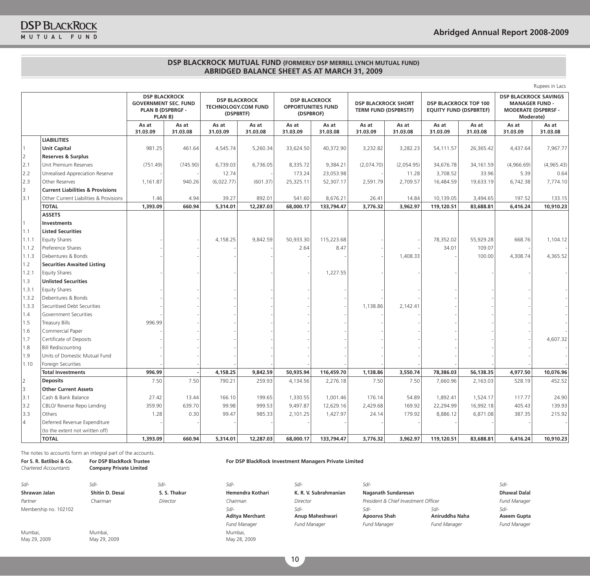Rupees in Lacs

|                |                                             | <b>DSP BLACKROCK</b><br><b>GOVERNMENT SEC. FUND</b><br><b>PLAN B (DSPBRGF -</b><br>PLAN <sub>B</sub> ) |                   | <b>DSP BLACKROCK</b><br><b>TECHNOLOGY.COM FUND</b><br>(DSPBRTF) |                   | <b>DSP BLACKROCK</b><br><b>OPPORTUNITIES FUND</b><br>(DSPBROF) |                   | <b>DSP BLACKROCK SHORT</b><br><b>TERM FUND (DSPBRSTF)</b> |                   | <b>DSP BLACKROCK TOP 100</b><br><b>EQUITY FUND (DSPBRTEF)</b> |                   | <b>DSP BLACKROCK SAVINGS</b><br><b>MANAGER FUND -</b><br><b>MODERATE (DSPBRSF -</b><br>Moderate) |                   |
|----------------|---------------------------------------------|--------------------------------------------------------------------------------------------------------|-------------------|-----------------------------------------------------------------|-------------------|----------------------------------------------------------------|-------------------|-----------------------------------------------------------|-------------------|---------------------------------------------------------------|-------------------|--------------------------------------------------------------------------------------------------|-------------------|
|                |                                             | As at<br>31.03.09                                                                                      | As at<br>31.03.08 | As at<br>31.03.09                                               | As at<br>31.03.08 | As at<br>31.03.09                                              | As at<br>31.03.08 | As at<br>31.03.09                                         | As at<br>31.03.08 | As at<br>31.03.09                                             | As at<br>31.03.08 | As at<br>31.03.09                                                                                | As at<br>31.03.08 |
|                | <b>LIABILITIES</b>                          |                                                                                                        |                   |                                                                 |                   |                                                                |                   |                                                           |                   |                                                               |                   |                                                                                                  |                   |
|                | <b>Unit Capital</b>                         | 981.25                                                                                                 | 461.64            | 4,545.74                                                        | 5,260.34          | 33,624.50                                                      | 40,372.90         | 3,232.82                                                  | 3,282.23          | 54,111.57                                                     | 26,365.42         | 4,437.64                                                                                         | 7,967.77          |
| <u> 2</u>      | <b>Reserves &amp; Surplus</b>               |                                                                                                        |                   |                                                                 |                   |                                                                |                   |                                                           |                   |                                                               |                   |                                                                                                  |                   |
| 2.1            | Unit Premium Reserves                       | (751.49)                                                                                               | (745.90)          | 6,739.03                                                        | 6,736.05          | 8,335.72                                                       | 9,384.21          | (2,074.70)                                                | (2,054.95)        | 34,676.78                                                     | 34,161.59         | (4,966.69)                                                                                       | (4,965.43)        |
| 2.2            | Unrealised Appreciation Reserve             |                                                                                                        |                   | 12.74                                                           |                   | 173.24                                                         | 23,053.98         |                                                           | 11.28             | 3,708.52                                                      | 33.96             | 5.39                                                                                             | 0.64              |
| 2.3            | Other Reserves                              | 1,161.87                                                                                               | 940.26            | (6,022.77)                                                      | (601.37)          | 25,325.11                                                      | 52,307.17         | 2,591.79                                                  | 2,709.57          | 16,484.59                                                     | 19,633.19         | 6,742.38                                                                                         | 7,774.10          |
| 3              | <b>Current Liabilities &amp; Provisions</b> |                                                                                                        |                   |                                                                 |                   |                                                                |                   |                                                           |                   |                                                               |                   |                                                                                                  |                   |
| 3.1            | Other Current Liabilities & Provisions      | 1.46                                                                                                   | 4.94              | 39.27                                                           | 892.01            | 541.60                                                         | 8,676.21          | 26.41                                                     | 14.84             | 10,139.05                                                     | 3,494.65          | 197.52                                                                                           | 133.15            |
|                | <b>TOTAL</b>                                | 1,393.09                                                                                               | 660.94            | 5,314.01                                                        | 12,287.03         | 68,000.17                                                      | 133,794.47        | 3,776.32                                                  | 3,962.97          | 119,120.51                                                    | 83,688.81         | 6,416.24                                                                                         | 10,910.23         |
|                | <b>ASSETS</b>                               |                                                                                                        |                   |                                                                 |                   |                                                                |                   |                                                           |                   |                                                               |                   |                                                                                                  |                   |
| $\overline{1}$ | <b>Investments</b>                          |                                                                                                        |                   |                                                                 |                   |                                                                |                   |                                                           |                   |                                                               |                   |                                                                                                  |                   |
| 1.1            | <b>Listed Securities</b>                    |                                                                                                        |                   |                                                                 |                   |                                                                |                   |                                                           |                   |                                                               |                   |                                                                                                  |                   |
| 1.1.1          | <b>Equity Shares</b>                        |                                                                                                        |                   | 4,158.25                                                        | 9,842.59          | 50,933.30                                                      | 115,223.68        |                                                           |                   | 78,352.02                                                     | 55,929.28         | 668.76                                                                                           | 1,104.12          |
| 1.1.2          | Preference Shares                           |                                                                                                        |                   |                                                                 |                   | 2.64                                                           | 8.47              |                                                           |                   | 34.01                                                         | 109.07            |                                                                                                  |                   |
| 1.1.3          | Debentures & Bonds                          |                                                                                                        |                   |                                                                 |                   |                                                                |                   |                                                           | 1,408.33          |                                                               | 100.00            | 4,308.74                                                                                         | 4,365.52          |
| 1.2            | <b>Securities Awaited Listing</b>           |                                                                                                        |                   |                                                                 |                   |                                                                |                   |                                                           |                   |                                                               |                   |                                                                                                  |                   |
| 1.2.1          | <b>Equity Shares</b>                        |                                                                                                        |                   |                                                                 |                   |                                                                | 1,227.55          |                                                           |                   |                                                               |                   |                                                                                                  |                   |
| 1.3            | <b>Unlisted Securities</b>                  |                                                                                                        |                   |                                                                 |                   |                                                                |                   |                                                           |                   |                                                               |                   |                                                                                                  |                   |
| 1.3.1          | <b>Equity Shares</b>                        |                                                                                                        |                   |                                                                 |                   |                                                                |                   |                                                           |                   |                                                               |                   |                                                                                                  |                   |
| 1.3.2          | Debentures & Bonds                          |                                                                                                        |                   |                                                                 |                   |                                                                |                   |                                                           |                   |                                                               |                   |                                                                                                  |                   |
| 1.3.3          | Securitised Debt Securities                 |                                                                                                        |                   |                                                                 |                   |                                                                |                   | 1,138.86                                                  | 2,142.41          |                                                               |                   |                                                                                                  |                   |
| 1.4            | Government Securities                       |                                                                                                        |                   |                                                                 |                   |                                                                |                   |                                                           |                   |                                                               |                   |                                                                                                  |                   |
| 1.5            | Treasury Bills                              | 996.99                                                                                                 |                   |                                                                 |                   |                                                                |                   |                                                           |                   |                                                               |                   |                                                                                                  |                   |
| 1.6            | Commercial Paper                            |                                                                                                        |                   |                                                                 |                   |                                                                |                   |                                                           |                   |                                                               |                   |                                                                                                  |                   |
| 1.7            | Certificate of Deposits                     |                                                                                                        |                   |                                                                 |                   |                                                                |                   |                                                           |                   |                                                               |                   |                                                                                                  | 4,607.32          |
| 1.8            | <b>Bill Rediscounting</b>                   |                                                                                                        |                   |                                                                 |                   |                                                                |                   |                                                           |                   |                                                               |                   |                                                                                                  |                   |
| 1.9            | Units of Domestic Mutual Fund               |                                                                                                        |                   |                                                                 |                   |                                                                |                   |                                                           |                   |                                                               |                   |                                                                                                  |                   |
| 1.10           | Foreign Securities                          |                                                                                                        |                   |                                                                 |                   |                                                                |                   |                                                           |                   |                                                               |                   |                                                                                                  |                   |
|                | <b>Total Investments</b>                    | 996.99                                                                                                 |                   | 4,158.25                                                        | 9,842.59          | 50,935.94                                                      | 116,459.70        | 1,138.86                                                  | 3,550.74          | 78,386.03                                                     | 56,138.35         | 4,977.50                                                                                         | 10,076.96         |
| 2              | <b>Deposits</b>                             | 7.50                                                                                                   | 7.50              | 790.21                                                          | 259.93            | 4,134.56                                                       | 2,276.18          | 7.50                                                      | 7.50              | 7,660.96                                                      | 2,163.03          | 528.19                                                                                           | 452.52            |
| l 3            | <b>Other Current Assets</b>                 |                                                                                                        |                   |                                                                 |                   |                                                                |                   |                                                           |                   |                                                               |                   |                                                                                                  |                   |
| 3.1            | Cash & Bank Balance                         | 27.42                                                                                                  | 13.44             | 166.10                                                          | 199.65            | 1,330.55                                                       | 1,001.46          | 176.14                                                    | 54.89             | 1,892.41                                                      | 1,524.17          | 117.77                                                                                           | 24.90             |
| 3.2            | CBLO/ Reverse Repo Lending                  | 359.90                                                                                                 | 639.70            | 99.98                                                           | 999.53            | 9,497.87                                                       | 12,629.16         | 2,429.68                                                  | 169.92            | 22,294.99                                                     | 16,992.18         | 405.43                                                                                           | 139.93            |
| 3.3            | Others                                      | 1.28                                                                                                   | 0.30              | 99.47                                                           | 985.33            | 2,101.25                                                       | 1,427.97          | 24.14                                                     | 179.92            | 8,886.12                                                      | 6,871.08          | 387.35                                                                                           | 215.92            |
| 14             | Deferred Revenue Expenditure                |                                                                                                        |                   |                                                                 |                   |                                                                |                   |                                                           |                   |                                                               |                   |                                                                                                  |                   |
|                | (to the extent not written off)             |                                                                                                        |                   |                                                                 |                   |                                                                |                   |                                                           |                   |                                                               |                   |                                                                                                  |                   |
|                | <b>TOTAL</b>                                | 1,393.09                                                                                               | 660.94            | 5,314.01                                                        | 12,287.03         | 68,000.17                                                      | 133,794.47        | 3,776.32                                                  | 3,962.97          | 119,120.51                                                    | 83,688.81         | 6,416.24                                                                                         | 10,910.23         |

The notes to accounts form an integral part of the accounts.

## **For DSP BlackRock Investment Managers Private Limited**

*Sd/- Sd/- Sd/- Sd/- Sd/- Sd/- Sd/-* Shrawan Jalan **Shitin D. Desai S. S. Thakur** Hemendra Kothari K. R. V. Subrahmanian Naganath Sundaresan Dhawal Dalal Dhawal Dalal *Partner Chairman Director Chairman Director President & Chief Investment Officer Fund Manager*  Membership no. 102102 *Sd/-*

Mumbai, May 29, 2009

**For S. R. Batliboi & Co.** *Chartered Accountants*

> Mumbai, May 29, 2009

**For DSP BlackRock Trustee Company Private Limited** 

> **Aditya Merchant** Mumbai, May 28, 2009

**Anup Maheshwari** *Sd/-* **Apoorva Shah**

*Sd/-* **Aniruddha Naha** *Sd/- Fund Manager Fund Manager Fund Manager Fund Manager Fund Manager*

| $Sd/-$              |
|---------------------|
| Dhawal Dalal        |
| Fund Manager        |
| $Sd/-$              |
| Aseem Gupta         |
| <b>Fund Manager</b> |

*Sd/-*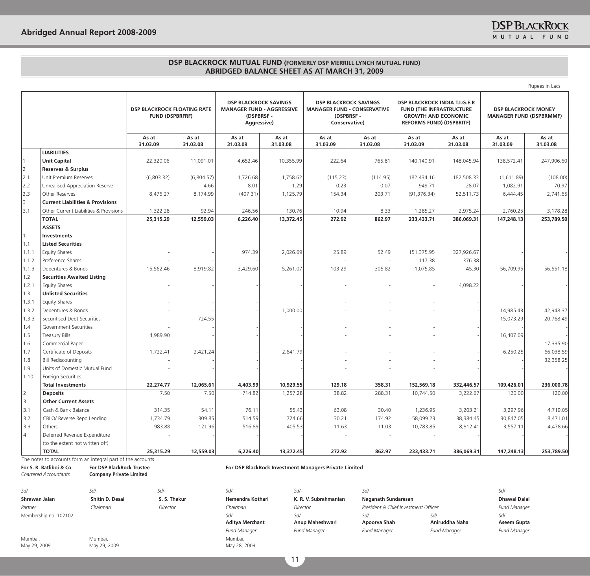|       |                                             |                                                              |                   |                                                                                              |                   |                                                                                                  |                   |                                                                                                                                   |                   |                                                              | Rupees in Lacs    |
|-------|---------------------------------------------|--------------------------------------------------------------|-------------------|----------------------------------------------------------------------------------------------|-------------------|--------------------------------------------------------------------------------------------------|-------------------|-----------------------------------------------------------------------------------------------------------------------------------|-------------------|--------------------------------------------------------------|-------------------|
|       |                                             | <b>DSP BLACKROCK FLOATING RATE</b><br><b>FUND (DSPBRFRF)</b> |                   | <b>DSP BLACKROCK SAVINGS</b><br><b>MANAGER FUND - AGGRESSIVE</b><br>(DSPBRSF-<br>Aggressive) |                   | <b>DSP BLACKROCK SAVINGS</b><br><b>MANAGER FUND - CONSERVATIVE</b><br>(DSPBRSF-<br>Conservative) |                   | DSP BLACKROCK INDIA T.I.G.E.R<br><b>FUND (THE INFRASTRUCTURE</b><br><b>GROWTH AND ECONOMIC</b><br><b>REFORMS FUND) (DSPBRITF)</b> |                   | <b>DSP BLACKROCK MONEY</b><br><b>MANAGER FUND (DSPBRMMF)</b> |                   |
|       |                                             | As at<br>31.03.09                                            | As at<br>31.03.08 | As at<br>31.03.09                                                                            | As at<br>31.03.08 | As at<br>31.03.09                                                                                | As at<br>31.03.08 | As at<br>31.03.09                                                                                                                 | As at<br>31.03.08 | As at<br>31.03.09                                            | As at<br>31.03.08 |
|       | <b>LIABILITIES</b>                          |                                                              |                   |                                                                                              |                   |                                                                                                  |                   |                                                                                                                                   |                   |                                                              |                   |
|       | <b>Unit Capital</b>                         | 22,320.06                                                    | 11,091.01         | 4,652.46                                                                                     | 10,355.99         | 222.64                                                                                           | 765.81            | 140,140.91                                                                                                                        | 148,045.94        | 138,572.41                                                   | 247,906.60        |
| 2     | <b>Reserves &amp; Surplus</b>               |                                                              |                   |                                                                                              |                   |                                                                                                  |                   |                                                                                                                                   |                   |                                                              |                   |
| 2.1   | Unit Premium Reserves                       | (6,803.32)                                                   | (6,804.57)        | 1,726.68                                                                                     | 1,758.62          | (115.23)                                                                                         | (114.95)          | 182,434.16                                                                                                                        | 182,508.33        | (1,611.89)                                                   | (108.00)          |
| 2.2   | Unrealised Appreciation Reserve             |                                                              | 4.66              | 8.01                                                                                         | 1.29              | 0.23                                                                                             | 0.07              | 949.71                                                                                                                            | 28.07             | 1,082.91                                                     | 70.97             |
| 2.3   | Other Reserves                              | 8,476.27                                                     | 8,174.99          | (407.31)                                                                                     | 1,125.79          | 154.34                                                                                           | 203.71            | (91, 376.34)                                                                                                                      | 52,511.73         | 6,444.45                                                     | 2,741.65          |
| 3     | <b>Current Liabilities &amp; Provisions</b> |                                                              |                   |                                                                                              |                   |                                                                                                  |                   |                                                                                                                                   |                   |                                                              |                   |
| 3.1   | Other Current Liabilities & Provisions      | 1,322.28                                                     | 92.94             | 246.56                                                                                       | 130.76            | 10.94                                                                                            | 8.33              | 1,285.27                                                                                                                          | 2,975.24          | 2,760.25                                                     | 3,178.28          |
|       | <b>TOTAL</b>                                | 25,315.29                                                    | 12,559.03         | 6,226.40                                                                                     | 13,372.45         | 272.92                                                                                           | 862.97            | 233,433.71                                                                                                                        | 386,069.31        | 147,248.13                                                   | 253,789.50        |
|       | <b>ASSETS</b>                               |                                                              |                   |                                                                                              |                   |                                                                                                  |                   |                                                                                                                                   |                   |                                                              |                   |
|       | Investments                                 |                                                              |                   |                                                                                              |                   |                                                                                                  |                   |                                                                                                                                   |                   |                                                              |                   |
| 1.1   | <b>Listed Securities</b>                    |                                                              |                   |                                                                                              |                   |                                                                                                  |                   |                                                                                                                                   |                   |                                                              |                   |
| 1.1.1 | <b>Equity Shares</b>                        |                                                              |                   | 974.39                                                                                       | 2,026.69          | 25.89                                                                                            | 52.49             | 151,375.95                                                                                                                        | 327,926.67        |                                                              |                   |
| 1.1.2 | Preference Shares                           |                                                              |                   |                                                                                              |                   |                                                                                                  |                   | 117.38                                                                                                                            | 376.38            |                                                              |                   |
| 1.1.3 | Debentures & Bonds                          | 15,562.46                                                    | 8,919.82          | 3,429.60                                                                                     | 5,261.07          | 103.29                                                                                           | 305.82            | 1,075.85                                                                                                                          | 45.30             | 56,709.95                                                    | 56,551.18         |
| 1.2   | <b>Securities Awaited Listing</b>           |                                                              |                   |                                                                                              |                   |                                                                                                  |                   |                                                                                                                                   |                   |                                                              |                   |
| 1.2.1 | <b>Equity Shares</b>                        |                                                              |                   |                                                                                              |                   |                                                                                                  |                   |                                                                                                                                   | 4,098.22          |                                                              |                   |
| 1.3   | <b>Unlisted Securities</b>                  |                                                              |                   |                                                                                              |                   |                                                                                                  |                   |                                                                                                                                   |                   |                                                              |                   |
| 1.3.1 | <b>Equity Shares</b>                        |                                                              |                   |                                                                                              |                   |                                                                                                  |                   |                                                                                                                                   |                   |                                                              |                   |
| 1.3.2 | Debentures & Bonds                          |                                                              |                   |                                                                                              | 1,000.00          |                                                                                                  |                   |                                                                                                                                   |                   | 14,985.43                                                    | 42,948.37         |
| 1.3.3 | Securitised Debt Securities                 |                                                              | 724.55            |                                                                                              |                   |                                                                                                  |                   |                                                                                                                                   |                   | 15,073.29                                                    | 20,768.49         |
| 1.4   | Government Securities                       |                                                              |                   |                                                                                              |                   |                                                                                                  |                   |                                                                                                                                   |                   |                                                              |                   |
| 1.5   | <b>Treasury Bills</b>                       | 4,989.90                                                     |                   |                                                                                              |                   |                                                                                                  |                   |                                                                                                                                   |                   | 16,407.09                                                    |                   |
| 1.6   | Commercial Paper                            |                                                              |                   |                                                                                              |                   |                                                                                                  |                   |                                                                                                                                   |                   |                                                              | 17,335.90         |
| 1.7   | Certificate of Deposits                     | 1,722.41                                                     | 2,421.24          |                                                                                              | 2,641.79          |                                                                                                  |                   |                                                                                                                                   |                   | 6,250.25                                                     | 66,038.59         |
| 1.8   | <b>Bill Rediscounting</b>                   |                                                              |                   |                                                                                              |                   |                                                                                                  |                   |                                                                                                                                   |                   |                                                              | 32,358.25         |
| 1.9   | Units of Domestic Mutual Fund               |                                                              |                   |                                                                                              |                   |                                                                                                  |                   |                                                                                                                                   |                   |                                                              |                   |
| 1.10  | Foreign Securities                          |                                                              |                   |                                                                                              |                   |                                                                                                  |                   |                                                                                                                                   |                   |                                                              |                   |
|       | <b>Total Investments</b>                    | 22,274.77                                                    | 12,065.61         | 4,403.99                                                                                     | 10,929.55         | 129.18                                                                                           | 358.31            | 152,569.18                                                                                                                        | 332,446.57        | 109,426.01                                                   | 236,000.78        |
| 2     | <b>Deposits</b>                             | 7.50                                                         | 7.50              | 714.82                                                                                       | 1,257.28          | 38.82                                                                                            | 288.31            | 10,744.50                                                                                                                         | 3,222.67          | 120.00                                                       | 120.00            |
| 3     | <b>Other Current Assets</b>                 |                                                              |                   |                                                                                              |                   |                                                                                                  |                   |                                                                                                                                   |                   |                                                              |                   |
| 3.1   | Cash & Bank Balance                         | 314.35                                                       | 54.11             | 76.11                                                                                        | 55.43             | 63.08                                                                                            | 30.40             | 1,236.95                                                                                                                          | 3,203.21          | 3,297.96                                                     | 4,719.05          |
| 3.2   | CBLO/ Reverse Repo Lending                  | 1,734.79                                                     | 309.85            | 514.59                                                                                       | 724.66            | 30.21                                                                                            | 174.92            | 58,099.23                                                                                                                         | 38,384.45         | 30,847.05                                                    | 8,471.01          |
| 3.3   | Others                                      | 983.88                                                       | 121.96            | 516.89                                                                                       | 405.53            | 11.63                                                                                            | 11.03             | 10,783.85                                                                                                                         | 8,812.41          | 3,557.11                                                     | 4,478.66          |
| 4     | Deferred Revenue Expenditure                |                                                              |                   |                                                                                              |                   |                                                                                                  |                   |                                                                                                                                   |                   |                                                              |                   |
|       | (to the extent not written off)             |                                                              |                   |                                                                                              |                   |                                                                                                  |                   |                                                                                                                                   |                   |                                                              |                   |
|       | <b>TOTAL</b>                                | 25,315.29                                                    | 12,559.03         | 6,226.40                                                                                     | 13,372.45         | 272.92                                                                                           | 862.97            | 233,433.71                                                                                                                        | 386,069.31        | 147,248.13                                                   | 253,789.50        |

The notes to accounts form an integral part of the accounts.

**For S. R. Batliboi & Co.**

*Chartered Accountants* **For DSP BlackRock Trustee Company Private Limited** 

## *Sd/- Sd/- Sd/- Sd/- Sd/- Sd/- Sd/-* Shrawan Jalan **Shitin D. Desai S. S. Thakur** Hemendra Kothari K. R. V. Subrahmanian Naganath Sundaresan Dhawal Dalal Dhawal Dalal *Partner Chairman Director Chairman Director President & Chief Investment Officer Fund Manager*  Membership no. 102102 *Sd/-*

Mumbai, May 29, 2009 Mumbai, May 29, 2009 **For DSP BlackRock Investment Managers Private Limited**

**Aditya Merchant** Mumbai,

May 28, 2009

*Sd/-*

**Anup Maheshwari** *Fund Manager Fund Manager Fund Manager Fund Manager Fund Manager*

*Sd/-* **Apoorva Shah** *Sd/-* **Aniruddha Naha** *Sd/-* **Aseem Gupta**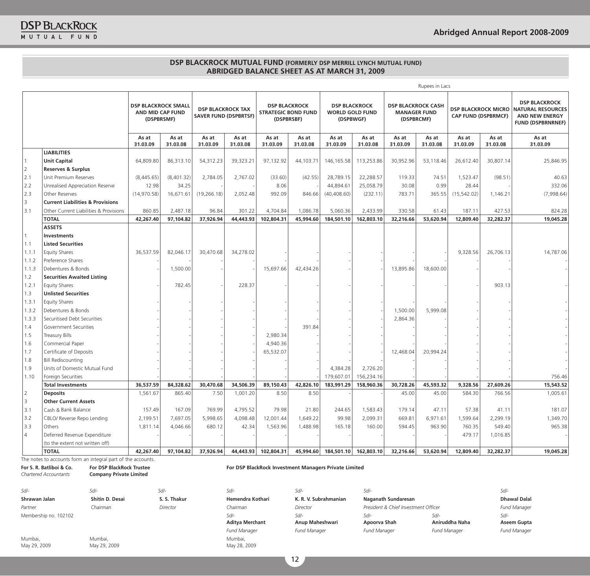|                |                                             |                                                              |                   |                                                          |                   |                   |                                                    |                   |                                                             |                                                                | Rupees in Lacs    |                                                          |                   |                                                                                                       |
|----------------|---------------------------------------------|--------------------------------------------------------------|-------------------|----------------------------------------------------------|-------------------|-------------------|----------------------------------------------------|-------------------|-------------------------------------------------------------|----------------------------------------------------------------|-------------------|----------------------------------------------------------|-------------------|-------------------------------------------------------------------------------------------------------|
|                |                                             | <b>DSP BLACKROCK SMALL</b><br>AND MID CAP FUND<br>(DSPBRSMF) |                   | <b>DSP BLACKROCK TAX</b><br><b>SAVER FUND (DSPBRTSF)</b> |                   | (DSPBRSBF)        | <b>DSP BLACKROCK</b><br><b>STRATEGIC BOND FUND</b> |                   | <b>DSP BLACKROCK</b><br><b>WORLD GOLD FUND</b><br>(DSPBWGF) | <b>DSP BLACKROCK CASH</b><br><b>MANAGER FUND</b><br>(DSPBRCMF) |                   | <b>DSP BLACKROCK MICRO</b><br><b>CAP FUND (DSPBRMCF)</b> |                   | <b>DSP BLACKROCK</b><br><b>NATURAL RESOURCES</b><br><b>AND NEW ENERGY</b><br><b>FUND (DSPBRNRNEF)</b> |
|                |                                             | As at<br>31.03.09                                            | As at<br>31.03.08 | As at<br>31.03.09                                        | As at<br>31.03.08 | As at<br>31.03.09 | As at<br>31.03.08                                  | As at<br>31.03.09 | As at<br>31.03.08                                           | As at<br>31.03.09                                              | As at<br>31.03.08 | As at<br>31.03.09                                        | As at<br>31.03.08 | As at<br>31.03.09                                                                                     |
|                | <b>LIABILITIES</b>                          |                                                              |                   |                                                          |                   |                   |                                                    |                   |                                                             |                                                                |                   |                                                          |                   |                                                                                                       |
|                | <b>Unit Capital</b>                         | 64,809.80                                                    | 86,313.10         | 54,312.23                                                | 39,323.21         | 97,132.92         | 44,103.71                                          | 146, 165.58       | 113,253.86                                                  | 30,952.96                                                      | 53,118.46         | 26,612.40                                                | 30,807.14         | 25,846.95                                                                                             |
| 2              | <b>Reserves &amp; Surplus</b>               |                                                              |                   |                                                          |                   |                   |                                                    |                   |                                                             |                                                                |                   |                                                          |                   |                                                                                                       |
| 2.1            | Unit Premium Reserves                       | (8,445.65)                                                   | (8,401.32)        | 2,784.05                                                 | 2,767.02          | (33.60)           | (42.55)                                            | 28,789.15         | 22,288.57                                                   | 119.33                                                         | 74.51             | 1,523.47                                                 | (98.51)           | 40.63                                                                                                 |
| 2.2            | Unrealised Appreciation Reserve             | 12.98                                                        | 34.25             |                                                          |                   | 8.06              |                                                    | 44,894.61         | 25,058.79                                                   | 30.08                                                          | 0.99              | 28.44                                                    |                   | 332.06                                                                                                |
| 2.3            | Other Reserves                              | (14,970.58)                                                  | 16,671.61         | (19, 266.18)                                             | 2,052.48          | 992.09            | 846.66                                             | (40, 408.60)      | (232.11)                                                    | 783.71                                                         | 365.55            | (15, 542.02)                                             | 1,146.21          | (7,998.64)                                                                                            |
| $\overline{3}$ | <b>Current Liabilities &amp; Provisions</b> |                                                              |                   |                                                          |                   |                   |                                                    |                   |                                                             |                                                                |                   |                                                          |                   |                                                                                                       |
| 3.1            | Other Current Liabilities & Provisions      | 860.85                                                       | 2,487.18          | 96.84                                                    | 301.22            | 4.704.84          | 1,086.78                                           | 5,060.36          | 2,433.99                                                    | 330.58                                                         | 61.43             | 187.11                                                   | 427.53            | 824.28                                                                                                |
|                | <b>TOTAL</b>                                | 42,267.40                                                    | 97,104.82         | 37,926.94                                                | 44,443.93         | 102,804.31        | 45,994.60                                          | 184,501.10        | 162,803.10                                                  | 32,216.66                                                      | 53,620.94         | 12,809.40                                                | 32,282.37         | 19,045.28                                                                                             |
|                | <b>ASSETS</b>                               |                                                              |                   |                                                          |                   |                   |                                                    |                   |                                                             |                                                                |                   |                                                          |                   |                                                                                                       |
|                | <b>Investments</b>                          |                                                              |                   |                                                          |                   |                   |                                                    |                   |                                                             |                                                                |                   |                                                          |                   |                                                                                                       |
| 1.1            | <b>Listed Securities</b>                    |                                                              |                   |                                                          |                   |                   |                                                    |                   |                                                             |                                                                |                   |                                                          |                   |                                                                                                       |
| 1.1.1          | <b>Equity Shares</b>                        | 36,537.59                                                    | 82,046.17         | 30,470.68                                                | 34,278.02         |                   |                                                    |                   |                                                             |                                                                |                   | 9,328.56                                                 | 26,706.13         | 14,787.06                                                                                             |
| 1.1.2          | Preference Shares                           |                                                              |                   |                                                          |                   |                   |                                                    |                   |                                                             |                                                                |                   |                                                          |                   |                                                                                                       |
| 1.1.3          | Debentures & Bonds                          |                                                              | 1,500.00          |                                                          |                   | 15,697.66         | 42,434.26                                          |                   |                                                             | 13,895.86                                                      | 18,600.00         |                                                          |                   |                                                                                                       |
| 1.2            | <b>Securities Awaited Listing</b>           |                                                              |                   |                                                          |                   |                   |                                                    |                   |                                                             |                                                                |                   |                                                          |                   |                                                                                                       |
| 1.2.1          | <b>Equity Shares</b>                        |                                                              | 782.45            |                                                          | 228.37            |                   |                                                    |                   |                                                             |                                                                |                   |                                                          | 903.13            |                                                                                                       |
| 1.3            | <b>Unlisted Securities</b>                  |                                                              |                   |                                                          |                   |                   |                                                    |                   |                                                             |                                                                |                   |                                                          |                   |                                                                                                       |
| 1.3.1          | <b>Equity Shares</b>                        |                                                              |                   |                                                          |                   |                   |                                                    |                   |                                                             |                                                                |                   |                                                          |                   |                                                                                                       |
| 1.3.2          | Debentures & Bonds                          |                                                              |                   |                                                          |                   |                   |                                                    |                   |                                                             | 1,500.00                                                       | 5,999.08          |                                                          |                   |                                                                                                       |
| 1.3.3          | Securitised Debt Securities                 |                                                              |                   |                                                          |                   |                   |                                                    |                   |                                                             | 2,864.36                                                       |                   |                                                          |                   |                                                                                                       |
| 1.4            | Government Securities                       |                                                              |                   |                                                          |                   |                   | 391.84                                             |                   |                                                             |                                                                |                   |                                                          |                   |                                                                                                       |
| 1.5            | Treasury Bills                              |                                                              |                   |                                                          |                   | 2,980.34          |                                                    |                   |                                                             |                                                                |                   |                                                          |                   |                                                                                                       |
| 1.6            | Commercial Paper                            |                                                              |                   |                                                          |                   | 4,940.36          |                                                    |                   |                                                             |                                                                |                   |                                                          |                   |                                                                                                       |
| 1.7            | Certificate of Deposits                     |                                                              |                   |                                                          |                   | 65,532.07         |                                                    |                   |                                                             | 12,468.04                                                      | 20,994.24         |                                                          |                   |                                                                                                       |
| 1.8            | <b>Bill Rediscounting</b>                   |                                                              |                   |                                                          |                   |                   |                                                    |                   |                                                             |                                                                |                   |                                                          |                   |                                                                                                       |
| 1.9            | Units of Domestic Mutual Fund               |                                                              |                   |                                                          |                   |                   |                                                    | 4,384.28          | 2,726.20                                                    |                                                                |                   |                                                          |                   |                                                                                                       |
| 1.10           | Foreign Securities                          |                                                              |                   |                                                          |                   |                   |                                                    | 179,607.01        | 156,234.16                                                  |                                                                |                   |                                                          |                   | 756.46                                                                                                |
|                | <b>Total Investments</b>                    | 36,537.59                                                    | 84,328.62         | 30,470.68                                                | 34,506.39         | 89,150.43         | 42,826.10                                          | 183,991.29        | 158,960.36                                                  | 30,728.26                                                      | 45,593.32         | 9,328.56                                                 | 27,609.26         | 15,543.52                                                                                             |
| 2              | <b>Deposits</b>                             | 1,561.67                                                     | 865.40            | 7.50                                                     | 1,001.20          | 8.50              | 8.50                                               |                   |                                                             | 45.00                                                          | 45.00             | 584.30                                                   | 766.56            | 1,005.61                                                                                              |
| 3              | <b>Other Current Assets</b>                 |                                                              |                   |                                                          |                   |                   |                                                    |                   |                                                             |                                                                |                   |                                                          |                   |                                                                                                       |
| 3.1            | Cash & Bank Balance                         | 157.49                                                       | 167.09            | 769.99                                                   | 4,795.52          | 79.98             | 21.80                                              | 244.65            | 1,583.43                                                    | 179.14                                                         | 47.11             | 57.38                                                    | 41.11             | 181.07                                                                                                |
| 3.2            | CBLO/ Reverse Repo Lending                  | 2,199.51                                                     | 7,697.05          | 5,998.65                                                 | 4,098.48          | 12,001.44         | 1,649.22                                           | 99.98             | 2,099.31                                                    | 669.81                                                         | 6,971.61          | 1,599.64                                                 | 2,299.19          | 1,349.70                                                                                              |
| 3.3            | Others                                      | 1,811.14                                                     | 4,046.66          | 680.12                                                   | 42.34             | 1,563.96          | 1,488.98                                           | 165.18            | 160.00                                                      | 594.45                                                         | 963.90            | 760.35                                                   | 549.40            | 965.38                                                                                                |
| $\overline{4}$ | Deferred Revenue Expenditure                |                                                              |                   |                                                          |                   |                   |                                                    |                   |                                                             |                                                                |                   | 479.17                                                   | 1,016.85          |                                                                                                       |
|                | (to the extent not written off)             |                                                              |                   |                                                          |                   |                   |                                                    |                   |                                                             |                                                                |                   |                                                          |                   |                                                                                                       |
|                | <b>TOTAL</b>                                | 42,267.40                                                    | 97.104.82         | 37,926.94                                                | 44,443.93         | 102,804.31        | 45,994.60                                          | 184,501.10        | 162,803.10                                                  | 32,216,66                                                      | 53,620.94         | 12,809.40                                                | 32,282.37         | 19,045.28                                                                                             |

The notes to accounts form an integral part of the accounts.

**For S. R. Batliboi & Co.**

*Chartered Accountants* **For DSP BlackRock Trustee Company Private Limited** 

*Sd/- Sd/- Sd/- Sd/- Sd/- Sd/- Sd/-* Shrawan Jalan **Shitin D. Desai S. S. Thakur** Hemendra Kothari K. R. V. Subrahmanian Naganath Sundaresan Dhawal Dalal Dhawal Dalal *Partner Chairman Director Chairman Director President & Chief Investment Officer Fund Manager*  Membership no. 102102 *Sd/-*

Mumbai, May 29, 2009 Mumbai, May 29, 2009 **For DSP BlackRock Investment Managers Private Limited**

**Aditya Merchant** Mumbai,

May 28, 2009

*Sd/-* **Anup Maheshwari**

*Sd/-* **Apoorva Shah** *Fund Manager Fund Manager Fund Manager Fund Manager Fund Manager*

*Sd/-* **Aniruddha Naha** *Sd/-* **Aseem Gupta**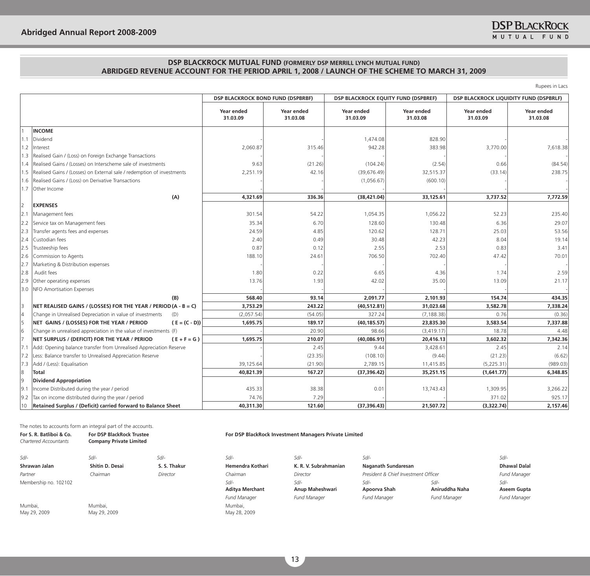|                |                                                                        | <b>DSP BLACKROCK BOND FUND (DSPBRBF)</b> |                        | <b>DSP BLACKROCK EQUITY FUND (DSPBREF)</b> |                        | <b>DSP BLACKROCK LIQUIDITY FUND (DSPBRLF)</b> |                        |
|----------------|------------------------------------------------------------------------|------------------------------------------|------------------------|--------------------------------------------|------------------------|-----------------------------------------------|------------------------|
|                |                                                                        | <b>Year ended</b><br>31.03.09            | Year ended<br>31.03.08 | Year ended<br>31.03.09                     | Year ended<br>31.03.08 | Year ended<br>31.03.09                        | Year ended<br>31.03.08 |
|                | <b>INCOME</b>                                                          |                                          |                        |                                            |                        |                                               |                        |
| 1.1            | Dividend                                                               |                                          |                        | 1,474.08                                   | 828.90                 |                                               |                        |
| 1.2            | Interest                                                               | 2,060.87                                 | 315.46                 | 942.28                                     | 383.98                 | 3,770.00                                      | 7,618.38               |
| 1.3            | Realised Gain / (Loss) on Foreign Exchange Transactions                |                                          |                        |                                            |                        |                                               |                        |
|                | 1.4 Realised Gains / (Losses) on Interscheme sale of investments       | 9.63                                     | (21.26)                | (104.24)                                   | (2.54)                 | 0.66                                          | (84.54)                |
| 1.5            | Realised Gains / (Losses) on External sale / redemption of investments | 2,251.19                                 | 42.16                  | (39, 676.49)                               | 32,515.37              | (33.14)                                       | 238.75                 |
| 1.6            | Realised Gains / (Loss) on Derivative Transactions                     |                                          |                        | (1,056.67)                                 | (600.10)               |                                               |                        |
|                | 1.7 Other Income                                                       |                                          |                        |                                            |                        |                                               |                        |
|                | (A)                                                                    | 4,321.69                                 | 336.36                 | (38, 421.04)                               | 33,125.61              | 3,737.52                                      | 7,772.59               |
| $\overline{2}$ | <b>EXPENSES</b>                                                        |                                          |                        |                                            |                        |                                               |                        |
| 2.1            | Management fees                                                        | 301.54                                   | 54.22                  | 1,054.35                                   | 1,056.22               | 52.23                                         | 235.40                 |
| 2.2            | Service tax on Management fees                                         | 35.34                                    | 6.70                   | 128.60                                     | 130.48                 | 6.36                                          | 29.07                  |
| 2.3            | Transfer agents fees and expenses                                      | 24.59                                    | 4.85                   | 120.62                                     | 128.71                 | 25.03                                         | 53.56                  |
| 2.4            | Custodian fees                                                         | 2.40                                     | 0.49                   | 30.48                                      | 42.23                  | 8.04                                          | 19.14                  |
| 2.5            | Trusteeship fees                                                       | 0.87                                     | 0.12                   | 2.55                                       | 2.53                   | 0.83                                          | 3.41                   |
| 2.6            | Commission to Agents                                                   | 188.10                                   | 24.61                  | 706.50                                     | 702.40                 | 47.42                                         | 70.01                  |
| 2.7            | Marketing & Distribution expenses                                      |                                          |                        |                                            |                        |                                               |                        |
| 2.8            | Audit fees                                                             | 1.80                                     | 0.22                   | 6.65                                       | 4.36                   | 1.74                                          | 2.59                   |
| 2.9            | Other operating expenses                                               | 13.76                                    | 1.93                   | 42.02                                      | 35.00                  | 13.09                                         | 21.17                  |
|                | 3.0 NFO Amortisation Expenses                                          |                                          |                        |                                            |                        |                                               |                        |
|                | (B)                                                                    | 568.40                                   | 93.14                  | 2,091.77                                   | 2,101.93               | 154.74                                        | 434.35                 |
|                | NET REALISED GAINS / (LOSSES) FOR THE YEAR / PERIOD (A - B = C)        | 3,753.29                                 | 243.22                 | (40, 512.81)                               | 31,023.68              | 3,582.78                                      | 7,338.24               |
|                | Change in Unrealised Depreciation in value of investments<br>(D)       | (2,057.54)                               | (54.05)                | 327.24                                     | (7, 188.38)            | 0.76                                          | (0.36)                 |
|                | NET GAINS / (LOSSES) FOR THE YEAR / PERIOD<br>$(E = (C - D))$          | 1,695.75                                 | 189.17                 | (40, 185.57)                               | 23,835.30              | 3,583.54                                      | 7,337.88               |
| 6              | Change in unrealised appreciation in the value of investments (F)      |                                          | 20.90                  | 98.66                                      | (3, 419.17)            | 18.78                                         | 4.48                   |
|                | NET SURPLUS / (DEFICIT) FOR THE YEAR / PERIOD<br>$(E + F = G)$         | 1,695.75                                 | 210.07                 | (40,086.91)                                | 20,416.13              | 3,602.32                                      | 7,342.36               |
| 7.1            | Add: Opening balance transfer from Unrealised Appreciation Reserve     |                                          | 2.45                   | 9.44                                       | 3,428.61               | 2.45                                          | 2.14                   |
| 7.2            | Less: Balance transfer to Unrealised Appreciation Reserve              |                                          | (23.35)                | (108.10)                                   | (9.44)                 | (21.23)                                       | (6.62)                 |
|                | 7.3 Add / (Less): Equalisation                                         | 39,125.64                                | (21.90)                | 2,789.15                                   | 11,415.85              | (5,225.31)                                    | (989.03)               |
| 8              | Total                                                                  | 40,821.39                                | 167.27                 | (37, 396.42)                               | 35,251.15              | (1,641.77)                                    | 6,348.85               |
| Ι9             | <b>Dividend Appropriation</b>                                          |                                          |                        |                                            |                        |                                               |                        |
| 9.1            | Income Distributed during the year / period                            | 435.33                                   | 38.38                  | 0.01                                       | 13,743.43              | 1,309.95                                      | 3,266.22               |
| 9.2            | Tax on income distributed during the year / period                     | 74.76                                    | 7.29                   |                                            |                        | 371.02                                        | 925.17                 |
|                | 10  Retained Surplus / (Deficit) carried forward to Balance Sheet      | 40,311.30                                | 121.60                 | (37, 396.43)                               | 21,507.72              | (3,322.74)                                    | 2,157.46               |

The notes to accounts form an integral part of the accounts.

| For S. R. Batliboi & Co.<br>Chartered Accountants | <b>For DSP BlackRock Trustee</b><br><b>Company Private Limited</b> |              |                                                       | For DSP BlackRock Investment Managers Private Limited |                                             |                                                  |                                               |  |  |  |  |  |
|---------------------------------------------------|--------------------------------------------------------------------|--------------|-------------------------------------------------------|-------------------------------------------------------|---------------------------------------------|--------------------------------------------------|-----------------------------------------------|--|--|--|--|--|
| Sd/-                                              | $S$ d/-                                                            | $S$ d/-      | $Sd$ -                                                | Sd/-                                                  | Sd/-                                        |                                                  | Sd/-                                          |  |  |  |  |  |
| Shrawan Jalan                                     | Shitin D. Desai                                                    | S. S. Thakur | Hemendra Kothari                                      | K. R. V. Subrahmanian                                 | Naganath Sundaresan                         |                                                  | <b>Dhawal Dalal</b>                           |  |  |  |  |  |
| Partner                                           | Chairman                                                           | Director     | Chairman                                              | Director                                              | President & Chief Investment Officer        |                                                  | <b>Fund Manager</b>                           |  |  |  |  |  |
| Membership no. 102102                             |                                                                    |              | Sd/-<br><b>Aditya Merchant</b><br><b>Fund Manager</b> | $Sd$ -<br>Anup Maheshwari<br><b>Fund Manager</b>      | Sd/-<br>Apoorva Shah<br><b>Fund Manager</b> | $S$ d/-<br>Aniruddha Naha<br><b>Fund Manager</b> | $S$ d/-<br>Aseem Gupta<br><b>Fund Manager</b> |  |  |  |  |  |
| Mumbai,<br>May 29, 2009                           | Mumbai,<br>May 29, 2009                                            |              | Mumbai,<br>May 28, 2009                               |                                                       |                                             |                                                  |                                               |  |  |  |  |  |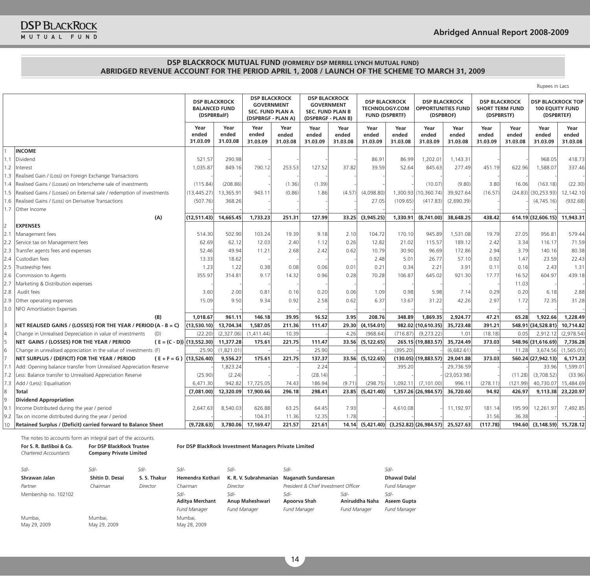|     |                                                                               |                                                             |                           |                                                                                            |                           |                                                                                            |                           |                           |                                               |                            |                                                   |                                                              |                           | Rupees in Lacs                                                   |                           |
|-----|-------------------------------------------------------------------------------|-------------------------------------------------------------|---------------------------|--------------------------------------------------------------------------------------------|---------------------------|--------------------------------------------------------------------------------------------|---------------------------|---------------------------|-----------------------------------------------|----------------------------|---------------------------------------------------|--------------------------------------------------------------|---------------------------|------------------------------------------------------------------|---------------------------|
|     |                                                                               | <b>DSP BLACKROCK</b><br><b>BALANCED FUND</b><br>(DSPBRBalF) |                           | <b>DSP BLACKROCK</b><br><b>GOVERNMENT</b><br><b>SEC. FUND PLAN A</b><br>(DSPBRGF - PLAN A) |                           | <b>DSP BLACKROCK</b><br><b>GOVERNMENT</b><br><b>SEC. FUND PLAN B</b><br>(DSPBRGF - PLAN B) |                           | <b>FUND (DSPBRTF)</b>     | <b>DSP BLACKROCK</b><br><b>TECHNOLOGY.COM</b> | (DSPBROF)                  | <b>DSP BLACKROCK</b><br><b>OPPORTUNITIES FUND</b> | <b>DSP BLACKROCK</b><br><b>SHORT TERM FUND</b><br>(DSPBRSTF) |                           | <b>DSP BLACKROCK TOP</b><br><b>100 EQUITY FUND</b><br>(DSPBRTEF) |                           |
|     |                                                                               | Year<br>ended<br>31.03.09                                   | Year<br>ended<br>31.03.08 | Year<br>ended<br>31.03.09                                                                  | Year<br>ended<br>31.03.08 | Year<br>ended<br>31.03.09                                                                  | Year<br>ended<br>31.03.08 | Year<br>ended<br>31.03.09 | Year<br>ended<br>31.03.08                     | Year<br>ended<br>31.03.09  | Year<br>ended<br>31.03.08                         | Year<br>ended<br>31.03.09                                    | Year<br>ended<br>31.03.08 | Year<br>ended<br>31.03.09                                        | Year<br>ended<br>31.03.08 |
|     | <b>INCOME</b>                                                                 |                                                             |                           |                                                                                            |                           |                                                                                            |                           |                           |                                               |                            |                                                   |                                                              |                           |                                                                  |                           |
| 1.1 | Dividend                                                                      | 521.57                                                      | 290.98                    |                                                                                            |                           |                                                                                            |                           | 86.91                     | 86.99                                         | 1,202.01                   | 1,143.31                                          |                                                              |                           | 968.05                                                           | 418.73                    |
| 1.2 | Interest                                                                      | 1,035.87                                                    | 849.16                    | 790.12                                                                                     | 253.53                    | 127.52                                                                                     | 37.82                     | 39.59                     | 52.64                                         | 845.63                     | 277.49                                            | 451.19                                                       | 622.96                    | 1,588.07                                                         | 337.46                    |
|     | 1.3  Realised Gain / (Loss) on Foreign Exchange Transactions                  |                                                             |                           |                                                                                            |                           |                                                                                            |                           |                           |                                               |                            |                                                   |                                                              |                           |                                                                  |                           |
|     | 1.4 Realised Gains / (Losses) on Interscheme sale of investments              | (115.84)                                                    | (208.86)                  |                                                                                            | (1.36)                    | (1.39)                                                                                     |                           |                           |                                               | (10.07)                    | (9.80)                                            | 3.80                                                         | 16.06                     | (163.18)                                                         | (22.30)                   |
| 1.5 | Realised Gains / (Losses) on External sale / redemption of investments        | (13, 445.27)                                                | 13,365.91                 | 943.11                                                                                     | (0.86)                    | 1.86                                                                                       | (4.57)                    | (4,098.80)                |                                               | 1,300.93 (10,360.74)       | 39,927.64                                         | (16.57)                                                      |                           | $(24.83)$ (30,253.93)                                            | 12,142.10                 |
|     | 1.6 Realised Gains / (Loss) on Derivative Transactions                        | (507.76)                                                    | 368.26                    |                                                                                            |                           |                                                                                            |                           | 27.05                     | (109.65)                                      | (417.83)                   | (2,690.39)                                        |                                                              |                           | (4, 745.16)                                                      | (932.68)                  |
| 1.7 | Other Income                                                                  |                                                             |                           |                                                                                            |                           |                                                                                            |                           |                           |                                               |                            |                                                   |                                                              |                           |                                                                  |                           |
|     | (A)                                                                           | (12,511.43)                                                 | 14,665.45                 | 1,733.23                                                                                   | 251.31                    | 127.99                                                                                     |                           | 33.25 (3,945.25)          | 1,330.91                                      | (8,741.00)                 | 38,648.25                                         | 438.42                                                       |                           | 614.19 (32,606.15)                                               | 11,943.31                 |
| 2   | <b>EXPENSES</b>                                                               |                                                             |                           |                                                                                            |                           |                                                                                            |                           |                           |                                               |                            |                                                   |                                                              |                           |                                                                  |                           |
| 2.1 | Management fees                                                               | 514.30                                                      | 502.90                    | 103.24                                                                                     | 19.39                     | 9.18                                                                                       | 2.10                      | 104.72                    | 170.10                                        | 945.89                     | 1,531.08                                          | 19.79                                                        | 27.05                     | 956.81                                                           | 579.44                    |
|     | 2.2 Service tax on Management fees                                            | 62.69                                                       | 62.12                     | 12.03                                                                                      | 2.40                      | 1.12                                                                                       | 0.26                      | 12.82                     | 21.02                                         | 115.57                     | 189.12                                            | 2.42                                                         | 3.34                      | 116.17                                                           | 71.59                     |
|     | 2.3 Transfer agents fees and expenses                                         | 52.46                                                       | 49.94                     | 11.21                                                                                      | 2.68                      | 2.42                                                                                       | 0.62                      | 10.79                     | 30.90                                         | 96.69                      | 172.86                                            | 2.94                                                         | 3.79                      | 140.16                                                           | 80.38                     |
| 2.4 | Custodian fees                                                                | 13.33                                                       | 18.62                     |                                                                                            |                           |                                                                                            |                           | 2.48                      | 5.01                                          | 26.77                      | 57.10                                             | 0.92                                                         | 1.47                      | 23.59                                                            | 22.43                     |
|     | 2.5 Trusteeship fees                                                          | 1.23                                                        | 1.22                      | 0.38                                                                                       | 0.08                      | 0.06                                                                                       | 0.01                      | 0.21                      | 0.34                                          | 2.21                       | 3.91                                              | 0.11                                                         | 0.16                      | 2.43                                                             | 1.31                      |
|     | 2.6 Commission to Agents                                                      | 355.97                                                      | 314.81                    | 9.17                                                                                       | 14.32                     | 0.96                                                                                       | 0.28                      | 70.28                     | 106.87                                        | 645.02                     | 921.30                                            | 17.77                                                        | 16.52                     | 604.97                                                           | 439.18                    |
|     | 2.7 Marketing & Distribution expenses                                         |                                                             |                           |                                                                                            |                           |                                                                                            |                           |                           |                                               |                            |                                                   |                                                              | 11.03                     |                                                                  |                           |
| 2.8 | Audit fees                                                                    | 3.60                                                        | 2.00                      | 0.81                                                                                       | 0.16                      | 0.20                                                                                       | 0.06                      | 1.09                      | 0.98                                          | 5.98                       | 7.14                                              | 0.29                                                         | 0.20                      | 6.18                                                             | 2.88                      |
| 2.9 | Other operating expenses                                                      | 15.09                                                       | 9.50                      | 9.34                                                                                       | 0.92                      | 2.58                                                                                       | 0.62                      | 6.37                      | 13.67                                         | 31.22                      | 42.26                                             | 2.97                                                         | 1.72                      | 72.35                                                            | 31.28                     |
|     | 3.0   NFO Amortisation Expenses                                               |                                                             |                           |                                                                                            |                           |                                                                                            |                           |                           |                                               |                            |                                                   |                                                              |                           |                                                                  |                           |
|     | (B)                                                                           | 1,018.67                                                    | 961.11                    | 146.18                                                                                     | 39.95                     | 16.52                                                                                      | 3.95                      | 208.76                    | 348.89                                        | 1,869.35                   | 2,924.77                                          | 47.21                                                        | 65.28                     | 1,922.66                                                         | 1,228.49                  |
| 3   | NET REALISED GAINS / (LOSSES) FOR THE YEAR / PERIOD (A - B = C)               | (13,530.10)                                                 | 13,704.34                 | 1,587.05                                                                                   | 211.36                    | 111.47                                                                                     | 29.30                     | (4, 154.01)               |                                               | 982.02 (10,610.35)         | 35,723,48                                         | 391.21                                                       |                           | 548.91 (34,528.81)                                               | 10,714.82                 |
| 4   | Change in Unrealised Depreciation in value of investments<br>(D)              | (22.20)                                                     | (2,327.06)                | (1.411.44)                                                                                 | 10.39                     |                                                                                            | 4.26                      | (968.64)                  | (716.87)                                      | (9,273.22)                 | 1.01                                              | (18.18)                                                      | 0.05                      | 2,912.12                                                         | (2,978.54)                |
|     | NET GAINS / (LOSSES) FOR THE YEAR / PERIOD<br>$(E = (C - D))   (13,552.30)  $ |                                                             | 11,377.28                 | 175.61                                                                                     | 221.75                    | 111.47                                                                                     |                           | 33.56 (5,122.65)          |                                               | 265.15 (19,883.57)         | 35,724.49                                         | 373.03                                                       |                           | 548.96 (31,616.69)                                               | 7,736.28                  |
| 6   | Change in unrealised appreciation in the value of investments (F)             | 25.90                                                       | (1,821.01)                |                                                                                            |                           | 25.90                                                                                      |                           |                           | (395.20)                                      |                            | (6,682.61)                                        |                                                              | 11.28                     | 3,674.56                                                         | (1,565.05)                |
|     | NET SURPLUS / (DEFICIT) FOR THE YEAR / PERIOD<br>$(E + F = G)$ (13,526.40)    |                                                             | 9,556.27                  | 175.61                                                                                     | 221.75                    | 137.37                                                                                     |                           | 33.56 (5,122.65)          |                                               | $(130.05)$ (19,883.57)     | 29,041.88                                         | 373.03                                                       |                           | 560.24 (27,942.13)                                               | 6,171.23                  |
| 7.1 | Add: Opening balance transfer from Unrealised Appreciation Reserve            |                                                             | 1,823.24                  |                                                                                            |                           | 2.24                                                                                       |                           |                           | 395.20                                        |                            | 29,736.59                                         |                                                              |                           | 33.96                                                            | 1,599.01                  |
| 7.2 | Less: Balance transfer to Unrealised Appreciation Reserve                     | (25.90)                                                     | (2.24)                    |                                                                                            |                           | (28.14)                                                                                    |                           |                           |                                               |                            | (23,053.98)                                       |                                                              | (11.28)                   | (3,708.52)                                                       | (33.96)                   |
| 7.3 | Add / (Less): Equalisation                                                    | 6,471.30                                                    | 942.82                    | 17,725.05                                                                                  | 74.43                     | 186.94                                                                                     | (9.71)                    | (298.75)                  | 1,092.11                                      | (7, 101.00)                | 996.11                                            | (278.11)                                                     | (121.99)                  | 40,730.07                                                        | 15,484.69                 |
| 8   | <b>Total</b>                                                                  | (7,081.00)                                                  | 12,320.09                 | 17,900.66                                                                                  | 296.18                    | 298.41                                                                                     |                           | 23.85 (5,421.40)          |                                               | 1,357.26 (26,984.57)       | 36,720.60                                         | 94.92                                                        | 426.97                    | 9,113.38                                                         | 23,220.97                 |
| 9   | <b>Dividend Appropriation</b>                                                 |                                                             |                           |                                                                                            |                           |                                                                                            |                           |                           |                                               |                            |                                                   |                                                              |                           |                                                                  |                           |
| 9.1 | Income Distributed during the year / period                                   | 2,647.63                                                    | 8,540.03                  | 626.88                                                                                     | 63.25                     | 64.45                                                                                      | 7.93                      |                           | 4,610.08                                      |                            | 11,192.97                                         | 181.14                                                       | 195.99                    | 12,261.97                                                        | 7,492.85                  |
|     | 9.2 Tax on income distributed during the year / period                        |                                                             |                           | 104.31                                                                                     | 11.36                     | 12.35                                                                                      | 1.78                      |                           |                                               |                            |                                                   | 31.56                                                        | 36.38                     |                                                                  |                           |
| 10  | Retained Surplus / (Deficit) carried forward to Balance Sheet                 | (9,728.63)                                                  |                           | 3.780.06 17.169.47                                                                         | 221.57                    | 221.61                                                                                     |                           | 14.14 (5.421.40)          |                                               | $(3,252.82)$ $(26,984.57)$ | 25,527.63                                         | (117.78)                                                     | 194.60                    | $(3, 148.59)$ 15,728.12                                          |                           |

The notes to accounts form an integral part of the accounts.

#### **For S. R. Batliboi & Co.** *Chartered Accountants* **For DSP BlackRock Trustee Company Private Limited For DSP BlackRock Investment Managers Private Limited** *Sd/- Sd/- Sd/- Sd/- Sd/- Sd/- Sd/-* **Shrawan Jalan Shitin D. Desai S. S. Thakur Hemendra Kothari K. R. V. Subrahmanian Naganath Sundaresan Dhawal Dalal**  *Partner Chairman Director Chairman Director President & Chief Investment Officer Fund Manager*  Membership no. 102102 *Sd/-* **Aditya Merchant** *Sd/-* **Anup Maheshwari** *Sd/-* **Apoorva Shah** *Sd/-* **Aniruddha Naha** *Sd/-* **Aseem Gupta** *Fund Manager Fund Manager Fund Manager Fund Manager Fund Manager* Mumbai, May 29, 2009 Mumbai, May 29, 2009 Mumbai, May 28, 2009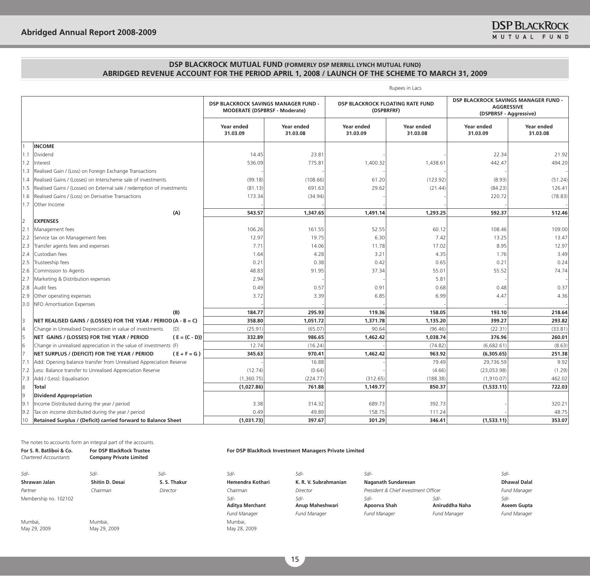|     |                                                                        |                 |                                                                              |                        |                                                       | Rupees in Lacs                |                                                                                     |                        |
|-----|------------------------------------------------------------------------|-----------------|------------------------------------------------------------------------------|------------------------|-------------------------------------------------------|-------------------------------|-------------------------------------------------------------------------------------|------------------------|
|     |                                                                        |                 | DSP BLACKROCK SAVINGS MANAGER FUND -<br><b>MODERATE (DSPBRSF - Moderate)</b> |                        | <b>DSP BLACKROCK FLOATING RATE FUND</b><br>(DSPBRFRF) |                               | DSP BLACKROCK SAVINGS MANAGER FUND -<br><b>AGGRESSIVE</b><br>(DSPBRSF - Aggressive) |                        |
|     |                                                                        |                 | Year ended<br>31.03.09                                                       | Year ended<br>31.03.08 | Year ended<br>31.03.09                                | <b>Year ended</b><br>31.03.08 | Year ended<br>31.03.09                                                              | Year ended<br>31.03.08 |
|     | <b>INCOME</b>                                                          |                 |                                                                              |                        |                                                       |                               |                                                                                     |                        |
| 1.1 | Dividend                                                               |                 | 14.45                                                                        | 23.81                  |                                                       |                               | 22.34                                                                               | 21.92                  |
| 1.2 | Interest                                                               |                 | 536.09                                                                       | 775.81                 | 1,400.32                                              | 1,438.61                      | 442.47                                                                              | 494.20                 |
| 1.3 | Realised Gain / (Loss) on Foreign Exchange Transactions                |                 |                                                                              |                        |                                                       |                               |                                                                                     |                        |
| 1.4 | Realised Gains / (Losses) on Interscheme sale of investments           |                 | (99.18)                                                                      | (108.66)               | 61.20                                                 | (123.92)                      | (8.93)                                                                              | (51.24)                |
| 1.5 | Realised Gains / (Losses) on External sale / redemption of investments |                 | (81.13)                                                                      | 691.63                 | 29.62                                                 | (21.44)                       | (84.23)                                                                             | 126.41                 |
| 1.6 | Realised Gains / (Loss) on Derivative Transactions                     |                 | 173.34                                                                       | (34.94)                |                                                       |                               | 220.72                                                                              | (78.83)                |
| 1.7 | Other Income                                                           |                 |                                                                              |                        |                                                       |                               |                                                                                     |                        |
|     |                                                                        | (A)             | 543.57                                                                       | 1,347.65               | 1,491.14                                              | 1,293.25                      | 592.37                                                                              | 512.46                 |
| l2  | <b>EXPENSES</b>                                                        |                 |                                                                              |                        |                                                       |                               |                                                                                     |                        |
| 2.1 | Management fees                                                        |                 | 106.26                                                                       | 161.55                 | 52.55                                                 | 60.12                         | 108.46                                                                              | 109.00                 |
| 2.2 | Service tax on Management fees                                         |                 | 12.97                                                                        | 19.75                  | 6.30                                                  | 7.42                          | 13.25                                                                               | 13.47                  |
| 2.3 | Transfer agents fees and expenses                                      |                 | 7.71                                                                         | 14.06                  | 11.78                                                 | 17.02                         | 8.95                                                                                | 12.97                  |
| 2.4 | Custodian fees                                                         |                 | 1.64                                                                         | 4.28                   | 3.21                                                  | 4.35                          | 1.76                                                                                | 3.49                   |
| 2.5 | Trusteeship fees                                                       |                 | 0.21                                                                         | 0.38                   | 0.42                                                  | 0.65                          | 0.21                                                                                | 0.24                   |
| 2.6 | Commission to Agents                                                   |                 | 48.83                                                                        | 91.95                  | 37.34                                                 | 55.01                         | 55.52                                                                               | 74.74                  |
| 2.7 | Marketing & Distribution expenses                                      |                 | 2.94                                                                         |                        |                                                       | 5.81                          |                                                                                     |                        |
| 2.8 | Audit fees                                                             |                 | 0.49                                                                         | 0.57                   | 0.91                                                  | 0.68                          | 0.48                                                                                | 0.37                   |
| 2.9 | Other operating expenses                                               |                 | 3.72                                                                         | 3.39                   | 6.85                                                  | 6.99                          | 4.47                                                                                | 4.36                   |
| 3.0 | NFO Amortisation Expenses                                              |                 |                                                                              |                        |                                                       |                               |                                                                                     |                        |
|     |                                                                        | (B)             | 184.77                                                                       | 295.93                 | 119.36                                                | 158.05                        | 193.10                                                                              | 218.64                 |
| 3   | NET REALISED GAINS / (LOSSES) FOR THE YEAR / PERIOD (A - B = C)        |                 | 358.80                                                                       | 1,051.72               | 1,371.78                                              | 1,135.20                      | 399.27                                                                              | 293.82                 |
| 14  | Change in Unrealised Depreciation in value of investments              | (D)             | (25.91)                                                                      | (65.07)                | 90.64                                                 | (96.46)                       | (22.31)                                                                             | (33.81)                |
| 5   | NET GAINS / (LOSSES) FOR THE YEAR / PERIOD                             | $(E = (C - D))$ | 332.89                                                                       | 986.65                 | 1,462.42                                              | 1,038.74                      | 376.96                                                                              | 260.01                 |
| 6   | Change in unrealised appreciation in the value of investments (F)      |                 | 12.74                                                                        | (16.24)                |                                                       | (74.82)                       | (6,682.61)                                                                          | (8.63)                 |
| 17  | NET SURPLUS / (DEFICIT) FOR THE YEAR / PERIOD                          | $(E + F = G)$   | 345.63                                                                       | 970.41                 | 1,462.42                                              | 963.92                        | (6,305.65)                                                                          | 251.38                 |
| 7.1 | Add: Opening balance transfer from Unrealised Appreciation Reserve     |                 |                                                                              | 16.88                  |                                                       | 79.49                         | 29,736.59                                                                           | 9.92                   |
| 7.2 | Less: Balance transfer to Unrealised Appreciation Reserve              |                 | (12.74)                                                                      | (0.64)                 |                                                       | (4.66)                        | (23,053.98)                                                                         | (1.29)                 |
| 7.3 | Add / (Less): Equalisation                                             |                 | (1,360.75)                                                                   | (224.77)               | (312.65)                                              | (188.38)                      | (1,910.07)                                                                          | 462.02                 |
| 8   | <b>Total</b>                                                           |                 | (1,027.86)                                                                   | 761.88                 | 1,149.77                                              | 850.37                        | (1,533.11)                                                                          | 722.03                 |
| l9  | <b>Dividend Appropriation</b>                                          |                 |                                                                              |                        |                                                       |                               |                                                                                     |                        |
| 9.1 | Income Distributed during the year / period                            |                 | 3.38                                                                         | 314.32                 | 689.73                                                | 392.73                        |                                                                                     | 320.21                 |
| 9.2 | Tax on income distributed during the year / period                     |                 | 0.49                                                                         | 49.89                  | 158.75                                                | 111.24                        |                                                                                     | 48.75                  |
| 10  | Retained Surplus / (Deficit) carried forward to Balance Sheet          |                 | (1,031.73)                                                                   | 397.67                 | 301.29                                                | 346.41                        | (1,533.11)                                                                          | 353.07                 |

The notes to accounts form an integral part of the accounts.

| For S. R. Batliboi & Co.<br><b>Chartered Accountants</b> | <b>For DSP BlackRock Trustee</b><br><b>Company Private Limited</b> |              |                         | For DSP BlackRock Investment Managers Private Limited |                                      |                          |                       |
|----------------------------------------------------------|--------------------------------------------------------------------|--------------|-------------------------|-------------------------------------------------------|--------------------------------------|--------------------------|-----------------------|
| $S$ d/-                                                  | Sd/-                                                               | $Sd$ -       | $S$ d/-                 | Sd/-                                                  | Sd/-                                 |                          | $Sd$ -                |
| Shrawan Jalan                                            | Shitin D. Desai                                                    | S. S. Thakur | Hemendra Kothari        | K. R. V. Subrahmanian                                 | Naganath Sundaresan                  |                          | <b>Dhawal Dalal</b>   |
| Partner                                                  | Chairman                                                           | Director     | Chairman                | Director                                              | President & Chief Investment Officer |                          | <b>Fund Manager</b>   |
| Membership no. 102102                                    |                                                                    |              | Sd/-<br>Aditya Merchant | Sd/-<br>Anup Maheshwari                               | $S$ d/-<br>Apoorva Shah              | $Sd$ -<br>Aniruddha Naha | $Sd$ -<br>Aseem Gupta |
|                                                          |                                                                    |              | <b>Fund Manager</b>     | <b>Fund Manager</b>                                   | <b>Fund Manager</b>                  | <b>Fund Manager</b>      | <b>Fund Manager</b>   |
| Mumbai.<br>May 29, 2009                                  | Mumbai.<br>May 29, 2009                                            |              | Mumbai.<br>May 28, 2009 |                                                       |                                      |                          |                       |

15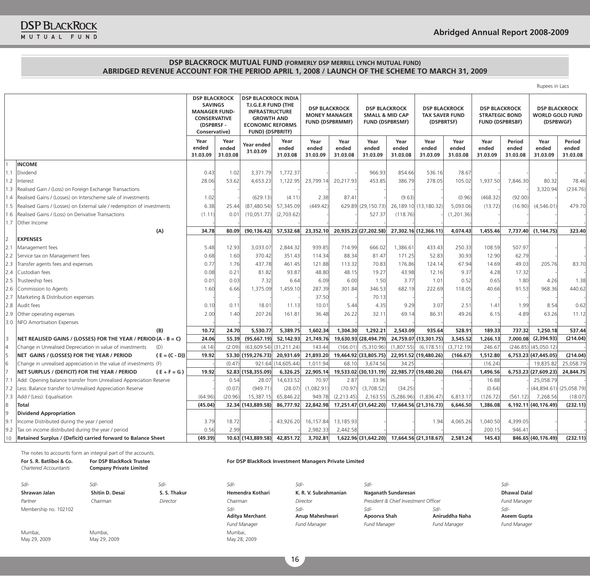| Rupees in Lacs |  |
|----------------|--|

|                |                                                                        | <b>DSP BLACKROCK</b><br><b>SAVINGS</b><br><b>MANAGER FUND-</b><br><b>CONSERVATIVE</b><br>(DSPBRSF-<br>Conservative) |                           | <b>DSP BLACKROCK INDIA</b><br>T.I.G.E.R FUND (THE<br><b>INFRASTRUCTURE</b><br><b>GROWTH AND</b><br><b>ECONOMIC REFORMS</b><br><b>FUND) (DSPBRITF)</b> |                           | <b>DSP BLACKROCK</b><br><b>MONEY MANAGER</b><br><b>FUND (DSPBRMMF)</b> |                           | <b>DSP BLACKROCK</b><br><b>SMALL &amp; MID CAP</b><br><b>FUND (DSPBRSMF)</b> |                           | <b>DSP BLACKROCK</b><br><b>TAX SAVER FUND</b><br>(DSPBRTSF) |                           | <b>DSP BLACKROCK</b><br><b>STRATEGIC BOND</b><br><b>FUND (DSPBRSBF)</b> |                             | <b>DSP BLACKROCK</b><br><b>WORLD GOLD FUND</b><br>(DSPBWGF) |                             |
|----------------|------------------------------------------------------------------------|---------------------------------------------------------------------------------------------------------------------|---------------------------|-------------------------------------------------------------------------------------------------------------------------------------------------------|---------------------------|------------------------------------------------------------------------|---------------------------|------------------------------------------------------------------------------|---------------------------|-------------------------------------------------------------|---------------------------|-------------------------------------------------------------------------|-----------------------------|-------------------------------------------------------------|-----------------------------|
|                |                                                                        | Year<br>ended<br>31.03.09                                                                                           | Year<br>ended<br>31.03.08 | Year ended<br>31.03.09                                                                                                                                | Year<br>ended<br>31.03.08 | Year<br>ended<br>31.03.09                                              | Year<br>ended<br>31.03.08 | Year<br>ended<br>31.03.09                                                    | Year<br>ended<br>31.03.08 | Year<br>ended<br>31.03.09                                   | Year<br>ended<br>31.03.08 | Year<br>ended<br>31.03.09                                               | Period<br>ended<br>31.03.08 | Year<br>ended<br>31.03.09                                   | Period<br>ended<br>31.03.08 |
|                | <b>INCOME</b>                                                          |                                                                                                                     |                           |                                                                                                                                                       |                           |                                                                        |                           |                                                                              |                           |                                                             |                           |                                                                         |                             |                                                             |                             |
| 1.1            | Dividend                                                               | 0.43                                                                                                                | 1.02                      | 3.371.79                                                                                                                                              | 1,772.37                  |                                                                        |                           | 966.93                                                                       | 854.66                    | 536.16                                                      | 78.67                     |                                                                         |                             |                                                             |                             |
| 1.2            | Interest                                                               | 28.06                                                                                                               | 53.62                     | 4,653.23                                                                                                                                              | 1,122.95                  | 23,799.14                                                              | 20,217.93                 | 453.85                                                                       | 386.79                    | 278.05                                                      | 105.02                    | 1,937.50                                                                | 7,846.30                    | 80.32                                                       | 78.46                       |
| 1.3            | Realised Gain / (Loss) on Foreign Exchange Transactions                |                                                                                                                     |                           |                                                                                                                                                       |                           |                                                                        |                           |                                                                              |                           |                                                             |                           |                                                                         |                             | 3,320.94                                                    | (234.76)                    |
| 1.4            | Realised Gains / (Losses) on Interscheme sale of investments           | 1.02                                                                                                                |                           | (629.13)                                                                                                                                              | (4.11)                    | 2.38                                                                   | 87.41                     |                                                                              | (9.63)                    |                                                             | (0.96)                    | (468.32)                                                                | (92.00)                     |                                                             |                             |
| 1.5            | Realised Gains / (Losses) on External sale / redemption of investments | 6.38                                                                                                                | 25.44                     | (87, 480.54)                                                                                                                                          | 57,345.09                 | (449.42)                                                               |                           | 629.89 (29,150.73)                                                           |                           | 26, 189. 10 (13, 180. 32                                    | 5,093.06                  | (13.72)                                                                 | (16.90)                     | (4,546.01)                                                  | 479.70                      |
| 1.6            | Realised Gains / (Loss) on Derivative Transactions                     | (1.11)                                                                                                              | 0.01                      | (10,051.77)                                                                                                                                           | (2,703.62)                |                                                                        |                           | 527.37                                                                       | (118.76)                  |                                                             | (1, 201.36)               |                                                                         |                             |                                                             |                             |
| 1.7            | Other Income                                                           |                                                                                                                     |                           |                                                                                                                                                       |                           |                                                                        |                           |                                                                              |                           |                                                             |                           |                                                                         |                             |                                                             |                             |
|                | (A)                                                                    | 34.78                                                                                                               | 80.09                     | (90, 136.42)                                                                                                                                          | 57,532.68                 | 23,352.10                                                              |                           | 20,935.23 (27,202.58)                                                        |                           | 27,302.16 (12,366.11)                                       | 4,074.43                  | 1,455.46                                                                |                             | 7,737.40 (1,144.75)                                         | 323,40                      |
| $\overline{2}$ | <b>EXPENSES</b>                                                        |                                                                                                                     |                           |                                                                                                                                                       |                           |                                                                        |                           |                                                                              |                           |                                                             |                           |                                                                         |                             |                                                             |                             |
| 2.1            | Management fees                                                        | 5.48                                                                                                                | 12.93                     | 3,033.07                                                                                                                                              | 2,844.32                  | 939.85                                                                 | 714.99                    | 666.02                                                                       | 1,386.61                  | 433.43                                                      | 250.33                    | 108.59                                                                  | 507.97                      |                                                             |                             |
| 2.2            | Service tax on Management fees                                         | 0.68                                                                                                                | 1.60                      | 370.42                                                                                                                                                | 351.43                    | 114.34                                                                 | 88.34                     | 81.47                                                                        | 171.25                    | 52.83                                                       | 30.93                     | 12.90                                                                   | 62.79                       |                                                             |                             |
| 2.3            | Transfer agents fees and expenses                                      | 0.77                                                                                                                | 1.76                      | 437.78                                                                                                                                                | 461.45                    | 121.88                                                                 | 113.32                    | 70.83                                                                        | 176.86                    | 124.14                                                      | 67.94                     | 14.69                                                                   | 49.03                       | 205.76                                                      | 83.70                       |
|                | 2.4 Custodian fees                                                     | 0.08                                                                                                                | 0.21                      | 81.82                                                                                                                                                 | 93.87                     | 48.80                                                                  | 48.15                     | 19.27                                                                        | 43.98                     | 12.16                                                       | 9.37                      | 4.28                                                                    | 17.32                       |                                                             |                             |
| 2.5            | Trusteeship fees                                                       | 0.01                                                                                                                | 0.03                      | 7.32                                                                                                                                                  | 6.64                      | 6.09                                                                   | 6.00                      | 1.50                                                                         | 3.77                      | 1.01                                                        | 0.52                      | 0.65                                                                    | 1.80                        | 4.26                                                        | 1.38                        |
| 2.6            | Commission to Agents                                                   | 1.60                                                                                                                | 6.66                      | 1,375.09                                                                                                                                              | 1,459.10                  | 287.39                                                                 | 301.84                    | 346.53                                                                       | 682.19                    | 222.69                                                      | 118.05                    | 40.66                                                                   | 91.53                       | 968.36                                                      | 440.62                      |
| 2.7            | Marketing & Distribution expenses                                      |                                                                                                                     |                           |                                                                                                                                                       |                           | 37.50                                                                  |                           | 70.13                                                                        |                           |                                                             |                           |                                                                         |                             |                                                             |                             |
|                | 2.8 Audit fees                                                         | 0.10                                                                                                                | 0.11                      | 18.01                                                                                                                                                 | 11.13                     | 10.01                                                                  | 5.44                      | 4.35                                                                         | 9.29                      | 3.07                                                        | 2.51                      | 1.41                                                                    | 1.99                        | 8.54                                                        | 0.62                        |
| 2.9            | Other operating expenses                                               | 2.00                                                                                                                | 1.40                      | 207.26                                                                                                                                                | 161.81                    | 36.48                                                                  | 26.22                     | 32.11                                                                        | 69.14                     | 86.31                                                       | 49.26                     | 6.15                                                                    | 4.89                        | 63.26                                                       | 11.12                       |
| 3.0            | NFO Amortisation Expenses                                              |                                                                                                                     |                           |                                                                                                                                                       |                           |                                                                        |                           |                                                                              |                           |                                                             |                           |                                                                         |                             |                                                             |                             |
|                | (B)                                                                    | 10.72                                                                                                               | 24.70                     | 5,530.77                                                                                                                                              | 5,389.75                  | 1,602.34                                                               | 1,304.30                  | 1,292.21                                                                     | 2,543.09                  | 935.64                                                      | 528.91                    | 189.33                                                                  | 737.32                      | 1,250.18                                                    | 537.44                      |
| 3              | NET REALISED GAINS / (LOSSES) FOR THE YEAR / PERIOD (A - B = C)        | 24.06                                                                                                               | 55.39                     | (95,667.19)                                                                                                                                           | 52,142.93                 | 21,749.76                                                              |                           | 19,630.93 (28,494.79)                                                        |                           | 24,759.07 (13,301.75)                                       | 3,545.52                  | 1,266.13                                                                |                             | 7,000.08 (2,394.93)                                         | (214.04)                    |
| 4              | Change in Unrealised Depreciation in value of investments<br>(D)       | (4.14)                                                                                                              | (2.09)                    | $(63,609.54)$ $(31,211.24)$                                                                                                                           |                           | 143.44                                                                 | (166.01)                  | (5,310.96)                                                                   | (1,807.55)                | (6, 178.51)                                                 | (3,712.19)                | 246.67                                                                  |                             | $(246.85)$ $(45,050.12)$                                    |                             |
| 5              | NET GAINS / (LOSSES) FOR THE YEAR / PERIOD<br>$(E = (C - D))$          | 19.92                                                                                                               |                           | 53.30 (159,276.73)                                                                                                                                    | 20,931.69                 | 21,893.20                                                              |                           | 19,464.92 (33,805.75)                                                        |                           | 22,951.52 (19,480.26)                                       | (166.67)                  | 1,512.80                                                                |                             | 6,753.23 (47,445.05)                                        | (214.04)                    |
| 6              | Change in unrealised appreciation in the value of investments (F)      |                                                                                                                     | (0.47)                    |                                                                                                                                                       | 921.64 (14,605.44)        | 1,011.94                                                               | 68.10                     | 3,674.56                                                                     | 34.25                     |                                                             |                           | (16.24)                                                                 |                             | 19,835.82                                                   | 25,058.79                   |
|                | NET SURPLUS / (DEFICIT) FOR THE YEAR / PERIOD<br>$(E + F = G)$         | 19.92                                                                                                               |                           | 52.83 (158,355.09)                                                                                                                                    | 6,326.25                  | 22,905.14                                                              |                           | 19,533.02 (30,131.19)                                                        |                           | 22,985.77 (19,480.26)                                       | (166.67)                  | 1,496.56                                                                |                             | 6,753.23 (27,609.23)                                        | 24,844.75                   |
| 7.1            | Add: Opening balance transfer from Unrealised Appreciation Reserve     |                                                                                                                     | 0.54                      | 28.07                                                                                                                                                 | 14,633.52                 | 70.97                                                                  | 2.87                      | 33.96                                                                        |                           |                                                             |                           | 16.88                                                                   |                             | 25,058.79                                                   |                             |
| 7.2            | Less: Balance transfer to Unrealised Appreciation Reserve              |                                                                                                                     | (0.07)                    | (949.71)                                                                                                                                              | (28.07)                   | (1,082.91)                                                             | (70.97)                   | (3,708.52)                                                                   | (34.25)                   |                                                             |                           | (0.64)                                                                  |                             | (44,894.61)                                                 | (25,058.79)                 |
| 7.3            | Add / (Less): Equalisation                                             | (64.96)                                                                                                             | (20.96)                   | 15,387.15                                                                                                                                             | 65,846.22                 | 949.78                                                                 | (2, 213.45)               | 2,163.55                                                                     | (5,286.96)                | (1,836.47)                                                  | 6,813.17                  | (126.72)                                                                | (561.12)                    | 7,268.56                                                    | (18.07)                     |
| 8              | Total                                                                  | (45.04)                                                                                                             |                           | 32.34 (143,889.58)                                                                                                                                    | 86,777.92                 | 22,842.98                                                              |                           | 17,251.47 (31,642.20)                                                        |                           | 17,664.56 (21,316.73)                                       | 6,646.50                  | 1,386.08                                                                |                             | 6,192.11 (40,176.49)                                        | (232.11)                    |
| 9              | <b>Dividend Appropriation</b>                                          |                                                                                                                     |                           |                                                                                                                                                       |                           |                                                                        |                           |                                                                              |                           |                                                             |                           |                                                                         |                             |                                                             |                             |
| 9.1            | Income Distributed during the year / period                            | 3.79                                                                                                                | 18.72                     |                                                                                                                                                       | 43,926.20                 | 16,157.84                                                              | 13,185.93                 |                                                                              |                           | 1.94                                                        | 4,065.26                  | 1,040.50                                                                | 4,399.05                    |                                                             |                             |
| 9.2            | Tax on income distributed during the year / period                     | 0.56                                                                                                                | 2.99                      |                                                                                                                                                       |                           | 2,982.33                                                               | 2,442.58                  |                                                                              |                           |                                                             |                           | 200.15                                                                  | 946.41                      |                                                             |                             |
| 10             | Retained Surplus / (Deficit) carried forward to Balance Sheet          | (49.39)                                                                                                             |                           | 10.63 (143,889.58)                                                                                                                                    | 42,851.72                 | 3,702.81                                                               |                           | 1,622.96 (31,642.20)                                                         |                           | 17.664.56 (21.318.67)                                       | 2,581.24                  | 145.43                                                                  |                             | 846.65 (40.176.49)                                          | (232.11)                    |

The notes to accounts form an integral part of the accounts.

#### **For DSP BlackRock Investment Managers Private Limited**

| $\sqrt{11}$           |
|-----------------------|
| Hemendra Kotł         |
| Chairman              |
| Sd/-                  |
| <b>Aditya Merchar</b> |
| <b>Fund Manager</b>   |
| Mumbai,               |
| May 28, 2009          |

**Aditya Merchant** *Sd/-*

**Anup Maheshwari** *Sd/-* **Apoorva Shah**

*Sd/- Sd/- Sd/- Sd/- Sd/- Sd/- Sd/-* Shrawan Jalan **Shitin D. Desai S. S. Thakur** Hemendra Kothari K. R. V. Subrahmanian Naganath Sundaresan Dhawal Dalal Dhawal Dalal *Partner Chairman Director Chairman Director President & Chief Investment Officer Fund Manager Sd/-* **Aniruddha Naha** *Fund Manager Fund Manager Fund Manager Fund Manager Fund Manager*

*Sd/-* **Aseem Gupta**

Mumbai, May 29, 2009

**For S. R. Batliboi & Co.** *Chartered Accountants*

Membership no. 102102

Mumbai,

**For DSP BlackRock Trustee Company Private Limited**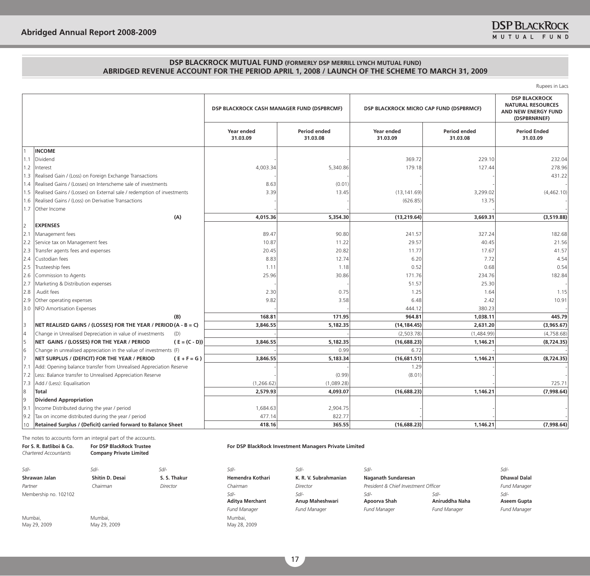Rupees in Lacs

|     |                                                                        | DSP BLACKROCK CASH MANAGER FUND (DSPBRCMF) |                          | DSP BLACKROCK MICRO CAP FUND (DSPBRMCF) |                          | <b>DSP BLACKROCK</b><br><b>NATURAL RESOURCES</b><br>AND NEW ENERGY FUND<br>(DSPBRNRNEF) |
|-----|------------------------------------------------------------------------|--------------------------------------------|--------------------------|-----------------------------------------|--------------------------|-----------------------------------------------------------------------------------------|
|     |                                                                        | Year ended<br>31.03.09                     | Period ended<br>31.03.08 | Year ended<br>31.03.09                  | Period ended<br>31.03.08 | <b>Period Ended</b><br>31.03.09                                                         |
|     | <b>INCOME</b>                                                          |                                            |                          |                                         |                          |                                                                                         |
| 1.1 | Dividend                                                               |                                            |                          | 369.72                                  | 229.10                   | 232.04                                                                                  |
| 1.2 | Interest                                                               | 4,003.34                                   | 5,340.86                 | 179.18                                  | 127.44                   | 278.96                                                                                  |
| 1.3 | Realised Gain / (Loss) on Foreign Exchange Transactions                |                                            |                          |                                         |                          | 431.22                                                                                  |
| 1.4 | Realised Gains / (Losses) on Interscheme sale of investments           | 8.63                                       | (0.01)                   |                                         |                          |                                                                                         |
| 1.5 | Realised Gains / (Losses) on External sale / redemption of investments | 3.39                                       | 13.45                    | (13, 141.69)                            | 3,299.02                 | (4,462.10)                                                                              |
| 1.6 | Realised Gains / (Loss) on Derivative Transactions                     |                                            |                          | (626.85)                                | 13.75                    |                                                                                         |
| 1.7 | Other Income                                                           |                                            |                          |                                         |                          |                                                                                         |
|     | (A)                                                                    | 4,015.36                                   | 5,354.30                 | (13, 219.64)                            | 3,669.31                 | (3,519.88)                                                                              |
| 12  | <b>EXPENSES</b>                                                        |                                            |                          |                                         |                          |                                                                                         |
| 2.1 | Management fees                                                        | 89.47                                      | 90.80                    | 241.57                                  | 327.24                   | 182.68                                                                                  |
| 2.2 | Service tax on Management fees                                         | 10.87                                      | 11.22                    | 29.57                                   | 40.45                    | 21.56                                                                                   |
| 2.3 | Transfer agents fees and expenses                                      | 20.45                                      | 20.82                    | 11.77                                   | 17.67                    | 41.57                                                                                   |
| 2.4 | Custodian fees                                                         | 8.83                                       | 12.74                    | 6.20                                    | 7.72                     | 4.54                                                                                    |
| 2.5 | Trusteeship fees                                                       | 1.11                                       | 1.18                     | 0.52                                    | 0.68                     | 0.54                                                                                    |
| 2.6 | Commission to Agents                                                   | 25.96                                      | 30.86                    | 171.76                                  | 234.76                   | 182.84                                                                                  |
| 2.7 | Marketing & Distribution expenses                                      |                                            |                          | 51.57                                   | 25.30                    |                                                                                         |
| 2.8 | Audit fees                                                             | 2.30                                       | 0.75                     | 1.25                                    | 1.64                     | 1.15                                                                                    |
| 2.9 | Other operating expenses                                               | 9.82                                       | 3.58                     | 6.48                                    | 2.42                     | 10.91                                                                                   |
| 3.0 | NFO Amortisation Expenses                                              |                                            |                          | 444.12                                  | 380.23                   |                                                                                         |
|     | (B)                                                                    | 168.81                                     | 171.95                   | 964.81                                  | 1,038.11                 | 445.79                                                                                  |
| 13  | NET REALISED GAINS / (LOSSES) FOR THE YEAR / PERIOD (A - B = C)        | 3,846.55                                   | 5,182.35                 | (14, 184.45)                            | 2,631.20                 | (3,965.67)                                                                              |
| 14  | Change in Unrealised Depreciation in value of investments<br>(D)       |                                            |                          | (2, 503.78)                             | (1,484.99)               | (4,758.68)                                                                              |
| 5   | NET GAINS / (LOSSES) FOR THE YEAR / PERIOD<br>$(E = (C - D))$          | 3,846.55                                   | 5,182.35                 | (16,688.23)                             | 1,146.21                 | (8,724.35)                                                                              |
| 6   | Change in unrealised appreciation in the value of investments (F)      |                                            | 0.99                     | 6.72                                    |                          |                                                                                         |
| 17  | NET SURPLUS / (DEFICIT) FOR THE YEAR / PERIOD<br>$(E + F = G)$         | 3,846.55                                   | 5,183.34                 | (16,681.51)                             | 1,146.21                 | (8,724.35)                                                                              |
| 7.1 | Add: Opening balance transfer from Unrealised Appreciation Reserve     |                                            |                          | 1.29                                    |                          |                                                                                         |
| 7.2 | Less: Balance transfer to Unrealised Appreciation Reserve              |                                            | (0.99)                   | (8.01)                                  |                          |                                                                                         |
| 7.3 | Add / (Less): Equalisation                                             | (1,266.62)                                 | (1,089.28)               |                                         |                          | 725.71                                                                                  |
| 8   | <b>Total</b>                                                           | 2,579.93                                   | 4,093.07                 | (16,688.23)                             | 1,146.21                 | (7,998.64)                                                                              |
| l9  | <b>Dividend Appropriation</b>                                          |                                            |                          |                                         |                          |                                                                                         |
| 9.1 | Income Distributed during the year / period                            | 1,684.63                                   | 2,904.75                 |                                         |                          |                                                                                         |
| 9.2 | Tax on income distributed during the year / period                     | 477.14                                     | 822.77                   |                                         |                          |                                                                                         |
| 10  | Retained Surplus / (Deficit) carried forward to Balance Sheet          | 418.16                                     | 365.55                   | (16,688.23)                             | 1.146.21                 | (7,998.64)                                                                              |

The notes to accounts form an integral part of the accounts.

| For S. R. Batliboi & Co.<br><b>Chartered Accountants</b> | <b>For DSP BlackRock Trustee</b><br><b>Company Private Limited</b> |              | For DSP BlackRock Investment Managers Private Limited |                         |                                      |                          |                       |  |  |  |  |
|----------------------------------------------------------|--------------------------------------------------------------------|--------------|-------------------------------------------------------|-------------------------|--------------------------------------|--------------------------|-----------------------|--|--|--|--|
| $Sd$ -                                                   | $S$ d/-                                                            | $Sd$ -       | $S$ d/-                                               | $Sd$ -                  | Sd/-                                 |                          | Sd/-                  |  |  |  |  |
| Shrawan Jalan                                            | Shitin D. Desai                                                    | S. S. Thakur | Hemendra Kothari                                      | K. R. V. Subrahmanian   | Naganath Sundaresan                  |                          | <b>Dhawal Dalal</b>   |  |  |  |  |
| Partner                                                  | Chairman                                                           | Director     | Chairman                                              | Director                | President & Chief Investment Officer |                          | <b>Fund Manager</b>   |  |  |  |  |
| Membership no. 102102                                    |                                                                    |              | $S$ d/-<br><b>Aditya Merchant</b>                     | Sd/-<br>Anup Maheshwari | $Sd$ -<br>Apoorva Shah               | $Sd$ -<br>Aniruddha Naha | $Sd$ -<br>Aseem Gupta |  |  |  |  |
|                                                          |                                                                    |              | <b>Fund Manager</b>                                   | <b>Fund Manager</b>     | <b>Fund Manager</b>                  | <b>Fund Manager</b>      | <b>Fund Manager</b>   |  |  |  |  |
| Mumbai.<br>May 29, 2009                                  | Mumbai.<br>May 29, 2009                                            |              | Mumbai.<br>May 28, 2009                               |                         |                                      |                          |                       |  |  |  |  |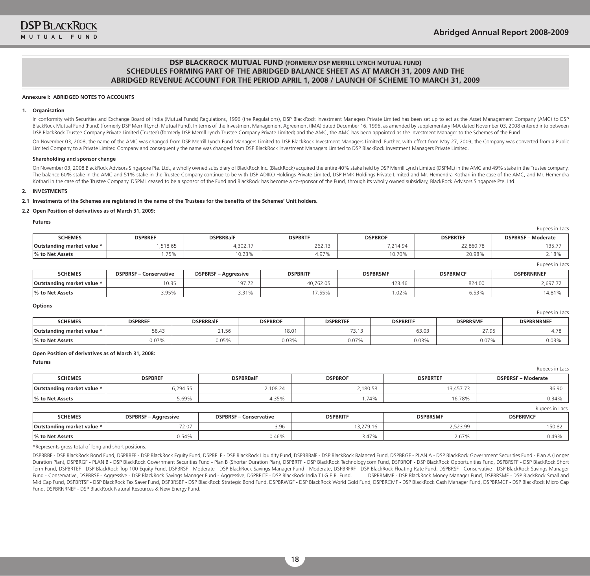Rupees in Lacs

Rupees in Lacs

Rupees in Lacs

## **DSP BLACKROCK MUTUAL FUND (FORMERLY DSP MERRILL LYNCH MUTUAL FUND) SCHEDULES FORMING PART OF THE ABRIDGED BALANCE SHEET AS AT MARCH 31, 2009 AND THE ABRIDGED REVENUE ACCOUNT FOR THE PERIOD APRIL 1, 2008 / LAUNCH OF SCHEME TO MARCH 31, 2009**

#### **Annexure I: ABRIDGED NOTES TO ACCOUNTS**

#### **1. Organisation**

In conformity with Securities and Exchange Board of India (Mutual Funds) Requlations, 1996 (the Requlations), DSP BlackRock Investment Managers Private Limited has been set up to act as the Asset Management Company (AMC) t BlackRock Mutual Fund (Fund) (formerly DSP Merrill Lynch Mutual Fund). In terms of the Investment Management Agreement (IMA) dated December 16, 1996, as amended by supplementary IMA dated November 03, 2008 entered into bet DSP BlackRock Trustee Company Private Limited (Trustee) (formerly DSP Merrill Lynch Trustee Company Private Limited) and the AMC, the AMC has been appointed as the Investment Manager to the Schemes of the Fund.

On November 03, 2008, the name of the AMC was changed from DSP Merrill Lynch Fund Managers Limited to DSP BlackRock Investment Managers Limited. Further, with effect from May 27, 2009, the Company was converted from a Publ Limited Company to a Private Limited Company and consequently the name was changed from DSP BlackRock Investment Managers Limited to DSP BlackRock Investment Managers Private Limited.

#### **Shareholding and sponsor change**

On November 03, 2008 BlackRock Advisors Singapore Pte. Ltd., a wholly owned subsidiary of BlackRock Inc. (BlackRock) acquired the entire 40% stake held by DSP Merrill Lynch Limited (DSPML) in the AMC and 49% stake in the T The balance 60% stake in the AMC and 51% stake in the Trustee Company continue to be with DSP ADIKO Holdings Private Limited, DSP HMK Holdings Private Limited and Mr. Hemendra Kothari in the case of the AMC, and Mr. Hemend Kothari in the case of the Trustee Company. DSPML ceased to be a sponsor of the Fund and BlackRock has become a co-sponsor of the Fund, through its wholly owned subsidiary, BlackRock Advisors Singapore Pte. Ltd.

#### **2. INVESTMENTS**

#### **2.1 Investments of the Schemes are registered in the name of the Trustees for the benefits of the Schemes' Unit holders.**

#### **2.2 Open Position of derivatives as of March 31, 2009:**

**Futures**

| <b>SCHEMES</b>             | <b>DSPBREF</b> | <b>DSPBRBalF</b> | <b>DSPBRTF</b> | <b>DSPBROF</b> | <b>DSPBRTEF</b> | <b>DSPBRSF - Moderate</b> |
|----------------------------|----------------|------------------|----------------|----------------|-----------------|---------------------------|
| Outstanding market value * | ,518.65        | 4,302.17         | 262.13         | 7,214.94       | 22,860.78       | 135.77                    |
| % to Net Assets            | .75%           | 10.23%           | 4.97%          | 10.70%         | 20.98%          | 2.18%                     |
|                            |                |                  |                |                |                 |                           |

| <b>SCHEMES</b>             | <b>DSPBRSF</b><br>- Conservative | <b>DSPBRSF - Aggressive</b> | <b>DSPBRITF</b>                 | <b>DSPBRSMF</b> | <b>DSPBRMCF</b> | <b>DSPBRNRNER</b> |
|----------------------------|----------------------------------|-----------------------------|---------------------------------|-----------------|-----------------|-------------------|
| Outstanding market value * | 10.35                            | 10772                       | 0.7020<br>40,702.0 <sub>-</sub> | 423.46          | 824.00          | 2,697             |
| % to Net Assets            | 3.95%                            | 3.31%                       | 17 FFA/<br>17.55%               | .02%            | 6.53%           | 4010<br>14.O.     |

**Options**

| <b>SCHEMES</b>           | <b>DSPBREF</b> | <b>DSPBRBalF</b> | <b>DSPBROF</b>    | <b>DSPBRTEF</b>                                | <b>DSPBRITE</b> | <b>DSPBRSMF</b>     | <b>DSPBRNRNEF</b> |
|--------------------------|----------------|------------------|-------------------|------------------------------------------------|-----------------|---------------------|-------------------|
| Outstanding market value | 58.43          | 21.JU            | 18.0 <sup>°</sup> | $\rightarrow$ $\rightarrow$ $\rightarrow$<br>. | 63.03           | 27.05<br>◡<br>ر ر . |                   |
| % to Net Assets          | 0.07%          | 0.05%            | 0.03%             | 0.07%                                          | 0.03%           | 0.07%               | 0.03%             |

#### **Open Position of derivatives as of March 31, 2008:**

**Futures**

|                            |                |                  |                |                 | <b>INUPERS III LALS</b>   |
|----------------------------|----------------|------------------|----------------|-----------------|---------------------------|
| <b>SCHEMES</b>             | <b>DSPBREF</b> | <b>DSPBRBalF</b> | <b>DSPBROF</b> | <b>DSPBRTEF</b> | <b>DSPBRSF – Moderate</b> |
| Outstanding market value * | 5.294.55       | 108.24           | 2.180.58       | 13,457.73       | 36.90                     |
| % to Net Assets            | 5.69%          | 4.35%            | .74%           | 16.78%          | 0.34%                     |
|                            |                |                  |                |                 | Rupees in Lacs            |

| <b>SCHEMES</b>             | <b>DSPBRSF</b><br>. – Aggressive | <b>DSPBRSF</b><br>– Conservative | <b>DSPBRITE</b>                        | <b>DSPBRSMF</b>                | <b>DSPBRMCF</b> |
|----------------------------|----------------------------------|----------------------------------|----------------------------------------|--------------------------------|-----------------|
| Outstanding market value * | 72.07                            | $\sim$<br>3.96                   | 122<br>.701 <sup>c</sup><br>∵ 2/9.1bر. | LEDD QO<br><i>د. د</i> ۲۰ در ۲ | 150.82          |
| % to Net Assets            | 54%<br>◡.◡                       | 0.46%                            | 170<br>5.4                             | 2.67%                          | 0.499           |

\*Represents gross total of long and short positions.

DSPBRBF - DSP BlackRock Bond Fund, DSPBREF - DSP BlackRock Equity Fund, DSPBRLF - DSP BlackRock Liquidity Fund, DSPBRBalF - DSP BlackRock Balanced Fund, DSPBRGF - PLAN A - DSP BlackRock Government Securities Fund - Plan A Duration Plan), DSPBRGF - PLAN B - DSP BlackRock Government Securities Fund - Plan B (Shorter Duration Plan), DSPBRTF - DSP BlackRock Technology.com Fund, DSPBROF - DSP BlackRock Opportunities Fund, DSPBRSTF - DSP BlackRoc Term Fund, DSPBRTEF - DSP BlackRock Top 100 Equity Fund, DSPBRSF - Moderate - DSP BlackRock Savings Manager Fund - Moderate, DSPBRFRF - DSP BlackRock Floating Rate Fund, DSPBRSF - Conservative - DSP BlackRock Savings Manag Fund - Conservative, DSPBRSF - Aggressive - DSP BlackRock Savings Manager Fund - Aggressive, DSPBRITF - DSP BlackRock India T.I.G.E.R. Fund, DSPBRMMF - DSP BlackRock Money Manager Fund, DSPBRSMF - DSP BlackRock Small and Mid Cap Fund, DSPBRTSF - DSP BlackRock Tax Saver Fund, DSPBRSBF - DSP BlackRock Strategic Bond Fund, DSPBRWGF - DSP BlackRock World Gold Fund, DSPBRCMF - DSP BlackRock Cash Manager Fund, DSPBRMCF - DSP BlackRock Micro Cap Fund, DSPBRNRNEF - DSP BlackRock Natural Resources & New Energy Fund.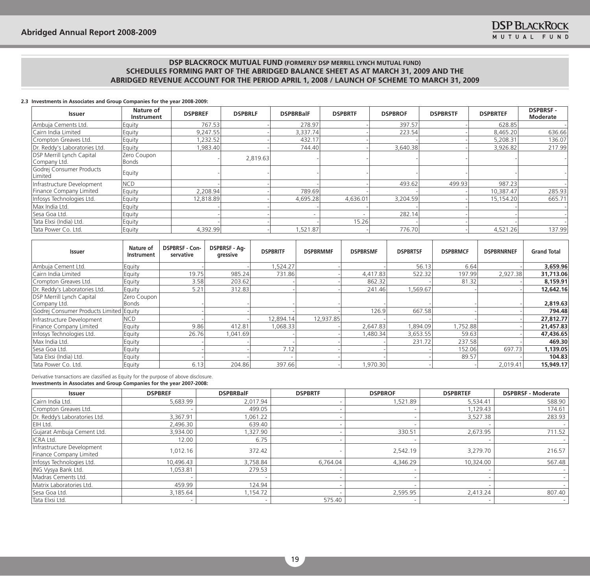#### **2.3 Investments in Associates and Group Companies for the year 2008-2009:**

| <b>Issuer</b>                                    | Nature of<br><b>Instrument</b> | <b>DSPBREF</b> | <b>DSPBRLF</b> | <b>DSPBRBalF</b> | <b>DSPBRTF</b>           | <b>DSPBROF</b> | <b>DSPBRSTF</b> | <b>DSPBRTEF</b> | <b>DSPBRSF-</b><br>Moderate |
|--------------------------------------------------|--------------------------------|----------------|----------------|------------------|--------------------------|----------------|-----------------|-----------------|-----------------------------|
| Ambuja Cements Ltd.                              | Equity                         | 767.53         |                | 278.97           |                          | 397.57         |                 | 628.85          |                             |
| Cairn India Limited                              | Equity                         | 9.247.55       |                | 3,337.74         |                          | 223.54         |                 | 8.465.20        | 636.66                      |
| Crompton Greaves Ltd.                            | Equity                         | .232.52        |                | 432.17           |                          |                |                 | 5.208.31        | 136.07                      |
| Dr. Reddy's Laboratories Ltd.                    | Equity                         | 1,983.40       |                | 744.40           |                          | 3,640.38       |                 | 3,926.82        | 217.99                      |
| <b>DSP Merrill Lynch Capital</b><br>Company Ltd. | Zero Coupon<br>Bonds           |                | 2,819.63       |                  |                          |                |                 |                 |                             |
| Godrej Consumer Products<br>Limited              | Equity                         |                |                |                  |                          |                |                 |                 |                             |
| Infrastructure Development                       | <b>NCD</b>                     |                |                |                  |                          | 493.62         | 499.93          | 987.23          |                             |
| Finance Company Limited                          | Equity                         | 2,208.94       |                | 789.69           |                          |                |                 | 10,387.47       | 285.93                      |
| Infosys Technologies Ltd.                        | Equity                         | 12.818.89      |                | 4.695.28         | 4.636.01                 | 3.204.59       |                 | 15.154.20       | 665.71                      |
| Max India Ltd.                                   | Equity                         |                |                |                  |                          |                |                 |                 |                             |
| Sesa Goa Ltd.                                    | Equity                         |                |                |                  | $\overline{\phantom{a}}$ | 282.14         |                 |                 |                             |
| Tata Elxsi (India) Ltd.                          | Equity                         |                |                |                  | 15.26                    |                |                 |                 |                             |
| Tata Power Co. Ltd.                              | Equity                         | 4,392.99       |                | 1,521.87         |                          | 776.70         |                 | 4,521.26        | 137.99                      |

| Issuer                                           | Nature of<br>Instrument     | <b>DSPBRSF - Con-</b><br>servative | <b>DSPBRSF - Ag-</b><br>gressive | <b>DSPBRITF</b> | <b>DSPBRMMF</b> | <b>DSPBRSMF</b> | <b>DSPBRTSF</b> | <b>DSPBRMCF</b> | <b>DSPBRNRNEF</b> | <b>Grand Total</b> |
|--------------------------------------------------|-----------------------------|------------------------------------|----------------------------------|-----------------|-----------------|-----------------|-----------------|-----------------|-------------------|--------------------|
| Ambuja Cement Ltd.                               | Equity                      |                                    |                                  | .524.27         |                 |                 | 56.13           | 6.64            |                   | 3,659.96           |
| Cairn India Limited                              | Equity                      | 19.75                              | 985.24                           | 731.86          |                 | 4,417.83        | 522.32          | 197.99          | 2.927.38          | 31,713.06          |
| Crompton Greaves Ltd.                            | Equity                      | 3.58                               | 203.62                           |                 |                 | 862.32          |                 | 81.32           |                   | 8,159.91           |
| Dr. Reddy's Laboratories Ltd.                    | Equity                      | 5.21                               | 312.83                           |                 |                 | 241.46          | 1,569.67        |                 |                   | 12,642.16          |
| <b>DSP Merrill Lynch Capital</b><br>Company Ltd. | Zero Coupon<br><b>Bonds</b> |                                    |                                  |                 |                 |                 |                 |                 |                   | 2,819.63           |
| Godrej Consumer Products Limited Equity          |                             |                                    |                                  |                 |                 | 126.9           | 667.58          |                 |                   | 794.48             |
| Infrastructure Development                       | NCD)                        |                                    |                                  | 12,894.14       | 12,937.85       |                 |                 |                 |                   | 27,812.77          |
| Finance Company Limited                          | Equity                      | 9.86                               | 412.81                           | 1,068.33        |                 | 2,647.83        | ,894.09         | 1,752.88        |                   | 21,457.83          |
| Infosys Technologies Ltd.                        | Equity                      | 26.76                              | 1,041.69                         |                 |                 | ,480.34         | 3,653.55        | 59.63           |                   | 47,436.65          |
| Max India Ltd.                                   | Equity                      |                                    |                                  |                 |                 |                 | 231.72          | 237.58          |                   | 469.30             |
| Sesa Goa Ltd.                                    | Equity                      |                                    |                                  | 7.12            |                 |                 |                 | 152.06          | 697.73            | 1,139.05           |
| Tata Elxsi (India) Ltd.                          | Equity                      |                                    |                                  |                 |                 |                 |                 | 89.57           |                   | 104.83             |
| Tata Power Co. Ltd.                              | Equity                      | 6.13                               | 204.86                           | 397.66          |                 | 1,970.30        |                 |                 | 2,019.41          | 15,949.17          |

Derivative transactions are classified as Equity for the purpose of above disclosure. **Investments in Associates and Group Companies for the year 2007-2008:**

| <b>Issuer</b>                                         | <b>DSPBREF</b> | <b>DSPBRBalF</b> | <b>DSPBRTF</b> | <b>DSPBROF</b> | <b>DSPBRTEF</b> | <b>DSPBRSF - Moderate</b> |
|-------------------------------------------------------|----------------|------------------|----------------|----------------|-----------------|---------------------------|
| Cairn India Ltd.                                      | 5,683.99       | 2,017.94         |                | 1,521.89       | 5,534.41        | 588.90                    |
| Crompton Greaves Ltd.                                 |                | 499.05           |                |                | 1,129.43        | 174.61                    |
| Dr. Reddy's Laboratories Ltd.                         | 3,367.91       | 1,061.22         |                |                | 3,527.38        | 283.93                    |
| EIH Ltd.                                              | 2,496.30       | 639.40           |                |                |                 |                           |
| Gujarat Ambuja Cement Ltd.                            | 3,934.00       | 1,327.90         |                | 330.51         | 2,673.95        | 711.52                    |
| ICRA Ltd.                                             | 12.00          | 6.75             |                |                |                 |                           |
| Infrastructure Development<br>Finance Company Limited | 1.012.16       | 372.42           |                | 2,542.19       | 3.279.70        | 216.57                    |
| Infosys Technologies Ltd.                             | 10,496.43      | 3,758.84         | 6,764.04       | 4.346.29       | 10.324.00       | 567.48                    |
| ING Vysya Bank Ltd.                                   | 1,053.81       | 279.53           |                |                |                 |                           |
| Madras Cements Ltd.                                   |                |                  |                |                |                 |                           |
| Matrix Laboratories Ltd.                              | 459.99         | 124.94           |                |                |                 |                           |
| Sesa Goa Ltd.                                         | 3,185.64       | 1,154.72         |                | 2,595.95       | 2,413.24        | 807.40                    |
| Tata Elxsi Ltd.                                       |                |                  | 575.40         |                |                 |                           |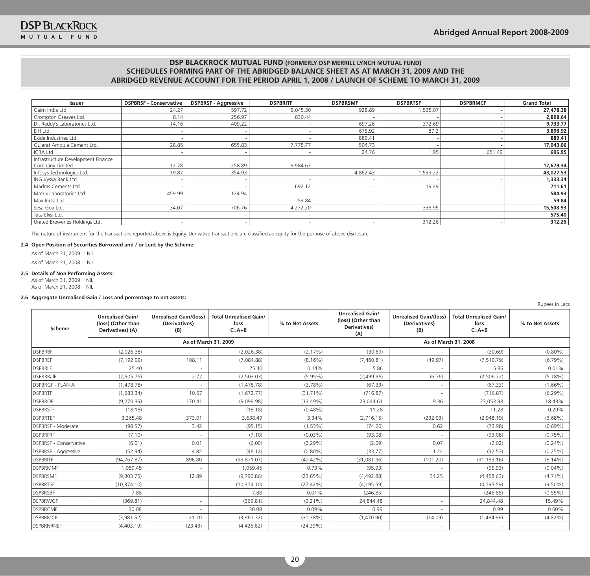Rupees in Lacs

## **DSP BLACKROCK MUTUAL FUND (FORMERLY DSP MERRILL LYNCH MUTUAL FUND) SCHEDULES FORMING PART OF THE ABRIDGED BALANCE SHEET AS AT MARCH 31, 2009 AND THE ABRIDGED REVENUE ACCOUNT FOR THE PERIOD APRIL 1, 2008 / LAUNCH OF SCHEME TO MARCH 31, 2009**

| <b>Issuer</b>                      | <b>DSPBRSF - Conservative</b> | <b>DSPBRSF - Aggressive</b> | <b>DSPBRITF</b> | <b>DSPBRSMF</b> | <b>DSPBRTSF</b> | <b>DSPBRMCF</b> | <b>Grand Total</b> |
|------------------------------------|-------------------------------|-----------------------------|-----------------|-----------------|-----------------|-----------------|--------------------|
| Cairn India Ltd.                   | 24.27                         | 597.72                      | 9,045.30        | 928.89          | 1,535.07        |                 | 27,478.38          |
| Crompton Greaves Ltd.              | 8.14                          | 256.97                      | 830.44          |                 |                 |                 | 2,898.64           |
| Dr. Reddy's Laboratories Ltd.      | 14.16                         | 409.22                      |                 | 697.26          | 372.69          |                 | 9,733.77           |
| EIH Ltd.                           |                               |                             |                 | 675.92          | 87.3            |                 | 3,898.92           |
| Exide Industries Ltd.              |                               |                             |                 | 889.41          |                 |                 | 889.41             |
| Gujarat Ambuja Cement Ltd.         | 28.85                         | 655.83                      | 7,775.77        | 504.73          |                 |                 | 17,943.06          |
| ICRA Ltd.                          |                               |                             |                 | 24.76           | 1.95            | 651.49          | 696.95             |
| Infrastructure Development Finance |                               |                             |                 |                 |                 |                 |                    |
| Company Limited                    | 12.78                         | 258.89                      | 9,984.63        |                 |                 |                 | 17,679.34          |
| Infosys Technologies Ltd.          | 19.87                         | 354.93                      |                 | 4,862.43        | 1,533.22        |                 | 43,027.53          |
| ING Vysya Bank Ltd.                |                               |                             |                 |                 |                 |                 | 1,333.34           |
| Madras Cements Ltd.                |                               |                             | 692.12          |                 | 19.49           |                 | 711.61             |
| Matrix Laboratories Ltd.           | 459.99                        | 124.94                      |                 |                 |                 |                 | 584.93             |
| Max India Ltd.                     |                               |                             | 59.84           |                 |                 |                 | 59.84              |
| Sesa Goa Ltd.                      | 34.07                         | 706.76                      | 4,272.20        |                 | 338.95          |                 | 15,508.93          |
| Tata Elxsi Ltd.                    |                               |                             |                 |                 |                 |                 | 575.40             |
| United Breweries Holdings Ltd.     |                               |                             |                 |                 | 312.26          |                 | 312.26             |

The nature of instrument for the transactions reported above is Equity. Derivative transactions are classified as Equity for the purpose of above disclosure

#### **2.4 Open Position of Securities Borrowed and / or Lent by the Scheme:**

 As of March 31, 2009 : NIL As of March 31, 2008 : NIL

#### **2.5 Details of Non Performing Assets:**

 As of March 31, 2009 : NIL As of March 31, 2008 : NIL

#### **2.6 Aggregate Unrealised Gain / Loss and percentage to net assets:**

| Scheme                         | <b>Unrealised Gain/</b><br>(loss) (Other than<br>Derivatives) (A) | <b>Unrealised Gain/(loss)</b><br>(Derivatives)<br>(B) | <b>Total Unrealised Gain/</b><br>loss<br>$C = A + B$ | % to Net Assets | <b>Unrealised Gain/</b><br>(loss) (Other than<br>Derivatives)<br>(A) | <b>Unrealised Gain/(loss)</b><br>(Derivatives)<br>(B) | <b>Total Unrealised Gain/</b><br>loss<br>$C = A + B$ | % to Net Assets |  |
|--------------------------------|-------------------------------------------------------------------|-------------------------------------------------------|------------------------------------------------------|-----------------|----------------------------------------------------------------------|-------------------------------------------------------|------------------------------------------------------|-----------------|--|
|                                |                                                                   |                                                       | As of March 31, 2009                                 |                 | As of March 31, 2008                                                 |                                                       |                                                      |                 |  |
| <b>DSPBRBF</b>                 | (2.026.38)                                                        |                                                       | (2.026.38)                                           | (2.17%)         | (30.69)                                                              |                                                       | (30.69)                                              | $(0.80\%)$      |  |
| <b>DSPBREF</b>                 | (7, 192.99)                                                       | 108.11                                                | (7,084.88)                                           | $(8.16\%)$      | (7,460.81)                                                           | (49.97)                                               | (7, 510.79)                                          | $(6.79\%)$      |  |
| <b>DSPBRLF</b>                 | 25.40                                                             |                                                       | 25.40                                                | 0.14%           | 5.86                                                                 |                                                       | 5.86                                                 | 0.01%           |  |
| <b>DSPBRBalF</b>               | (2,505.75)                                                        | 2.72                                                  | (2,503.03)                                           | $(5.95\%)$      | (2,499.96)                                                           | (6.76)                                                | (2,506.72)                                           | $(5.18\%)$      |  |
| <b>DSPBRGF - PLAN A</b>        | (1,478.78)                                                        |                                                       | (1,478.78)                                           | (3.78%)         | (67.33)                                                              |                                                       | (67.33)                                              | $(1.66\%)$      |  |
| <b>DSPBRTF</b>                 | (1,683.34)                                                        | 10.57                                                 | (1,672.77)                                           | $(31.71\%)$     | (716.87)                                                             |                                                       | (716.87)                                             | $(6.29\%)$      |  |
| <b>DSPBROF</b>                 | (9,270.39)                                                        | 170.41                                                | (9,099.98)                                           | (13.49%)        | 23,044.61                                                            | 9.36                                                  | 23,053.98                                            | 18.43%          |  |
| <b>DSPBRSTF</b>                | (18.18)                                                           | $\sim$                                                | (18.18)                                              | $(0.48\%)$      | 11.28                                                                | $\sim$                                                | 11.28                                                | 0.29%           |  |
| <b>IDSPBRTEF</b>               | 3,265.48                                                          | 373.01                                                | 3.638.49                                             | 3.34%           | (2,716.15)                                                           | (232.03)                                              | (2,948.19)                                           | $(3.68\%)$      |  |
| <b>DSPBRSF - Moderate</b>      | (98.57)                                                           | 3.42                                                  | (95.15)                                              | $(1.53\%)$      | (74.60)                                                              | 0.62                                                  | (73.98)                                              | $(0.69\%)$      |  |
| <b>DSPBRFRF</b>                | (7.10)                                                            |                                                       | (7.10)                                               | $(0.03\%)$      | (93.08)                                                              |                                                       | (93.08)                                              | $(0.75\%)$      |  |
| <b>IDSPBRSF - Conservative</b> | (6.01)                                                            | 0.01                                                  | (6.00)                                               | (2.29%)         | (2.09)                                                               | 0.07                                                  | (2.02)                                               | $(0.24\%)$      |  |
| <b>DSPBRSF - Aggressive</b>    | (52.94)                                                           | 4.82                                                  | (48.12)                                              | $(0.80\%)$      | (33.77)                                                              | 1.24                                                  | (32.53)                                              | $(0.25\%)$      |  |
| <b>DSPBRITF</b>                | (94, 767.87)                                                      | 896.80                                                | (93, 871.07)                                         | $(40.42\%)$     | (31,081.96)                                                          | (101.20)                                              | (31, 183.16)                                         | $(8.14\%)$      |  |
| <b>DSPBRMMF</b>                | 1,059.45                                                          |                                                       | 1,059.45                                             | 0.73%           | (95.93)                                                              |                                                       | (95.93)                                              | $(0.04\%)$      |  |
| <b>DSPBRSMF</b>                | (9,803.75)                                                        | 12.89                                                 | (9,790.86)                                           | (23.65%)        | (4,492.88)                                                           | 34.25                                                 | (4,458.63)                                           | $(4.71\%)$      |  |
| <b>DSPBRTSF</b>                | (10, 374, 10)                                                     |                                                       | (10, 374, 10)                                        | (27.42%)        | (4, 195.59)                                                          | $\sim$                                                | (4, 195.59)                                          | $(9.50\%)$      |  |
| <b>DSPBRSBF</b>                | 7.88                                                              |                                                       | 7.88                                                 | 0.01%           | (246.85)                                                             | $\sim$                                                | (246.85)                                             | $(0.55\%)$      |  |
| <b>DSPBRWGF</b>                | (369.81)                                                          |                                                       | (369.81)                                             | $(0.21\%)$      | 24,844.48                                                            |                                                       | 24,844.48                                            | 15.49%          |  |
| <b>DSPBRCMF</b>                | 30.08                                                             |                                                       | 30.08                                                | 0.09%           | 0.99                                                                 |                                                       | 0.99                                                 | $0.00\%$        |  |
| <b>DSPBRMCF</b>                | (3,981.52)                                                        | 21.20                                                 | (3,960.32)                                           | (31.38%)        | (1,470.90)                                                           | (14.09)                                               | (1,484.99)                                           | $(4.82\%)$      |  |
| <b>DSPBRNRNEF</b>              | (4,403.19)                                                        | (23.43)                                               | (4,426.62)                                           | (24.29%)        |                                                                      |                                                       |                                                      |                 |  |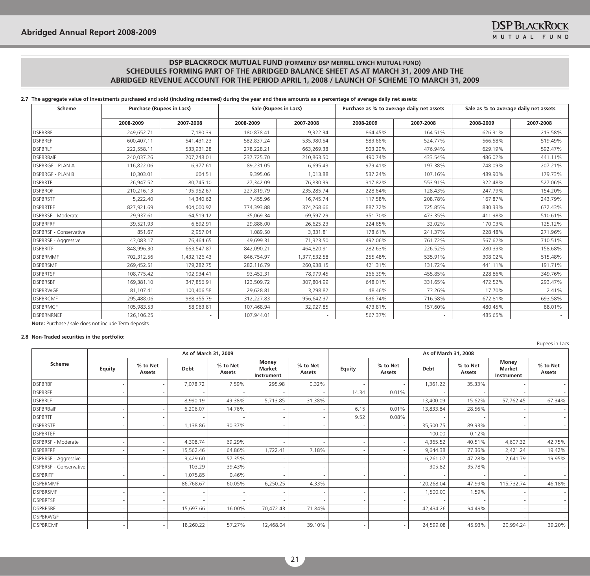## **2.7 The aggregate value of investments purchased and sold (including redeemed) during the year and these amounts as a percentage of average daily net assets:**

| <b>Scheme</b>                 |            | <b>Purchase (Rupees in Lacs)</b><br>Sale (Rupees in Lacs) |            | Purchase as % to average daily net assets |           | Sale as % to average daily net assets |           |           |
|-------------------------------|------------|-----------------------------------------------------------|------------|-------------------------------------------|-----------|---------------------------------------|-----------|-----------|
|                               | 2008-2009  | 2007-2008                                                 | 2008-2009  | 2007-2008                                 | 2008-2009 | 2007-2008                             | 2008-2009 | 2007-2008 |
| <b>DSPBRBF</b>                | 249,652.71 | 7,180.39                                                  | 180,878.41 | 9,322.34                                  | 864.45%   | 164.51%                               | 626.31%   | 213.58%   |
| <b>DSPBREF</b>                | 600,407.11 | 541,431.23                                                | 582,837.24 | 535,980.54                                | 583.66%   | 524.77%                               | 566.58%   | 519.49%   |
| <b>DSPBRLF</b>                | 222,558.11 | 533,931.28                                                | 278,228.21 | 663,269.38                                | 503.29%   | 476.94%                               | 629.19%   | 592.47%   |
| <b>DSPBRBalF</b>              | 240,037.26 | 207,248.01                                                | 237,725.70 | 210,863.50                                | 490.74%   | 433.54%                               | 486.02%   | 441.11%   |
| <b>DSPBRGF - PLAN A</b>       | 116,822.06 | 6,377.61                                                  | 89,231.05  | 6.695.43                                  | 979.41%   | 197.38%                               | 748.09%   | 207.21%   |
| <b>DSPBRGF - PLAN B</b>       | 10,303.01  | 604.51                                                    | 9,395.06   | 1,013.88                                  | 537.24%   | 107.16%                               | 489.90%   | 179.73%   |
| <b>DSPBRTF</b>                | 26,947.52  | 80,745.10                                                 | 27,342.09  | 76,830.39                                 | 317.82%   | 553.91%                               | 322.48%   | 527.06%   |
| <b>DSPBROF</b>                | 210,216.13 | 195,952.67                                                | 227,819.79 | 235,285.74                                | 228.64%   | 128.43%                               | 247.79%   | 154.20%   |
| <b>DSPBRSTF</b>               | 5,222.40   | 14,340.62                                                 | 7,455.96   | 16,745.74                                 | 117.58%   | 208.78%                               | 167.87%   | 243.79%   |
| <b>DSPBRTEF</b>               | 827,921.69 | 404,000.92                                                | 774,393.88 | 374,268.66                                | 887.72%   | 725.85%                               | 830.33%   | 672.43%   |
| DSPBRSF - Moderate            | 29,937.61  | 64,519.12                                                 | 35,069.34  | 69,597.29                                 | 351.70%   | 473.35%                               | 411.98%   | 510.61%   |
| <b>DSPBRFRF</b>               | 39,521.93  | 6,892.91                                                  | 29,886.00  | 26,625.23                                 | 224.85%   | 32.02%                                | 170.03%   | 125.12%   |
| <b>DSPBRSF - Conservative</b> | 851.67     | 2,957.04                                                  | 1,089.50   | 3,331.81                                  | 178.61%   | 241.37%                               | 228.48%   | 271.96%   |
| DSPBRSF - Aggressive          | 43,083.17  | 76,464.65                                                 | 49,699.31  | 71,323.50                                 | 492.06%   | 761.72%                               | 567.62%   | 710.51%   |
| <b>DSPBRITE</b>               | 848,996.30 | 663,547.87                                                | 842,090.21 | 464,820.91                                | 282.63%   | 226.52%                               | 280.33%   | 158.68%   |
| <b>DSPBRMMF</b>               | 702,312.56 | 1,432,126.43                                              | 846,754.97 | 1,377,532.58                              | 255.48%   | 535.91%                               | 308.02%   | 515.48%   |
| <b>DSPBRSMF</b>               | 269,452.51 | 179,282.75                                                | 282,116.79 | 260,938.15                                | 421.31%   | 131.72%                               | 441.11%   | 191.71%   |
| <b>DSPBRTSF</b>               | 108,775.42 | 102,934.41                                                | 93,452.31  | 78,979.45                                 | 266.39%   | 455.85%                               | 228.86%   | 349.76%   |
| <b>DSPBRSBF</b>               | 169,381.10 | 347,856.91                                                | 123,509.72 | 307,804.99                                | 648.01%   | 331.65%                               | 472.52%   | 293.47%   |
| <b>DSPBRWGF</b>               | 81,107.41  | 100,406.58                                                | 29,628.81  | 3,298.82                                  | 48.46%    | 73.26%                                | 17.70%    | 2.41%     |
| <b>DSPBRCMF</b>               | 295,488.06 | 988,355.79                                                | 312,227.83 | 956,642.37                                | 636.74%   | 716.58%                               | 672.81%   | 693.58%   |
| <b>DSPBRMCF</b>               | 105,983.53 | 58,963.81                                                 | 107,468.94 | 32,927.85                                 | 473.81%   | 157.60%                               | 480.45%   | 88.01%    |
| <b>DSPBRNRNEF</b>             | 126,106.25 |                                                           | 107,944.01 |                                           | 567.37%   |                                       | 485.65%   |           |

**Note:** Purchase / sale does not include Term deposits.

## **2.8 Non-Traded securities in the portfolio:**

|                                |               |                      |           |                    |                               |                    |        |                    |                      |                    |                                             | Rupees in Lacs            |  |
|--------------------------------|---------------|----------------------|-----------|--------------------|-------------------------------|--------------------|--------|--------------------|----------------------|--------------------|---------------------------------------------|---------------------------|--|
|                                |               | As of March 31, 2009 |           |                    |                               |                    |        |                    | As of March 31, 2008 |                    |                                             |                           |  |
| Scheme                         | <b>Equity</b> | % to Net<br>Assets   | Debt      | % to Net<br>Assets | Money<br>Market<br>Instrument | % to Net<br>Assets | Equity | % to Net<br>Assets | <b>Debt</b>          | % to Net<br>Assets | Money<br><b>Market</b><br><b>Instrument</b> | % to Net<br><b>Assets</b> |  |
| <b>DSPBRBF</b>                 |               |                      | 7,078.72  | 7.59%              | 295.98                        | 0.32%              |        |                    | 1,361.22             | 35.33%             |                                             |                           |  |
| <b>DSPBREF</b>                 |               |                      |           |                    |                               |                    | 14.34  | 0.01%              |                      |                    |                                             |                           |  |
| <b>DSPBRLF</b>                 |               |                      | 8,990.19  | 49.38%             | 5,713.85                      | 31.38%             |        |                    | 13,400.09            | 15.62%             | 57,762.45                                   | 67.34%                    |  |
| <b>DSPBRBalF</b>               |               |                      | 6,206.07  | 14.76%             |                               |                    | 6.15   | 0.01%              | 13,833.84            | 28.56%             |                                             |                           |  |
| <b>DSPBRTF</b>                 |               |                      |           |                    |                               |                    | 9.52   | 0.08%              |                      |                    |                                             |                           |  |
| <b>DSPBRSTF</b>                |               |                      | 1,138.86  | 30.37%             |                               |                    |        |                    | 35,500.75            | 89.93%             |                                             |                           |  |
| <b>DSPBRTEF</b>                |               |                      |           |                    |                               |                    |        |                    | 100.00               | 0.12%              |                                             | $\sim$                    |  |
| DSPBRSF - Moderate             |               |                      | 4,308.74  | 69.29%             |                               |                    |        |                    | 4,365.52             | 40.51%             | 4,607.32                                    | 42.75%                    |  |
| <b>DSPBRFRF</b>                |               |                      | 15,562.46 | 64.86%             | 1,722.41                      | 7.18%              |        |                    | 9.644.38             | 77.36%             | 2,421.24                                    | 19.42%                    |  |
| DSPBRSF - Aggressive           |               |                      | 3,429.60  | 57.35%             |                               |                    |        |                    | 6,261.07             | 47.28%             | 2,641.79                                    | 19.95%                    |  |
| <b>IDSPBRSF - Conservative</b> |               |                      | 103.29    | 39.43%             |                               |                    |        |                    | 305.82               | 35.78%             |                                             | $\sim$                    |  |
| <b>DSPBRITE</b>                |               |                      | 1,075.85  | 0.46%              |                               |                    |        |                    |                      |                    |                                             |                           |  |
| <b>DSPBRMMF</b>                |               |                      | 86,768.67 | 60.05%             | 6,250.25                      | 4.33%              |        |                    | 120,268.04           | 47.99%             | 115,732.74                                  | 46.18%                    |  |
| <b>DSPBRSMF</b>                |               |                      |           |                    |                               |                    |        |                    | 1,500.00             | 1.59%              |                                             | $\sim$ 1                  |  |
| <b>DSPBRTSF</b>                |               |                      |           |                    |                               |                    |        |                    |                      |                    |                                             |                           |  |
| <b>DSPBRSBF</b>                |               |                      | 15,697.66 | 16.00%             | 70,472.43                     | 71.84%             |        |                    | 42,434.26            | 94.49%             |                                             | $\overline{\phantom{a}}$  |  |
| <b>DSPBRWGF</b>                |               |                      |           |                    |                               |                    |        |                    |                      |                    |                                             | $\sim$ 1                  |  |
| DSPBRCMF                       |               |                      | 18,260.22 | 57.27%             | 12,468.04                     | 39.10%             |        |                    | 24,599.08            | 45.93%             | 20,994.24                                   | 39.20%                    |  |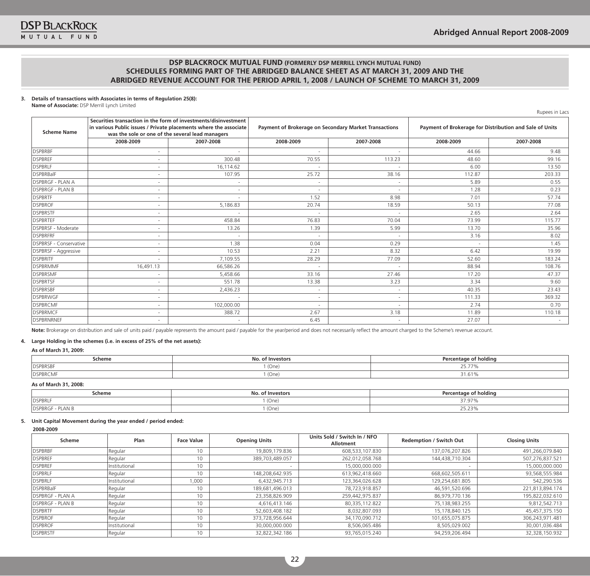## **3. Details of transactions with Associates in terms of Regulation 25(8):**

**Name of Associate:** DSP Merrill Lynch Limited

Rupees in Lacs

| <b>Scheme Name</b>            | Securities transaction in the form of investments/disinvestment<br>in various Public issues / Private placements where the associate<br>was the sole or one of the several lead managers |                          | <b>Payment of Brokerage on Secondary Market Transactions</b> |           | Payment of Brokerage for Distribution and Sale of Units |           |  |
|-------------------------------|------------------------------------------------------------------------------------------------------------------------------------------------------------------------------------------|--------------------------|--------------------------------------------------------------|-----------|---------------------------------------------------------|-----------|--|
|                               | 2008-2009                                                                                                                                                                                | 2007-2008                | 2008-2009                                                    | 2007-2008 | 2008-2009                                               | 2007-2008 |  |
| <b>DSPBRBF</b>                | ۰                                                                                                                                                                                        |                          | $\overline{\phantom{a}}$                                     |           | 44.66                                                   | 9.48      |  |
| <b>DSPBREF</b>                | ٠                                                                                                                                                                                        | 300.48                   | 70.55                                                        | 113.23    | 48.60                                                   | 99.16     |  |
| <b>DSPBRLF</b>                |                                                                                                                                                                                          | 16,114.62                | $\overline{\phantom{a}}$                                     |           | 6.00                                                    | 13.50     |  |
| DSPBRBalF                     | ٠                                                                                                                                                                                        | 107.95                   | 25.72                                                        | 38.16     | 112.87                                                  | 203.33    |  |
| <b>DSPBRGF - PLAN A</b>       | ٠                                                                                                                                                                                        | $\overline{\phantom{a}}$ | $\sim$                                                       |           | 5.89                                                    | 0.55      |  |
| <b>DSPBRGF - PLAN B</b>       | ٠                                                                                                                                                                                        |                          | $\overline{\phantom{a}}$                                     |           | 1.28                                                    | 0.23      |  |
| <b>DSPBRTF</b>                | ۰                                                                                                                                                                                        |                          | 1.52                                                         | 8.98      | 7.01                                                    | 57.74     |  |
| <b>DSPBROF</b>                |                                                                                                                                                                                          | 5,186.83                 | 20.74                                                        | 18.59     | 50.13                                                   | 77.08     |  |
| <b>DSPBRSTF</b>               | ٠                                                                                                                                                                                        | $\sim$                   | $\sim$                                                       | $\sim$    | 2.65                                                    | 2.64      |  |
| <b>DSPBRTEF</b>               |                                                                                                                                                                                          | 458.84                   | 76.83                                                        | 70.04     | 73.99                                                   | 115.77    |  |
| DSPBRSF - Moderate            | ٠                                                                                                                                                                                        | 13.26                    | 1.39                                                         | 5.99      | 13.70                                                   | 35.96     |  |
| <b>DSPBRFRF</b>               |                                                                                                                                                                                          |                          | ٠                                                            |           | 3.16                                                    | 8.02      |  |
| <b>DSPBRSF - Conservative</b> | ٠                                                                                                                                                                                        | 1.38                     | 0.04                                                         | 0.29      | ٠                                                       | 1.45      |  |
| <b>DSPBRSF - Aggressive</b>   | $\overline{\phantom{a}}$                                                                                                                                                                 | 10.53                    | 2.21                                                         | 8.32      | 6.42                                                    | 19.99     |  |
| <b>DSPBRITF</b>               |                                                                                                                                                                                          | 7,109.55                 | 28.29                                                        | 77.09     | 52.60                                                   | 183.24    |  |
| <b>DSPBRMMF</b>               | 16,491.13                                                                                                                                                                                | 66,586.26                | $\overline{\phantom{a}}$                                     |           | 88.94                                                   | 108.76    |  |
| <b>DSPBRSMF</b>               |                                                                                                                                                                                          | 5,458.66                 | 33.16                                                        | 27.46     | 17.20                                                   | 47.37     |  |
| <b>DSPBRTSF</b>               | $\sim$                                                                                                                                                                                   | 551.78                   | 13.38                                                        | 3.23      | 3.34                                                    | 9.60      |  |
| <b>DSPBRSBF</b>               | ٠                                                                                                                                                                                        | 2,436.23                 | ٠                                                            |           | 40.35                                                   | 23.43     |  |
| <b>DSPBRWGF</b>               | ٠                                                                                                                                                                                        |                          | $\sim$                                                       | $\sim$    | 111.33                                                  | 369.32    |  |
| <b>DSPBRCMF</b>               |                                                                                                                                                                                          | 102,000.00               | $\overline{\phantom{a}}$                                     |           | 2.74                                                    | 0.70      |  |
| <b>DSPBRMCF</b>               | ۰                                                                                                                                                                                        | 388.72                   | 2.67                                                         | 3.18      | 11.89                                                   | 110.18    |  |
| DSPBRNRNEF                    | ٠                                                                                                                                                                                        |                          | 6.45                                                         |           | 27.07                                                   |           |  |

Note: Brokerage on distribution and sale of units paid / payable represents the amount paid / payable for the year/period and does not necessarily reflect the amount charged to the Scheme's revenue account.

#### **4. Large Holding in the schemes (i.e. in excess of 25% of the net assets):**

## **As of March 31, 2009:**

| Scheme           | Investors<br>NΟ. | centage of holding<br>$D_{\alpha\nu\rho}$ |  |  |
|------------------|------------------|-------------------------------------------|--|--|
| <b>DSPBRSBF</b>  | (One             | - --                                      |  |  |
| <b>IDSPBRCMI</b> | (One)            | $\sim$ 4 $\sim$<br>1.61°،                 |  |  |
|                  |                  |                                           |  |  |

#### **As of March 31, 2008:**

| Scheme                                   | ' Investor:<br>ΝO       | $\sim$<br>' holdina<br>ດ1<br>.entage<br>- -   |
|------------------------------------------|-------------------------|-----------------------------------------------|
| <b>DSPBRLF</b>                           | $1$ (One,               | $- - -$<br>,,,,,,,,                           |
| PLAN <sub>L</sub><br><b>IDSPBRGF - F</b> | $\prime\prime$<br>(One) | $\sim$ $\sim$ $\sim$<br>$\epsilon$<br>، دے.دے |

#### **5. Unit Capital Movement during the year ended / period ended:**

## **2008-2009**

| Scheme                   | Plan          | <b>Face Value</b> | <b>Opening Units</b> | Units Sold / Switch In / NFO<br><b>Allotment</b> | <b>Redemption / Switch Out</b> | <b>Closing Units</b> |
|--------------------------|---------------|-------------------|----------------------|--------------------------------------------------|--------------------------------|----------------------|
| <b>IDSPBRBF</b>          | Regular       | 10                | 19,809,179.836       | 608,533,107.830                                  | 137,076,207.826                | 491,266,079.840      |
| <b>IDSPBREF</b>          | Regular       | 10                | 389,703,489.057      | 262,012,058.768                                  | 144,438,710.304                | 507,276,837.521      |
| <b>DSPBREF</b>           | Institutional | 10                |                      | 15,000,000.000                                   |                                | 15,000,000.000       |
| <b>DSPBRLF</b>           | Regular       | 10                | 148,208,642.935      | 613,962,418.660                                  | 668,602,505.611                | 93,568,555.984       |
| <b>IDSPBRLF</b>          | Institutional | 1,000             | 6,432,945.713        | 123,364,026.628                                  | 129,254,681.805                | 542,290.536          |
| <b>DSPBRBalF</b>         | Regular       | 10                | 189,681,496.013      | 78,723,918.857                                   | 46,591,520.696                 | 221,813,894.174      |
| <b>IDSPBRGF - PLAN A</b> | Regular       | 10                | 23,358,826.909       | 259,442,975.837                                  | 86,979,770.136                 | 195,822,032.610      |
| <b>IDSPBRGF - PLAN B</b> | Regular       | 10 <sup>°</sup>   | 4,616,413.146        | 80,335,112.822                                   | 75,138,983.255                 | 9,812,542.713        |
| <b>DSPBRTF</b>           | Regular       | 10                | 52,603,408.182       | 8,032,807.093                                    | 15,178,840.125                 | 45,457,375.150       |
| <b>DSPBROF</b>           | Regular       | 10                | 373,728,956.644      | 34,170,090.712                                   | 101,655,075.875                | 306,243,971.481      |
| <b>IDSPBROF</b>          | Institutional | 10                | 30,000,000.000       | 8,506,065.486                                    | 8,505,029.002                  | 30,001,036.484       |
| <b>DSPBRSTF</b>          | Regular       | 10                | 32,822,342.186       | 93,765,015.240                                   | 94,259,206.494                 | 32,328,150.932       |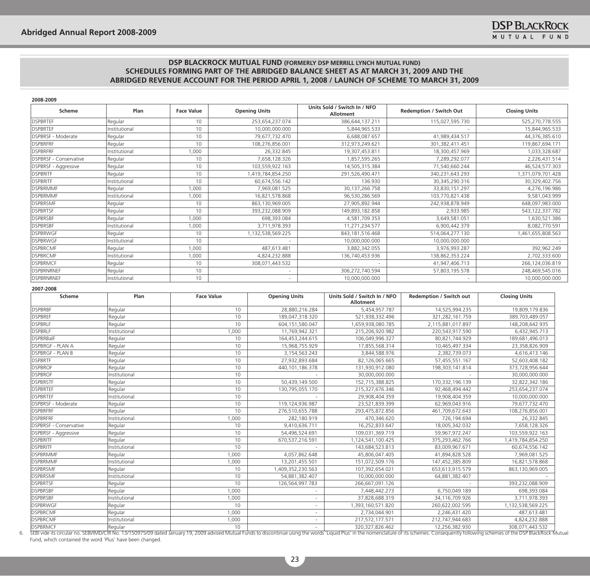| Scheme                        | Plan          | <b>Face Value</b> | <b>Opening Units</b> | Units Sold / Switch In / NFO<br>Allotment | <b>Redemption / Switch Out</b> | <b>Closing Units</b> |
|-------------------------------|---------------|-------------------|----------------------|-------------------------------------------|--------------------------------|----------------------|
| <b>DSPBRTEF</b>               | Regular       | 10                | 253,654,237.074      | 386,644,137.211                           | 115,027,595.730                | 525,270,778.555      |
| <b>DSPBRTEF</b>               | Institutional | 10                | 10,000,000.000       | 5,844,965.533                             |                                | 15,844,965.533       |
| DSPBRSF - Moderate            | Regular       | 10                | 79,677,732.470       | 6,688,087.657                             | 41,989,434.517                 | 44,376,385.610       |
| <b>DSPBRFRF</b>               | Regular       | 10                | 108,276,856.001      | 312,973,249.621                           | 301,382,411.451                | 119,867,694.171      |
| <b>DSPBRFRF</b>               | Institutional | 1,000             | 26,332.845           | 19,307,453.811                            | 18,300,457.969                 | 1,033,328.687        |
| <b>DSPBRSF - Conservative</b> | Regular       | 10                | 7,658,128.326        | 1,857,595.265                             | 7,289,292.077                  | 2,226,431.514        |
| DSPBRSF - Aggressive          | Regular       | 10                | 103,559,922.163      | 14,505,315.384                            | 71,540,660.244                 | 46,524,577.303       |
| <b>DSPBRITE</b>               | Regular       | 10                | 1,419,784,854.250    | 291,526,490.471                           | 340,231,643.293                | 1,371,079,701.428    |
| <b>DSPBRITE</b>               | Institutional | 10                | 60,674,556.142       | 136.930                                   | 30,345,290.316                 | 30,329,402.756       |
| <b>DSPBRMMF</b>               | Regular       | 1,000             | 7,969,081.525        | 30,137,266.758                            | 33,830,151.297                 | 4,276,196.986        |
| <b>DSPBRMMF</b>               | Institutional | 1,000             | 16,821,578.868       | 96,530,286.569                            | 103,770,821.438                | 9,581,043.999        |
| <b>DSPBRSMF</b>               | Regular       | 10 <sup>°</sup>   | 863,130,969.005      | 27,905,892.944                            | 242,938,878.949                | 648,097,983.000      |
| <b>DSPBRTSF</b>               | Regular       | 10                | 393,232,088.909      | 149,893,182.858                           | 2,933.985                      | 543,122,337.782      |
| <b>DSPBRSBF</b>               | Regular       | 1,000             | 698,393.084          | 4,581,709.353                             | 3,649,581.051                  | 1,630,521.386        |
| <b>DSPBRSBF</b>               | Institutional | 1,000             | 3,711,978.393        | 11.271.234.577                            | 6,900,442.379                  | 8,082,770.591        |
| <b>DSPBRWGF</b>               | Regular       | 10                | 1,132,538,569.225    | 843, 181, 516. 468                        | 514,064,277.130                | 1,461,655,808.563    |
| <b>DSPBRWGF</b>               | Institutional | 10                |                      | 10,000,000.000                            | 10,000,000.000                 |                      |
| <b>DSPBRCMF</b>               | Regular       | 1,000             | 487,613.481          | 3,882,342.055                             | 3,976,993.287                  | 392,962.249          |
| <b>DSPBRCMF</b>               | Institutional | 1,000             | 4,824,232.888        | 136,740,453.936                           | 138,862,353.224                | 2,702,333.600        |
| <b>DSPBRMCF</b>               | Regular       | 10                | 308,071,443.532      | $\sim$                                    | 41,947,406.713                 | 266,124,036.819      |
| <b>DSPBRNRNEF</b>             | Regular       | 10 <sup>°</sup>   |                      | 306,272,740.594                           | 57,803,195.578                 | 248,469,545.016      |
| <b>DSPBRNRNEF</b>             | Institutional | 10                |                      | 10,000,000.000                            |                                | 10,000,000.000       |

| 2007-2008 |  |
|-----------|--|

| Scheme<br>Plan                 |               | <b>Face Value</b> | <b>Opening Units</b> | Units Sold / Switch In / NFO<br>Allotment | <b>Redemption / Switch out</b> | <b>Closing Units</b> |
|--------------------------------|---------------|-------------------|----------------------|-------------------------------------------|--------------------------------|----------------------|
| <b>DSPBRBF</b>                 | Regular       | 10                | 28,880,216.284       | 5,454,957.787                             | 14,525,994.235                 | 19,809,179.836       |
| <b>DSPBREF</b>                 | Regular       | 10                | 189,047,318.320      | 521,938,332.496                           | 321,282,161.759                | 389,703,489.057      |
| <b>DSPBRLF</b>                 | Regular       | 10                | 604, 151, 580.047    | 1,659,938,080.785                         | 2,115,881,017.897              | 148,208,642.935      |
| <b>DSPBRLF</b>                 | Institutional | 1,000             | 11,769,942.321       | 215,206,920.982                           | 220,543,917.590                | 6,432,945.713        |
| <b>DSPBRBalF</b>               | Regular       | 10                | 164,453,244.615      | 106,049,996.327                           | 80,821,744.929                 | 189,681,496.013      |
| <b>DSPBRGF - PLAN A</b>        | Regular       | 10                | 15,968,755.929       | 17,855,568.314                            | 10,465,497.334                 | 23,358,826.909       |
| <b>DSPBRGF - PLAN B</b>        | Regular       | 10                | 3,154,563.243        | 3,844,588.976                             | 2,382,739.073                  | 4,616,413.146        |
| <b>DSPBRTF</b>                 | Regular       | 10                | 27,932,893.684       | 82,126,065.665                            | 57,455,551.167                 | 52,603,408.182       |
| <b>DSPBROF</b>                 | Regular       | 10                | 440,101,186.378      | 131,930,912.080                           | 198,303,141.814                | 373,728,956.644      |
| <b>DSPBROF</b>                 | Institutional | 10                |                      | 30,000,000.000                            |                                | 30,000,000.000       |
| <b>DSPBRSTF</b>                | Regular       | 10                | 50,439,149.500       | 152,715,388.825                           | 170,332,196.139                | 32,822,342.186       |
| <b>DSPBRTEF</b>                | Regular       | 10                | 130,795,055.170      | 215,327,676.346                           | 92,468,494.442                 | 253,654,237.074      |
| <b>DSPBRTEF</b>                | Institutional | 10                |                      | 29,908,404.359                            | 19,908,404.359                 | 10,000,000.000       |
| <b>DSPBRSF - Moderate</b>      | Regular       | 10                | 119,124,936.987      | 23,521,839.399                            | 62,969,043.916                 | 79,677,732.470       |
| <b>DSPBRFRF</b>                | Regular       | 10                | 276,510,655.788      | 293,475,872.856                           | 461,709,672.643                | 108,276,856.001      |
| <b>DSPBRFRF</b>                | Institutional | 1.000             | 282,180.919          | 470,346.620                               | 726,194.694                    | 26,332.845           |
| <b>IDSPBRSF - Conservative</b> | Regular       | 10                | 9,410,636.711        | 16,252,833.647                            | 18,005,342.032                 | 7,658,128.326        |
| DSPBRSF - Aggressive           | Regular       | 10                | 54,496,524.691       | 109,031,369.719                           | 59,967,972.247                 | 103,559,922.163      |
| <b>DSPBRITE</b>                | Regular       | 10                | 670,537,216.591      | 1,124,541,100.425                         | 375,293,462.766                | 1,419,784,854.250    |
| <b>DSPBRITE</b>                | Institutional | 10                |                      | 143,684,523.813                           | 83,009,967.671                 | 60,674,556.142       |
| <b>DSPBRMMF</b>                | Regular       | 1,000             | 4,057,862.648        | 45,806,047.405                            | 41,894,828.528                 | 7,969,081.525        |
| <b>DSPBRMMF</b>                | Institutional | 1,000             | 13,201,455.501       | 151,072,509.176                           | 147,452,385.809                | 16,821,578.868       |
| <b>DSPBRSMF</b>                | Regular       | 10                | 1,409,352,230.563    | 107,392,654.021                           | 653,613,915.579                | 863,130,969.005      |
| <b>DSPBRSMF</b>                | Institutional | 10                | 54,881,382.407       | 10,000,000.000                            | 64,881,382.407                 |                      |
| <b>DSPBRTSF</b>                | Regular       | 10                | 126,564,997.783      | 266,667,091.126                           |                                | 393,232,088.909      |
| <b>DSPBRSBF</b>                | Regular       | 1,000             |                      | 7,448,442.273                             | 6,750,049.189                  | 698,393.084          |
| <b>DSPBRSBF</b>                | Institutional | 1,000             |                      | 37,828,688.319                            | 34,116,709.926                 | 3,711,978.393        |
| <b>DSPBRWGF</b>                | Regular       | 10                |                      | 1,393,160,571.820                         | 260,622,002.595                | 1,132,538,569.225    |
| <b>DSPBRCMF</b>                | Regular       | 1,000             |                      | 2,734,044.901                             | 2,246,431.420                  | 487,613.481          |
| <b>DSPBRCMF</b>                | Institutional | 1,000             |                      | 217,572,177.571                           | 212,747,944.683                | 4,824,232.888        |
| <b>DSPBRMCF</b>                | Regular       | 10                |                      | 320, 327, 826. 462                        | 12,256,382.930                 | 308,071,443.532      |

6. SEBI vide its circular no. SEBI/MD/CIR No. 13/150975/09 dated January 19, 2009 advised Mutual Funds to discontinue using the words Liquid Plus' in the nomenclature of its schemes. Consequently following schemes of the D Fund, which contained the word 'Plus' have been changed.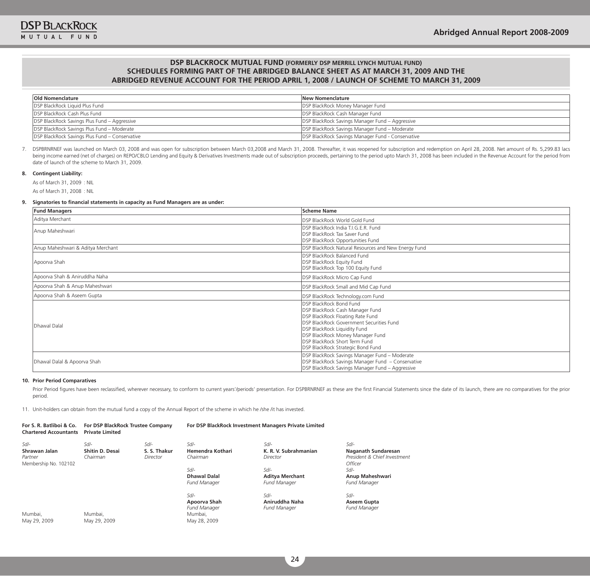| <b>Old Nomenclature</b>                        | New Nomenclature                                  |
|------------------------------------------------|---------------------------------------------------|
| DSP BlackRock Liquid Plus Fund                 | <b>DSP BlackRock Money Manager Fund</b>           |
| <b>IDSP BlackRock Cash Plus Fund</b>           | DSP BlackRock Cash Manager Fund                   |
| DSP BlackRock Savings Plus Fund - Aggressive   | DSP BlackRock Savings Manager Fund - Aggressive   |
| DSP BlackRock Savings Plus Fund - Moderate     | DSP BlackRock Savings Manager Fund - Moderate     |
| DSP BlackRock Savings Plus Fund - Conservative | DSP BlackRock Savings Manager Fund - Conservative |

7. DSPBRNRNEF was launched on March 03, 2008 and was open for subscription between March 03,2008 and March 31, 2008. Thereafter, it was reopened for subscription and redemption on April 28, 2008. Net amount of Rs. 5,299.83 being income earned (net of charges) on REPO/CBLO Lending and Equity & Derivatives Investments made out of subscription proceeds, pertaining to the period upto March 31, 2008 has been included in the Revenue Account for th date of launch of the scheme to March 31, 2009.

#### **8. Contingent Liability:**

As of March 31, 2009 : NIL

As of March 31, 2008 : NIL

#### **9. Signatories to financial statements in capacity as Fund Managers are as under:**

| <b>Fund Managers</b>              | <b>Scheme Name</b>                                                                                                                                                                                                                                                                                 |
|-----------------------------------|----------------------------------------------------------------------------------------------------------------------------------------------------------------------------------------------------------------------------------------------------------------------------------------------------|
| Aditya Merchant                   | DSP BlackRock World Gold Fund                                                                                                                                                                                                                                                                      |
| Anup Maheshwari                   | DSP BlackRock India T.I.G.E.R. Fund<br>DSP BlackRock Tax Saver Fund<br>DSP BlackRock Opportunities Fund                                                                                                                                                                                            |
| Anup Maheshwari & Aditya Merchant | DSP BlackRock Natural Resources and New Energy Fund                                                                                                                                                                                                                                                |
| Apoorva Shah                      | DSP BlackRock Balanced Fund<br>DSP BlackRock Equity Fund<br>DSP BlackRock Top 100 Equity Fund                                                                                                                                                                                                      |
| Apoorva Shah & Aniruddha Naha     | DSP BlackRock Micro Cap Fund                                                                                                                                                                                                                                                                       |
| Apoorva Shah & Anup Maheshwari    | DSP BlackRock Small and Mid Cap Fund                                                                                                                                                                                                                                                               |
| Apoorva Shah & Aseem Gupta        | DSP BlackRock Technology.com Fund                                                                                                                                                                                                                                                                  |
| Dhawal Dalal                      | DSP BlackRock Bond Fund<br>DSP BlackRock Cash Manager Fund<br>DSP BlackRock Floating Rate Fund<br>DSP BlackRock Government Securities Fund<br><b>DSP BlackRock Liquidity Fund</b><br><b>DSP BlackRock Money Manager Fund</b><br>DSP BlackRock Short Term Fund<br>DSP BlackRock Strategic Bond Fund |
| Dhawal Dalal & Apoorva Shah       | DSP BlackRock Savings Manager Fund - Moderate<br>DSP BlackRock Savings Manager Fund - Conservative<br>DSP BlackRock Savings Manager Fund - Aggressive                                                                                                                                              |

#### **10. Prior Period Comparatives**

May 29, 2009

May 29, 2009

Prior Period figures have been reclassified, wherever necessary, to conform to current years'/periods' presentation. For DSPBRNRNEF as these are the first Financial Statements since the date of its launch, there are no com period.

11. Unit-holders can obtain from the mutual fund a copy of the Annual Report of the scheme in which he /she /it has invested.

| For S. R. Batliboi & Co.<br><b>Chartered Accountants</b>    | For DSP BlackRock Trustee Company<br><b>Private Limited</b> |                                  | For DSP BlackRock Investment Managers Private Limited    |                                                         |                                                                               |  |  |  |
|-------------------------------------------------------------|-------------------------------------------------------------|----------------------------------|----------------------------------------------------------|---------------------------------------------------------|-------------------------------------------------------------------------------|--|--|--|
| $Sd$ -<br>Shrawan Jalan<br>Partner<br>Membership No. 102102 | Sd/-<br><b>Shitin D. Desai</b><br>Chairman                  | Sd/-<br>S. S. Thakur<br>Director | $Sd$ -<br>Hemendra Kothari<br>Chairman                   | Sd/-<br>K. R. V. Subrahmanian<br>Director               | Sd/-<br><b>Naganath Sundaresan</b><br>President & Chief Investment<br>Officer |  |  |  |
|                                                             |                                                             |                                  | $Sd$ -<br><b>Dhawal Dalal</b><br><b>Fund Manager</b>     | $Sd$ -<br><b>Aditya Merchant</b><br><b>Fund Manager</b> | $Sd$ -<br>Anup Maheshwari<br><b>Fund Manager</b>                              |  |  |  |
| Mumbai.                                                     | Mumbai.                                                     |                                  | $Sd$ -<br>Apoorva Shah<br><b>Fund Manager</b><br>Mumbai. | $Sd$ -<br>Aniruddha Naha<br><b>Fund Manager</b>         | Sd/-<br>Aseem Gupta<br><b>Fund Manager</b>                                    |  |  |  |

May 28, 2009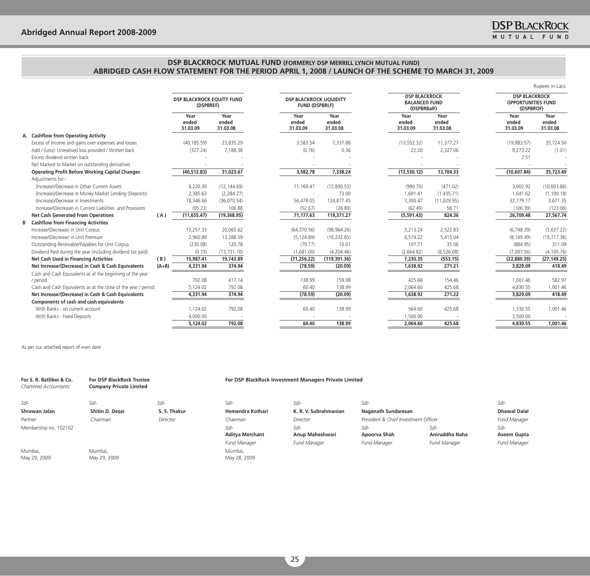|                                                                |                           |                                               |                           |                                                         |                           |                                                             |                           | Rupees in Lacs                                                 |
|----------------------------------------------------------------|---------------------------|-----------------------------------------------|---------------------------|---------------------------------------------------------|---------------------------|-------------------------------------------------------------|---------------------------|----------------------------------------------------------------|
|                                                                |                           | <b>DSP BLACKROCK EOUITY FUND</b><br>(DSPBREF) |                           | <b>DSP BLACKROCK LIOUIDITY</b><br><b>FUND (DSPBRLF)</b> |                           | <b>DSP BLACKROCK</b><br><b>BALANCED FUND</b><br>(DSPBRBalF) |                           | <b>DSP BLACKROCK</b><br><b>OPPORTUNITIES FUND</b><br>(DSPBROF) |
|                                                                | Year<br>ended<br>31.03.09 | Year<br>ended<br>31.03.08                     | Year<br>ended<br>31.03.09 | Year<br>ended<br>31.03.08                               | Year<br>ended<br>31.03.09 | Year<br>ended<br>31.03.08                                   | Year<br>ended<br>31.03.09 | Year<br>ended<br>31.03.08                                      |
| A. Cashflow from Operating Activity                            |                           |                                               |                           |                                                         |                           |                                                             |                           |                                                                |
| Excess of income and gains over expenses and losses            | (40, 185.59)              | 23,835.29                                     | 3,583.54                  | 7,337.88                                                | (13, 552.32)              | 11,377.27                                                   | (19,883.57)               | 35,724.50                                                      |
| Add / (Less): Unrealised loss provided / Written back          | (327.24)                  | 7,188.38                                      | (0.76)                    | 0.36                                                    | 22.20                     | 2,327.06                                                    | 9,273.22                  | (1.01)                                                         |
| Excess dividend written back                                   |                           |                                               |                           |                                                         |                           |                                                             | 2.51                      |                                                                |
| Net Marked to Market on outstanding derivatives                |                           |                                               |                           |                                                         |                           |                                                             |                           |                                                                |
| <b>Operating Profit Before Working Capital Changes</b>         | (40, 512.83)              | 31.023.67                                     | 3,582,78                  | 7,338,24                                                | (13,530.12)               | 13,704.33                                                   | (10,607.84)               | 35,723.49                                                      |
| Adiustments for:-                                              |                           |                                               |                           |                                                         |                           |                                                             |                           |                                                                |
| (Increase)/Decrease in Other Current Assets                    | 8,220.30                  | (12, 144.69)                                  | 11,169.47                 | (12,890.53)                                             | (990.70)                  | (471.02)                                                    | 3,002.92                  | (10,603.86)                                                    |
| (Increase)/Decrease in Money Market Lending (Deposits)         | 2,385.63                  | (2,284.27)                                    |                           | 73.00                                                   | 1,691.41                  | (1,435.71)                                                  | 1,641.62                  | (1, 100.18)                                                    |
| (Increase)/Decrease in Investments                             | 18,346.66                 | (36,070.54)                                   | 56,478.05                 | 124,877.45                                              | 7,300.47                  | (11, 029.95)                                                | 32,779.17                 | 3,671.35                                                       |
| Increase/(Decrease) in Current Liabilities and Provisions      | (95.23)                   | 106.88                                        | (52.67)                   | (26.89)                                                 | (62.49)                   | 56.71                                                       | (106.39)                  | (123.06)                                                       |
| <b>Net Cash Generated From Operations</b><br>(A)               | (11,655.47)               | (19,368.95)                                   | 71,177.63                 | 119,371.27                                              | (5,591.43)                | 824.36                                                      | 26,709.48                 | 27,567.74                                                      |
| <b>B</b> Cashflow from Financing Activities                    |                           |                                               |                           |                                                         |                           |                                                             |                           |                                                                |
| Increase/(Decrease) in Unit Corpus                             | 13,257.33                 | 20,065.62                                     | (64, 370.56)              | (98, 964.26)                                            | 3,213.24                  | 2,522.83                                                    | (6,748.39)                | (3,637.22)                                                     |
| Increase/(Decrease) in Unit Premium                            | 2,960.89                  | 13,288.59                                     | (5, 124.89)               | (16, 232.65)                                            | 6,574.22                  | 5.415.04                                                    | (8, 149.49)               | (19, 717.36)                                                   |
| Outstanding Receivable/Payables for Unit Corpus                | (230.08)                  | 120.78                                        | (79.77)                   | 10.01                                                   | 107.71                    | 35.06                                                       | (884.95)                  | 311.09                                                         |
| Dividend Paid during the year (including dividend tax paid)    | (0.73)                    | (13, 731.10)                                  | (1,681.00)                | (4,204.46)                                              | (2,664.82)                | (8,526.08)                                                  | (7.097.56)                | (4, 105.76)                                                    |
| <b>Net Cash Used in Financing Activities</b><br>(B)            | 15,987.41                 | 19,743.89                                     | (71, 256.22)              | (119, 391.36)                                           | 7,230.35                  | (553.15)                                                    | (22,880.39)               | (27, 149.25)                                                   |
| Net Increase/(Decrease) in Cash & Cash Equivalents<br>$(A+B)$  | 4,331.94                  | 374.94                                        | (78.59)                   | (20.09)                                                 | 1,638.92                  | 271.21                                                      | 3,829,09                  | 418.49                                                         |
| Cash and Cash Equivalents as at the beginning of the year      |                           |                                               |                           |                                                         |                           |                                                             |                           |                                                                |
| / period                                                       | 792.08                    | 417.14                                        | 138.99                    | 159.08                                                  | 425.68                    | 154.46                                                      | 1,001.46                  | 582.97                                                         |
| Cash and Cash Equivalents as at the close of the year / period | 5,124.02                  | 792.08                                        | 60.40                     | 138.99                                                  | 2,064.60                  | 425.68                                                      | 4,830.55                  | 1,001.46                                                       |
| Net Increase/(Decrease) in Cash & Cash Equivalents             | 4,331.94                  | 374.94                                        | (78.59)                   | (20.09)                                                 | 1,638.92                  | 271.22                                                      | 3,829.09                  | 418.49                                                         |
| Components of cash and cash equivalents                        |                           |                                               |                           |                                                         |                           |                                                             |                           |                                                                |
| With Banks - on current account                                | 1,124.02                  | 792.08                                        | 60.40                     | 138.99                                                  | 564.60                    | 425.68                                                      | 1,330.55                  | 1,001.46                                                       |
| With Banks - Fixed Deposits                                    | 4.000.00                  |                                               |                           |                                                         | 1,500.00                  |                                                             | 3,500.00                  |                                                                |
|                                                                | 5,124.02                  | 792.08                                        | 60.40                     | 138.99                                                  | 2,064.60                  | 425.68                                                      | 4,830.55                  | 1.001.46                                                       |

As per our attached report of even date

| For S. R. Batliboi & Co.<br><b>Chartered Accountants</b> | <b>For DSP BlackRock Trustee</b><br><b>Company Private Limited</b> |              | For DSP BlackRock Investment Managers Private Limited |                           |                                      |                          |                       |
|----------------------------------------------------------|--------------------------------------------------------------------|--------------|-------------------------------------------------------|---------------------------|--------------------------------------|--------------------------|-----------------------|
| $S$ d/-                                                  | $Sd$ -                                                             | $S$ d/-      | $Sd$ -                                                | $Sd$ -                    | $Sd$ -                               |                          | Sd/-                  |
| Shrawan Jalan                                            | Shitin D. Desai                                                    | S. S. Thakur | Hemendra Kothari                                      | K. R. V. Subrahmanian     | Naganath Sundaresan                  |                          | <b>Dhawal Dalal</b>   |
| Partner                                                  | Chairman                                                           | Director     | Chairman                                              | Director                  | President & Chief Investment Officer |                          | <b>Fund Manager</b>   |
| Membership no. 102102                                    |                                                                    |              | $Sd$ -<br><b>Aditya Merchant</b>                      | $Sd$ -<br>Anup Maheshwari | Sd/-<br>Apoorva Shah                 | $Sd$ -<br>Aniruddha Naha | $Sd$ -<br>Aseem Gupta |
|                                                          |                                                                    |              | Fund Manager                                          | <b>Fund Manager</b>       | <b>Fund Manager</b>                  | <b>Fund Manager</b>      | <b>Fund Manager</b>   |
| Mumbai,<br>May 29, 2009                                  | Mumbai.<br>May 29, 2009                                            |              | Mumbai,<br>May 28, 2009                               |                           |                                      |                          |                       |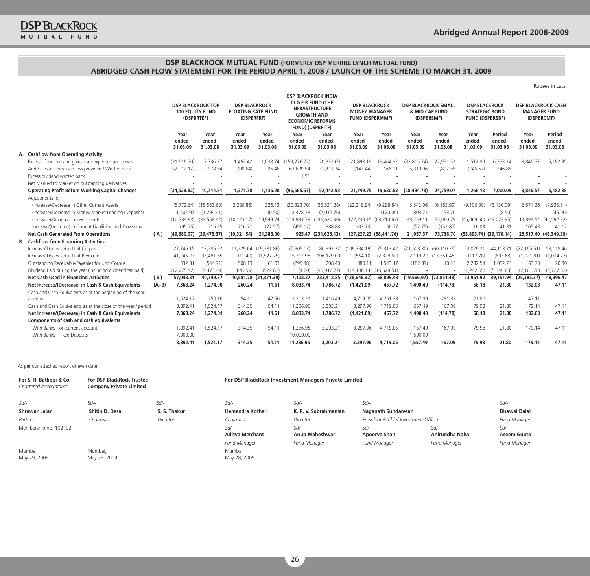|    |                                                                |         |                           |                                                                                                                                     |                                    |                           |                                                                                                                                                       |                           |                                                                        |                               |                                                            |                           |                                                                         |                             |                                                                | Rupees in Lacs              |
|----|----------------------------------------------------------------|---------|---------------------------|-------------------------------------------------------------------------------------------------------------------------------------|------------------------------------|---------------------------|-------------------------------------------------------------------------------------------------------------------------------------------------------|---------------------------|------------------------------------------------------------------------|-------------------------------|------------------------------------------------------------|---------------------------|-------------------------------------------------------------------------|-----------------------------|----------------------------------------------------------------|-----------------------------|
|    |                                                                |         |                           | <b>DSP BLACKROCK TOP</b><br><b>DSP BLACKROCK</b><br><b>100 EOUITY FUND</b><br><b>FLOATING RATE FUND</b><br>(DSPBRFRF)<br>(DSPBRTEF) |                                    |                           | <b>DSP BLACKROCK INDIA</b><br>T.I.G.E.R FUND (THE<br><b>INFRASTRUCTURE</b><br><b>GROWTH AND</b><br><b>ECONOMIC REFORMS</b><br><b>FUND) (DSPBRITF)</b> |                           | <b>DSP BLACKROCK</b><br><b>MONEY MANAGER</b><br><b>FUND (DSPBRMMF)</b> |                               | <b>DSP BLACKROCK SMALL</b><br>& MID CAP FUND<br>(DSPBRSMF) |                           | <b>DSP BLACKROCK</b><br><b>STRATEGIC BOND</b><br><b>FUND (DSPBRSBF)</b> |                             | <b>DSP BLACKROCK CASH</b><br><b>MANAGER FUND</b><br>(DSPBRCMF) |                             |
|    |                                                                |         | Year<br>ended<br>31.03.09 | Year<br>ended<br>31.03.08                                                                                                           | Year<br>ended<br>31.03.09          | Year<br>ended<br>31.03.08 | Year<br>ended<br>31.03.09                                                                                                                             | Year<br>ended<br>31.03.08 | Year<br>ended<br>31.03.09                                              | Year<br>ended<br>31.03.08     | Year<br>ended<br>31.03.09                                  | Year<br>ended<br>31.03.08 | Year<br>ended<br>31.03.09                                               | Period<br>ended<br>31.03.08 | Year<br>ended<br>31.03.09                                      | Period<br>ended<br>31.03.08 |
| А. | <b>Cashflow from Operating Activity</b>                        |         |                           |                                                                                                                                     |                                    |                           |                                                                                                                                                       |                           |                                                                        |                               |                                                            |                           |                                                                         |                             |                                                                |                             |
|    | Excess of income and gains over expenses and losses            |         | (31.616.70)               | 7,736.27                                                                                                                            | 1.462.42                           | 1.038.74                  | (159, 276.72)                                                                                                                                         | 20,931.69                 | 21,893.19                                                              | 19,464.92                     | (33.805.74)                                                | 22,951.52                 | 1,512.80                                                                | 6,753.24                    | 3.846.57                                                       | 5,182.35                    |
|    | Add / (Less): Unrealised loss provided / Written back          |         | (2,912.12)                | 2,978.54                                                                                                                            | (90.64)                            | 96.46                     | 63,609.54                                                                                                                                             | 31,211.24                 | (143.44)                                                               | 166.01                        | 5,310.96                                                   | 1,807.55                  | (246.67)                                                                | 246.85                      |                                                                |                             |
|    | Excess dividend written back                                   |         |                           |                                                                                                                                     |                                    |                           | 1.51                                                                                                                                                  |                           |                                                                        |                               |                                                            |                           |                                                                         |                             |                                                                |                             |
|    | Net Marked to Market on outstanding derivatives                |         |                           |                                                                                                                                     |                                    |                           |                                                                                                                                                       |                           |                                                                        |                               |                                                            |                           |                                                                         |                             |                                                                |                             |
|    | <b>Operating Profit Before Working Capital Changes</b>         |         | (34,528.82)               | 10,714.81                                                                                                                           | 1,371.78                           | 1,135.20                  | (95,665.67)                                                                                                                                           | 52,142.93                 | 21,749.75                                                              | 19,630.93                     | (28, 494.78)                                               | 24,759.07                 | 1,266.13                                                                | 7,000.09                    | 3,846.57                                                       | 5,182.35                    |
|    | Adjustments for:-                                              |         |                           |                                                                                                                                     |                                    |                           |                                                                                                                                                       |                           |                                                                        |                               |                                                            |                           |                                                                         |                             |                                                                |                             |
|    | (Increase)/Decrease in Other Current Assets                    |         | (5,772.64)                | (15, 553.60)                                                                                                                        | (2, 286.86)                        | 326.13                    | (20, 323.70)                                                                                                                                          | (35, 521.28)              | (22, 218.94)                                                           | (9, 298.84)                   | 5,542.06                                                   | (6, 183.99)               | (9, 106.30)                                                             | (3, 130.09)                 | 6,671.26                                                       | (7,935.51)                  |
|    | (Increase)/Decrease in Money Market Lending (Deposits)         |         | 1,502.07                  | (1, 294.41)                                                                                                                         | $\sim$                             | (0.50)                    | 2,478.18                                                                                                                                              | (2,015.76)                |                                                                        | (120.00)                      | 803.73                                                     | 253.70                    |                                                                         | (8.50)                      |                                                                | (45.00)                     |
|    | (Increase)/Decrease in Investments                             |         | (10, 784.93)              | (33, 558.42)                                                                                                                        | (10, 123.17)                       | 19,949.74                 |                                                                                                                                                       | 114,931.78 (246,620.90)   |                                                                        | 127,730.15 (68,710.62)        | 43,259.11                                                  | 55,060.79                 | $(46,069.60)$ $(43,072.95)$                                             |                             |                                                                | 14,894.14 (45,592.32)       |
|    | Increase/(Decrease) in Current Liabilities and Provisions      |         | (95.75)                   | 216.25                                                                                                                              | 716.71                             | (27.57)                   | (495.12)                                                                                                                                              | 388.88                    | (33.73)                                                                | 56.77                         | (52.75)                                                    | (152.87)                  | 16.03                                                                   | 41.31                       | 105.43                                                         | 41.12                       |
|    | <b>Net Cash Generated From Operations</b>                      | (A)     |                           | $(49,680.07)$ $(39,475.37)$                                                                                                         | (10, 321.54)                       | 21,383.00                 |                                                                                                                                                       | 925.47 (231,626.13)       |                                                                        | 127,227.23 (58,441.76)        | 21,057.37                                                  | 73,736.70                 | $(53,893.74)$ $(39,170.14)$                                             |                             |                                                                | 25,517.40 (48,349.36)       |
| В  | <b>Cashflow from Financing Activities</b>                      |         |                           |                                                                                                                                     |                                    |                           |                                                                                                                                                       |                           |                                                                        |                               |                                                            |                           |                                                                         |                             |                                                                |                             |
|    | Increase/(Decrease) in Unit Corpus                             |         | 27.746.15                 | 13,285.92                                                                                                                           |                                    | 11,229.04 (19,381.86)     | (7,905.03)                                                                                                                                            | 80,992.22                 | (109, 334, 19)                                                         | 75,313.42                     | (21, 503.30)                                               | (60, 110.26)              | 53,029.21                                                               | 44,103.71                   | (22, 165.51)                                                   | 53,118.46                   |
|    | Increase/(Decrease) in Unit Premium                            |         | 41,245.27                 | 35,481.65                                                                                                                           | (311.40)                           | (1,527.75)                | 15,312.98                                                                                                                                             | 196,129.00                | (554.10)                                                               | (2,328.60)                    |                                                            | 2,119.22 (13,751.45)      | (117.78)                                                                | (603.68)                    | (1,221.81)                                                     | (1,014.77)                  |
|    | Outstanding Receivable/Payables for Unit Corpus                |         | 332.81                    | (544.71)                                                                                                                            | 508.13                             | 61.03                     | (295.48)                                                                                                                                              | 208.40                    | 380.11                                                                 | 1,543.17                      | (182.89)                                                   | 10.23                     | 2,282.54                                                                | 1,032.74                    | 163.73                                                         | 20.30                       |
|    | Dividend Paid during the year (including dividend tax paid)    |         | (12, 275.92)              | (7, 473.49)                                                                                                                         | (843.99)                           | (522.81)                  | (4.20)                                                                                                                                                | (43, 916.77)              |                                                                        | $(19, 140.14)$ $(15, 628.51)$ |                                                            |                           | (1,242.05)                                                              | (5,340.83)                  | (2, 161.78)                                                    | (3,727.52)                  |
|    | <b>Net Cash Used in Financing Activities</b>                   | (B)     | 57,048.31                 | 40,749.37                                                                                                                           |                                    | 10,581.78 (21,371.39)     | 7,108.27                                                                                                                                              | 233,412.85                | (128, 648.32)                                                          | 58,899.48                     | $(19,566.97)$ $(73,851.48)$                                |                           | 53,951.92                                                               | 39,191.94                   | (25, 385.37)                                                   | 48,396.47                   |
|    | Net Increase/(Decrease) in Cash & Cash Equivalents             | $(A+B)$ | 7,368.24                  | 1,274.00                                                                                                                            | 260.24                             | 11.61                     | 8,033.74                                                                                                                                              | 1,786.72                  | (1,421.09)                                                             | 457.72                        | 1,490.40                                                   | (114.78)                  | 58.18                                                                   | 21.80                       | 132.03                                                         | 47.11                       |
|    | Cash and Cash Equivalents as at the beginning of the year      |         |                           |                                                                                                                                     |                                    |                           |                                                                                                                                                       |                           |                                                                        |                               |                                                            |                           |                                                                         |                             |                                                                |                             |
|    | / period                                                       |         | 1,524.17                  | 250.16                                                                                                                              | 54.11                              | 42.50                     | 3,203.21                                                                                                                                              | 1,416.49                  | 4,719.05                                                               | 4,261.33                      | 167.09                                                     | 281.87                    | 21.80                                                                   |                             | 47.11                                                          |                             |
|    | Cash and Cash Equivalents as at the close of the year / period |         | 8,892.41                  | 1,524.17                                                                                                                            | 314.35                             | 54.11                     | 11,236.95                                                                                                                                             | 3,203.21                  | 3,297.96                                                               | 4,719.05                      | 1,657.49                                                   | 167.09                    | 79.98                                                                   | 21.80                       | 179.14                                                         | 47.11                       |
|    | Net Increase/(Decrease) in Cash & Cash Equivalents             |         | 7,368.24                  | 1,274.01                                                                                                                            | 260.24                             | 11.61                     | 8,033.74                                                                                                                                              | 1,786.72                  | (1,421.09)                                                             | 457.72                        | 1,490.40                                                   | (114.78)                  | 58.18                                                                   | 21.80                       | 132.03                                                         | 47.11                       |
|    | Components of cash and cash equivalents                        |         |                           |                                                                                                                                     |                                    |                           |                                                                                                                                                       |                           |                                                                        |                               |                                                            |                           |                                                                         |                             |                                                                |                             |
|    | With Banks - on current account                                |         | 1,892.41                  | 1,524.17                                                                                                                            | 314.35                             | 54.11                     | 1,236.95                                                                                                                                              | 3,203.21                  | 3,297.96                                                               | 4,719.05                      | 157.49                                                     | 167.09                    | 79.98                                                                   | 21.80                       | 179.14                                                         | 47.11                       |
|    | With Banks - Fixed Deposits                                    |         | 7.000.00<br>8,892.41      | 1,524.17                                                                                                                            | $\overline{\phantom{a}}$<br>314.35 | 54.11                     | 10,000.00<br>11,236.95                                                                                                                                | 3,203.21                  | 3,297.96                                                               |                               | 1,500.00<br>1,657.49                                       | $\sim$<br>167.09          | $\overline{\phantom{a}}$<br>79.98                                       | 21.80                       | $\overline{\phantom{a}}$<br>179.14                             | 47.11                       |
|    |                                                                |         |                           |                                                                                                                                     |                                    |                           |                                                                                                                                                       |                           |                                                                        | 4,719.05                      |                                                            |                           |                                                                         |                             |                                                                |                             |

As per our attached report of even date

| For S. R. Batliboi & Co.<br><b>Chartered Accountants</b> | <b>For DSP BlackRock Trustee</b><br><b>Company Private Limited</b> |              | For DSP BlackRock Investment Managers Private Limited |                       |                                      |                     |                     |  |  |
|----------------------------------------------------------|--------------------------------------------------------------------|--------------|-------------------------------------------------------|-----------------------|--------------------------------------|---------------------|---------------------|--|--|
| Sd/-                                                     | $S$ d/-                                                            | Sd/-         | $Sd$ -                                                | $Sd$ -                | $Sd$ -                               |                     | Sd/-                |  |  |
| Shrawan Jalan                                            | Shitin D. Desai                                                    | S. S. Thakur | Hemendra Kothari                                      | K. R. V. Subrahmanian | Naganath Sundaresan                  |                     | <b>Dhawal Dalal</b> |  |  |
| Partner                                                  | Chairman                                                           | Director     | Chairman                                              | Director              | President & Chief Investment Officer |                     | <b>Fund Manager</b> |  |  |
| Membership no. 102102                                    |                                                                    |              | $S$ d/-                                               | Sd/-                  | Sd/-                                 | Sd/-                | Sd/-                |  |  |
|                                                          |                                                                    |              | <b>Aditya Merchant</b>                                | Anup Maheshwari       | Apoorva Shah                         | Aniruddha Naha      | Aseem Gupta         |  |  |
|                                                          |                                                                    |              | <b>Fund Manager</b>                                   | <b>Fund Manager</b>   | <b>Fund Manager</b>                  | <b>Fund Manager</b> | <b>Fund Manager</b> |  |  |
| Mumbai,<br>May 29, 2009                                  | Mumbai.<br>May 29, 2009                                            |              | Mumbai.<br>May 28, 2009                               |                       |                                      |                     |                     |  |  |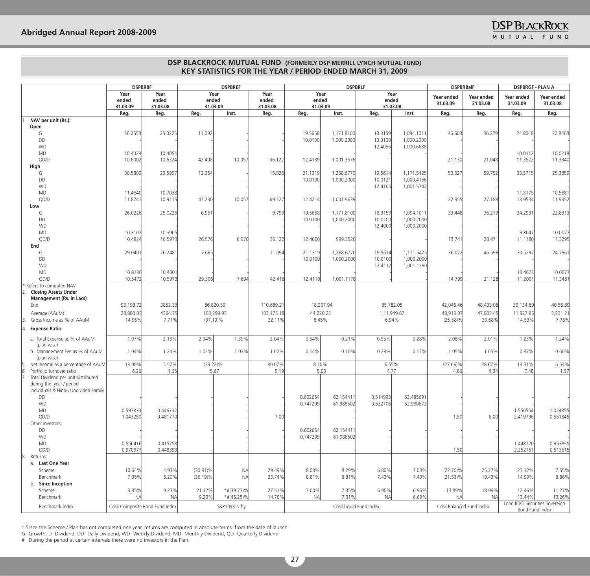|                                                          | <b>DSPBRBF</b>                   |                    |             | <b>DSPBREF</b>            |                      |           |                   | <b>DSPBRLF</b>           |                   |                          | <b>DSPBRBalF</b>           |                                 | <b>DSPBRGF - PLAN A</b> |  |
|----------------------------------------------------------|----------------------------------|--------------------|-------------|---------------------------|----------------------|-----------|-------------------|--------------------------|-------------------|--------------------------|----------------------------|---------------------------------|-------------------------|--|
|                                                          | Year                             | Year               |             | Year                      | Year                 |           | Year              |                          | Year              | Year ended               | Year ended                 | Year ended                      | Year ended              |  |
|                                                          | ended                            | ended              | ended       |                           | ended                | ended     |                   | ended                    |                   | 31.03.09                 | 31.03.08                   | 31.03.09                        | 31.03.08                |  |
|                                                          | 31.03.09<br>Reg.                 | 31.03.08<br>Reg.   | Reg.        | 31.03.09<br>Inst.         | 31.03.08<br>Reg.     | Reg.      | 31.03.09<br>Inst. | Reg.                     | 31.03.08<br>Inst. | Reg.                     | Reg.                       | Reg.                            | Reg.                    |  |
| NAV per unit (Rs.):                                      |                                  |                    |             |                           |                      |           |                   |                          |                   |                          |                            |                                 |                         |  |
| Open                                                     |                                  |                    |             |                           |                      |           |                   |                          |                   |                          |                            |                                 |                         |  |
| G                                                        | 26.2553                          | 25.0225            | 11.092      |                           |                      | 19.5658   | 1,171.8100        | 18.3159                  | 1,094.1011        | 46.603                   | 36.279                     | 24.8048                         | 22.8403                 |  |
| DD                                                       |                                  |                    |             |                           |                      | 10.0100   | 1,000.2000        | 10.0100                  | 1,000.2000        |                          |                            |                                 |                         |  |
| <b>WD</b>                                                |                                  |                    |             |                           |                      |           |                   | 12.4056                  | 1,000.6688        |                          |                            |                                 |                         |  |
| <b>MD</b>                                                | 10.4029                          | 10.4054            |             |                           |                      |           |                   |                          |                   |                          |                            | 10.0112                         | 10.0218                 |  |
| QD/D                                                     | 10.6002                          | 10.6324            | 42.408      | 10.057                    | 36.122               | 12.4139   | 1,001.3576        |                          |                   | 21.130                   | 21.048                     | 11.3522                         | 11.3340                 |  |
| High<br>G                                                | 30.5809                          | 26.5997            | 12.354      |                           | 15.826               | 21.1319   | 1,268.6770        | 19.5614                  | 1,171.5425        | 50.627                   | 59.752                     | 33.5715                         | 25.3859                 |  |
| DD                                                       |                                  |                    |             |                           |                      | 10.0100   | 1,000.2000        | 10.0121                  | 1,000.4166        |                          |                            |                                 |                         |  |
| <b>WD</b>                                                |                                  |                    |             |                           |                      |           |                   | 12.4165                  | 1,001.5742        |                          |                            |                                 |                         |  |
| <b>MD</b>                                                | 11.4840                          | 10.7038            |             |                           |                      |           |                   |                          |                   |                          |                            | 11.8175                         | 10.5881                 |  |
| QD/D                                                     | 11.8741                          | 10.9115            | 47.230      | 10.057                    | 69.127               | 12.4214   | 1,001.9639        |                          |                   | 22.955                   | 27.188                     | 13.9534                         | 11.9352                 |  |
| Low                                                      |                                  |                    |             |                           |                      |           |                   |                          |                   |                          |                            |                                 |                         |  |
| G                                                        | 26.0226                          | 25.0225            | 6.951       |                           | 9.799                | 19.5658   | 1,171.8100        | 18.3159                  | 1,094.1011        | 33.448                   | 36.279                     | 24.2931                         | 22.8313                 |  |
| DD                                                       |                                  |                    |             |                           |                      | 10.0100   | 1,000.2000        | 10.0100                  | 1,000.2000        |                          |                            |                                 |                         |  |
| <b>WD</b>                                                |                                  |                    |             |                           |                      |           |                   | 12.4000                  | 1,000.2000        |                          |                            |                                 |                         |  |
| MD<br>QD/D                                               | 10.3107<br>10.4824               | 10.3965<br>10.5973 | 26.576      | 6.970                     | 36.122               | 12.4000   | 999.3520          |                          |                   | 13.741                   | 20.471                     | 9.8047<br>11.1180               | 10.0077<br>11.3295      |  |
| End                                                      |                                  |                    |             |                           |                      |           |                   |                          |                   |                          |                            |                                 |                         |  |
| G                                                        | 29.0401                          | 26.248             | 7.665       |                           | 11.094               | 21.1319   | 1.268.6770        | 19.5614                  | 1,171.5425        | 36.022                   | 46.598                     | 30.5292                         | 24.7961                 |  |
| DD                                                       |                                  |                    |             |                           |                      | 10.0100   | 1,000.2000        | 10.0100                  | 1,000.2000        |                          |                            |                                 |                         |  |
| <b>WD</b>                                                |                                  |                    |             |                           |                      |           |                   | 12.4112                  | 1,001.1290        |                          |                            |                                 |                         |  |
| MD                                                       | 10.8136                          | 10.4001            |             |                           |                      |           |                   |                          |                   |                          |                            | 10.4623                         | 10.0077                 |  |
| QD/D                                                     | 10.5472                          | 10.5973            | 29.306      | 7.694                     | 42.416               | 12.4110   | 1,001.1178        |                          |                   | 14.799                   | 21.128                     | 11.2001                         | 11.3481                 |  |
| Refers to computed NAV                                   |                                  |                    |             |                           |                      |           |                   |                          |                   |                          |                            |                                 |                         |  |
| <b>Closing Assets Under</b>                              |                                  |                    |             |                           |                      |           |                   |                          |                   |                          |                            |                                 |                         |  |
| Management (Rs. in Lacs)<br>End                          | 93,198.72                        | 3852.33            |             | 86,820.50                 | 110,689.21           |           | 18,207.94         | 85,782.05                |                   | 42,046.46                | 48,433.06                  | 39,134.69                       | 40,56.89                |  |
|                                                          |                                  |                    |             |                           |                      |           |                   |                          |                   |                          |                            |                                 |                         |  |
| Average (AAuM)<br>Gross Income as % of AAuM              | 28,880.03<br>14.96%              | 4364.75<br>7.71%   |             | 103,299.93<br>$(37.19)\%$ | 103,175.18<br>32.11% | 8.45%     | 44,220.22         | 1,11,949.67              | 6.94%             | 48,913.07<br>$(25.58)\%$ | 47,803.45<br>30.68%        | 11,927.85<br>14.53%             | 3,231.21<br>7.78%       |  |
|                                                          |                                  |                    |             |                           |                      |           |                   |                          |                   |                          |                            |                                 |                         |  |
| <b>Expense Ratio:</b>                                    |                                  |                    |             |                           |                      |           |                   |                          |                   |                          |                            |                                 |                         |  |
| a. Total Expense as % of AAuM                            | 1.97%                            | 2.13%              | 2.04%       | 1.39%                     | 2.04%                | 0.54%     | 0.21%             | 0.55%                    | 0.28%             | 2.08%                    | 2.01%                      | 1.23%                           | 1.24%                   |  |
| (plan wise)                                              |                                  |                    |             |                           |                      |           |                   |                          |                   |                          |                            |                                 |                         |  |
| b. Management Fee as % of AAuM                           | 1.04%                            | 1.24%              | 1.02%       | 1.03%                     | 1.02%                | 0.14%     | 0.10%             | 0.28%                    | 0.17%             | 1.05%                    | 1.05%                      | 0.87%                           | 0.60%                   |  |
| (plan wise)<br>Net Income as a percentage of AAuM<br>15. | 13.00%                           | 5.57%              | $(39.22)\%$ |                           | 30.07%               | 8.10%     |                   | 6.55%                    |                   | $(27.66)\%$              | 28.67%                     | 13.31%                          | 6.54%                   |  |
| Portfolio turnover ratio<br>16.                          | 6.26                             | 1.65               |             | 5.67                      | 5.19                 |           | 5.03              | 4.77                     |                   | 4.86                     | 4.34                       | 7.48                            | 1.97                    |  |
| Total Dividend per unit distributed                      |                                  |                    |             |                           |                      |           |                   |                          |                   |                          |                            |                                 |                         |  |
| during the year / period                                 |                                  |                    |             |                           |                      |           |                   |                          |                   |                          |                            |                                 |                         |  |
| Individuals & Hindu Undivided Family                     |                                  |                    |             |                           |                      |           |                   |                          |                   |                          |                            |                                 |                         |  |
| <b>DD</b>                                                |                                  |                    |             |                           |                      | 0.602654  | 62.154411         | 0.514993                 | 53.485691         |                          |                            |                                 |                         |  |
| <b>WD</b>                                                |                                  |                    |             |                           |                      | 0.747299  | 61.988502         | 0.632706                 | 52.980672         |                          |                            |                                 |                         |  |
| <b>MD</b>                                                | 0.597833                         | 0.446732           |             |                           |                      |           |                   |                          |                   |                          |                            | 1.556554                        | 1.024855                |  |
| QD/D<br>Other Investors                                  | 1.043250                         | 0.481770           |             |                           | 7.00                 |           |                   |                          |                   | 1.50                     | 6.00                       | 2.419796                        | 0.551845                |  |
| DD                                                       |                                  |                    |             |                           |                      | 0.602654  | 62.154411         |                          |                   |                          |                            |                                 |                         |  |
| <b>WD</b>                                                |                                  |                    |             |                           |                      | 0.747299  | 61.988502         |                          |                   |                          |                            |                                 |                         |  |
| MD                                                       | 0.556416                         | 0.415758           |             |                           |                      |           |                   |                          |                   |                          |                            | 1.448720                        | 0.953855                |  |
| QD/D                                                     | 0.970977                         | 0.448393           |             |                           |                      |           |                   |                          |                   | 1.50                     |                            | 2.252161                        | 0.513615                |  |
| 8.<br>Returns:                                           |                                  |                    |             |                           |                      |           |                   |                          |                   |                          |                            |                                 |                         |  |
| a. Last One Year                                         |                                  |                    |             |                           |                      |           |                   |                          |                   |                          |                            |                                 |                         |  |
| Scheme                                                   | 10.64%                           | 4.93%              | $(30.91)\%$ | N <sub>A</sub>            | 29.49%               | 8.03%     | 8.29%             | 6.80%                    | 7.08%             | $(22.70)\%$              | 25.27%                     | 23.12%                          | 7.55%                   |  |
| Benchmark                                                | 7.35%                            | 8.20%              | $(36.19)\%$ | <b>NA</b>                 | 23.74%               | 8.81%     | 8.81%             | 7.43%                    | 7.43%             | $(21.53)\%$              | 19.43%                     | 14.99%                          | 8.86%                   |  |
| b. Since Inception<br>Scheme                             | 9.35%                            | 9.23%              | 21.12%      | *#(39.73)%                | 27.51%               | 7.00%     | 7.35%             | 6.90%                    | 6.96%             | 13.89%                   | 18.99%                     | 12.46%                          | 11.27%                  |  |
| Benchmark                                                | <b>NA</b>                        | <b>NA</b>          | 9.20%       | $*#(45.25)\%$             | 14.70%               | <b>NA</b> | 7.31%             | <b>NA</b>                | 6.69%             | <b>NA</b>                | <b>NA</b>                  | 13.44%                          | 13.26%                  |  |
|                                                          |                                  |                    |             |                           |                      |           |                   |                          |                   |                          |                            | Long ICICI Securities Sovereign |                         |  |
| Benchmark Index                                          | Crisil Composite Bond Fund Index |                    |             | S&P CNX Nifty             |                      |           |                   | Crisil Liquid Fund Index |                   |                          | Crisil Balanced Fund Index | Bond Fund Index                 |                         |  |

\* Since the Scheme / Plan has not completed one year, returns are computed in absolute terms from the date of launch.

g- growth, D- Dividend, DD- Daily Dividend, wD- weekly Dividend, MD- Monthly Dividend, QD- Quarterly Dividend.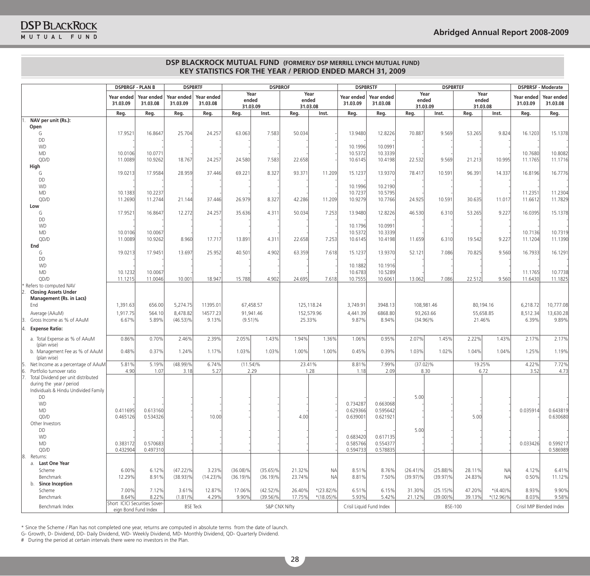|  |  | IUTUAL FUND |  |  |
|--|--|-------------|--|--|
|  |  |             |  |  |

|                                                                      | <b>DSPBRGF - PLAN B</b> |                               |                        | <b>DSPBRTF</b><br><b>DSPBROF</b> |             | <b>DSPBRSTF</b><br><b>DSPBRTEF</b> |        |                           |                        |                          |             | <b>DSPBRSF - Moderate</b> |                |                  |                        |                          |
|----------------------------------------------------------------------|-------------------------|-------------------------------|------------------------|----------------------------------|-------------|------------------------------------|--------|---------------------------|------------------------|--------------------------|-------------|---------------------------|----------------|------------------|------------------------|--------------------------|
|                                                                      | Year ended<br>31.03.09  | Year ended<br>31.03.08        | Year ended<br>31.03.09 | Year ended<br>31.03.08           |             | Year<br>ended<br>31.03.09          |        | Year<br>ended<br>31.03.08 | Year ended<br>31.03.09 | Year ended<br>31.03.08   |             | Year<br>ended<br>31.03.09 | ended          | Year<br>31.03.08 | Year ended<br>31.03.09 | Year ended<br>31.03.08   |
|                                                                      | Reg.                    | Reg.                          | Reg.                   | Reg.                             | Reg.        | Inst.                              | Reg.   | Inst.                     | Reg.                   | Reg.                     | Reg.        | Inst.                     | Reg.           | Inst.            | Reg.                   | Reg.                     |
| NAV per unit (Rs.):                                                  |                         |                               |                        |                                  |             |                                    |        |                           |                        |                          |             |                           |                |                  |                        |                          |
| Open                                                                 |                         |                               |                        |                                  |             |                                    |        |                           |                        |                          |             |                           |                |                  |                        |                          |
| G                                                                    | 17.9521                 | 16.8647                       | 25.704                 | 24.257                           | 63.063      | 7.583                              | 50.034 |                           | 13.9480                | 12.8226                  | 70.887      | 9.569                     | 53.265         | 9.824            | 16.1203                | 15.1378                  |
| DD                                                                   |                         |                               |                        |                                  |             |                                    |        |                           |                        |                          |             |                           |                |                  |                        |                          |
| <b>WD</b>                                                            |                         |                               |                        |                                  |             |                                    |        |                           | 10.1996                | 10.0991                  |             |                           |                |                  |                        |                          |
| <b>MD</b><br>QD/D                                                    | 10.0106<br>11.0089      | 10.0771<br>10.9262            | 18.767                 | 24.257                           | 24.580      | 7.583                              | 22.658 |                           | 10.5372<br>10.6145     | 10.3339<br>10.4198       | 22.532      | 9.569                     | 21.213         | 10.995           | 10.7680<br>11.1765     | 10.8082<br>11.1716       |
| High                                                                 |                         |                               |                        |                                  |             |                                    |        |                           |                        |                          |             |                           |                |                  |                        |                          |
| G                                                                    | 19.0213                 | 17.9584                       | 28.959                 | 37.446                           | 69.221      | 8.327                              | 93.371 | 11.209                    | 15.1237                | 13.9370                  | 78.417      | 10.591                    | 96.391         | 14.337           | 16.8196                | 16.7776                  |
| DD                                                                   |                         |                               |                        |                                  |             |                                    |        |                           |                        |                          |             |                           |                |                  |                        |                          |
| <b>WD</b>                                                            |                         |                               |                        |                                  |             |                                    |        |                           | 10.1996                | 10.2190                  |             |                           |                |                  |                        |                          |
| <b>MD</b>                                                            | 10.1383                 | 10.2237                       |                        |                                  |             |                                    |        |                           | 10.7237                | 10.5795                  |             |                           |                |                  | 11.2351                | 11.2304                  |
| QD/D                                                                 | 11.2690                 | 11.2744                       | 21.144                 | 37.446                           | 26.979      | 8.327                              | 42.286 | 11.209                    | 10.9279                | 10.7766                  | 24.925      | 10.591                    | 30.635         | 11.017           | 11.6612                | 11.7829                  |
| Low                                                                  |                         |                               |                        |                                  |             |                                    |        |                           |                        |                          |             |                           |                |                  |                        |                          |
| G                                                                    | 17.9521                 | 16.8647                       | 12.272                 | 24.257                           | 35.636      | 4.311                              | 50.034 | 7.253                     | 13,9480                | 12.8226                  | 46.530      | 6.310                     | 53.265         | 9.227            | 16.0395                | 15.1378                  |
| DD                                                                   |                         |                               |                        |                                  |             |                                    |        |                           |                        |                          |             |                           |                |                  |                        |                          |
| <b>WD</b>                                                            |                         |                               |                        |                                  |             |                                    |        |                           | 10.1796                | 10.0991                  |             |                           |                |                  |                        |                          |
| <b>MD</b>                                                            | 10.0106                 | 10.0067                       |                        |                                  |             |                                    |        |                           | 10.5372                | 10.3339                  |             |                           |                |                  | 10.7136                | 10.7319                  |
| QD/D                                                                 | 11.0089                 | 10.9262                       | 8.960                  | 17.717                           | 13.891      | 4.311                              | 22.658 | 7.253                     | 10.6145                | 10.4198                  | 11.659      | 6.310                     | 19.542         | 9.227            | 11.1204                | 11.1390                  |
| End                                                                  |                         |                               |                        |                                  |             |                                    |        |                           |                        |                          |             |                           |                |                  |                        |                          |
| G                                                                    | 19.0213                 | 17.9451                       | 13.697                 | 25.952                           | 40.501      | 4.902                              | 63.359 | 7.618                     | 15.1237                | 13.9370                  | 52.121      | 7.086                     | 70.825         | 9.560            | 16.7933                | 16.1291                  |
| DD                                                                   |                         |                               |                        |                                  |             |                                    |        |                           |                        |                          |             |                           |                |                  |                        |                          |
| <b>WD</b>                                                            |                         |                               |                        |                                  |             |                                    |        |                           | 10.1882                | 10.1916                  |             |                           |                |                  |                        |                          |
| <b>MD</b>                                                            | 10.1232                 | 10.0067                       |                        |                                  |             | 4.902                              | 24.695 |                           | 10.6783<br>10.7555     | 10.5289<br>10.6061       | 13.062      | 7.086                     |                | 9.560            | 11.1765<br>11.6430     | 10.7738                  |
| QD/D<br>Refers to computed NAV                                       | 11.1215                 | 11.0046                       | 10.001                 | 18.947                           | 15.788      |                                    |        | 7.618                     |                        |                          |             |                           | 22.512         |                  |                        | 11.1825                  |
| <b>Closing Assets Under</b>                                          |                         |                               |                        |                                  |             |                                    |        |                           |                        |                          |             |                           |                |                  |                        |                          |
| <b>Management (Rs. in Lacs)</b>                                      |                         |                               |                        |                                  |             |                                    |        |                           |                        |                          |             |                           |                |                  |                        |                          |
| End                                                                  | 1,391.63                | 656.00                        | 5,274.75               | 11395.01                         |             | 67,458.57                          |        | 125,118.24                | 3,749.91               | 3948.13                  |             | 108,981.46                |                | 80,194.16        | 6,218.72               | 10,777.08                |
| Average (AAuM)                                                       | 1,917.75                | 564.10                        | 8,478.82               | 14577.23                         |             | 91,941.46                          |        | 152,579.96                | 4,441.39               | 6868.80                  |             | 93,263.66                 |                | 55,658.85        | 8,512.34               | 13,630.28                |
| Gross Income as % of AAuM                                            | 6.67%                   | 5.89%                         | $(46.53)\%$            | 9.13%                            |             | $(9.51)\%$                         | 25.33% |                           | 9.87%                  | 8.94%                    |             | $(34.96)\%$               |                | 21.46%           | 6.39%                  | 9.89%                    |
|                                                                      |                         |                               |                        |                                  |             |                                    |        |                           |                        |                          |             |                           |                |                  |                        |                          |
| <b>Expense Ratio:</b>                                                |                         |                               |                        |                                  |             |                                    |        |                           |                        |                          |             |                           |                |                  |                        |                          |
| a. Total Expense as % of AAuM                                        | 0.86%                   | 0.70%                         | 2.46%                  | 2.39%                            | 2.05%       | 1.43%                              | 1.94%  | 1.36%                     | 1.06%                  | 0.95%                    | 2.07%       | 1.45%                     | 2.22%          | 1.43%            | 2.17%                  | 2.17%                    |
| (plan wise)                                                          |                         |                               |                        |                                  |             |                                    |        |                           |                        |                          |             |                           |                |                  |                        |                          |
| b. Management Fee as % of AAuM                                       | 0.48%                   | 0.37%                         | 1.24%                  | 1.17%                            | 1.03%       | 1.03%                              | 1.00%  | 1.00%                     | 0.45%                  | 0.39%                    | 1.03%       | 1.02%                     | 1.04%          | 1.04%            | 1.25%                  | 1.19%                    |
| (plan wise)                                                          |                         |                               |                        |                                  |             |                                    |        |                           |                        |                          |             |                           |                |                  |                        |                          |
| Net Income as a percentage of AAuM                                   | 5.81%                   | 5.19%                         | $(48.99)\%$            | 6.74%                            | $(11.54)\%$ |                                    | 23.41% |                           | 8.81%                  | 7.99%                    | $(37.02)\%$ |                           |                | 19.25%           | 4.22%                  | 7.72%                    |
| 16.<br>Portfolio turnover ratio                                      | 4.90                    | 1.07                          | 3.18                   | 5.27                             |             | 2.29                               |        | 1.28                      | 1.18                   | 2.09                     |             | 8.30                      |                | 6.72             | 3.52                   | 4.73                     |
| Total Dividend per unit distributed<br>7<br>during the year / period |                         |                               |                        |                                  |             |                                    |        |                           |                        |                          |             |                           |                |                  |                        |                          |
| Individuals & Hindu Undivided Family                                 |                         |                               |                        |                                  |             |                                    |        |                           |                        |                          |             |                           |                |                  |                        |                          |
| DD                                                                   |                         |                               |                        |                                  |             |                                    |        |                           |                        |                          | 5.00        |                           |                |                  |                        |                          |
| <b>WD</b>                                                            |                         |                               |                        |                                  |             |                                    |        |                           | 0.734287               | 0.663068                 |             |                           |                |                  |                        |                          |
| <b>MD</b>                                                            | 0.411695                | 0.613160                      |                        |                                  |             |                                    |        |                           | 0.629366               | 0.595642                 |             |                           |                |                  | 0.035914               | 0.643819                 |
| QD/D                                                                 | 0.465126                | 0.534326                      |                        | 10.00                            |             |                                    | 4.00   |                           | 0.639001               | 0.621921                 |             |                           | 5.00           |                  |                        | 0.630680                 |
| Other Investors                                                      |                         |                               |                        |                                  |             |                                    |        |                           |                        |                          |             |                           |                |                  |                        |                          |
| DD                                                                   |                         |                               |                        |                                  |             |                                    |        |                           |                        |                          | 5.00        |                           |                |                  |                        |                          |
| <b>WD</b>                                                            |                         |                               |                        |                                  |             |                                    |        |                           | 0.683420               | 0.617135                 |             |                           |                |                  |                        |                          |
| MD                                                                   | 0.383172                | 0.570683                      |                        |                                  |             |                                    |        |                           | 0.585766               | 0.554377                 |             |                           |                |                  | 0.033426               | 0.599217                 |
| QD/D                                                                 | 0.432904                | 0.497310                      |                        |                                  |             |                                    |        |                           | 0.594733               | 0.578835                 |             |                           |                |                  |                        | 0.586989                 |
| 8. Returns:                                                          |                         |                               |                        |                                  |             |                                    |        |                           |                        |                          |             |                           |                |                  |                        |                          |
| a. Last One Year                                                     |                         |                               |                        |                                  |             |                                    |        |                           |                        |                          |             |                           |                |                  |                        |                          |
| Scheme                                                               | 6.00%                   | 6.12%                         | $(47.22)\%$            | 3.23%                            | $(36.08)\%$ | $(35.65)\%$                        | 21.32% | N <sub>A</sub>            | 8.51%                  | 8.76%                    | $(26.41)\%$ | $(25.88)\%$               | 28.11%         | N <sub>A</sub>   | 4.12%                  | 6.41%                    |
| Benchmark                                                            | 12.29%                  | 8.91%                         | $(38.93)\%$            | $(14.23)\%$                      | $(36.19)\%$ | $(36.19)\%$                        | 23.74% | <b>NA</b>                 | 8.81%                  | 7.50%                    | $(39.97)\%$ | $(39.97)\%$               | 24.83%         | N <sub>A</sub>   | 0.50%                  | 11.12%                   |
| b. Since Inception                                                   |                         |                               |                        |                                  |             |                                    |        |                           |                        |                          |             |                           |                |                  |                        |                          |
| Scheme                                                               | 7.00%                   | 7.12%                         | 3.61%                  | 12.87%                           | 17.06%      | $(42.52)\%$                        | 26.40% | $*(23.82)\%$              | 6.51%                  | 6.15%                    | 31.30%      | $(25.15)\%$               | 47.20%         | $*(4.40)\%$      | 8.93%                  | 9.90%                    |
| Benchmark                                                            | 8.64%                   | 8.22%                         | $(1.81)\%$             | 4.29%                            | 9.90%       | $(39.56)\%$                        | 17.75% | $*(18.05)\%$              | 5.93%                  | 5.42%                    | 21.12%      | $(39.00)\%$               | 39.13%         | $*(12.96)\%$     | 8.03%                  | 9.58%                    |
| Benchmark Index                                                      |                         | Short ICICI Securities Sover- |                        | <b>BSE Teck</b>                  |             | S&P CNX Nifty                      |        |                           |                        | Crisil Liquid Fund Index |             |                           | <b>BSE-100</b> |                  |                        | Crisil MIP Blended Index |
|                                                                      |                         | eign Bond Fund Index          |                        |                                  |             |                                    |        |                           |                        |                          |             |                           |                |                  |                        |                          |

\* Since the Scheme / Plan has not completed one year, returns are computed in absolute terms from the date of launch. g- growth, D- Dividend, DD- Daily Dividend, wD- weekly Dividend, MD- Monthly Dividend, QD- Quarterly Dividend.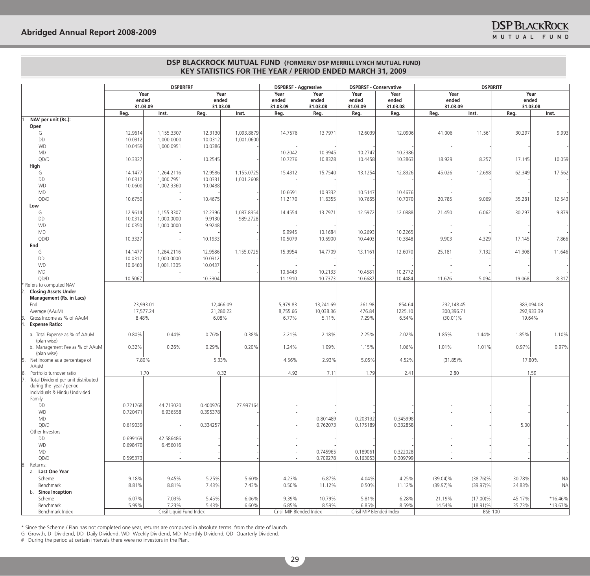|                                               | <b>DSPBRFRF</b>      |                          | <b>DSPBRSF - Aggressive</b> |            | <b>DSPBRSF - Conservative</b> |                      | <b>DSPBRITF</b>      |                          |             |             |                |            |
|-----------------------------------------------|----------------------|--------------------------|-----------------------------|------------|-------------------------------|----------------------|----------------------|--------------------------|-------------|-------------|----------------|------------|
|                                               | Year                 |                          | Year                        |            | Year                          | Year                 | Year                 | Year                     |             | Year        | Year           |            |
|                                               |                      | ended                    | ended                       |            | ended<br>ended                |                      | ended<br>ended       |                          | ended       |             | ended          |            |
|                                               |                      | 31.03.09                 |                             | 31.03.08   | 31.03.09                      | 31.03.08             | 31.03.09             | 31.03.08                 |             | 31.03.09    | 31.03.08       |            |
| NAV per unit (Rs.):                           | Reg.                 | Inst.                    | Reg.                        | Inst.      | Reg.                          | Reg.                 | Reg.                 | Reg.                     | Reg.        | Inst.       | Reg.           | Inst.      |
| Open                                          |                      |                          |                             |            |                               |                      |                      |                          |             |             |                |            |
| G                                             | 12.9614              | 1,155.3307               | 12.3130                     | 1,093.8679 | 14.7576                       | 13.7971              | 12.6039              | 12.0906                  | 41.006      | 11.561      | 30.297         | 9.993      |
| DD                                            | 10.0312              | 1,000.0000               | 10.0312                     | 1,001.0600 |                               |                      |                      |                          |             |             |                |            |
| <b>WD</b>                                     | 10.0459              | 1,000.0951               | 10.0386                     |            |                               |                      |                      |                          |             |             |                |            |
| <b>MD</b>                                     |                      |                          |                             |            | 10.2042                       | 10.3945              | 10.2747              | 10.2386                  |             |             |                |            |
| QD/D                                          | 10.3327              |                          | 10.2545                     |            | 10.7276                       | 10.8328              | 10.4458              | 10.3863                  | 18.929      | 8.257       | 17.145         | 10.059     |
| High                                          |                      |                          |                             |            |                               |                      |                      |                          |             |             |                |            |
| G                                             | 14.1477              | 1,264.2116               | 12.9586                     | 1,155.0725 | 15.4312                       | 15.7540              | 13.1254              | 12.8326                  | 45.026      | 12.698      | 62.349         | 17.562     |
| DD                                            | 10.0312              | 1,000.7951               | 10.0331                     | 1,001.2608 |                               |                      |                      |                          |             |             |                |            |
| <b>WD</b>                                     | 10.0600              | 1,002.3360               | 10.0488                     |            |                               |                      |                      |                          |             |             |                |            |
| MD                                            |                      |                          |                             |            | 10.6691                       | 10.9332              | 10.5147              | 10.4676                  |             |             |                |            |
| QD/D                                          | 10.6750              |                          | 10.4675                     |            | 11.2170                       | 11.6355              | 10.7665              | 10.7070                  | 20.785      | 9.069       | 35.281         | 12.543     |
| Low                                           |                      |                          |                             |            |                               |                      |                      |                          |             |             |                |            |
| G                                             | 12.9614              | 1,155.3307               | 12.2396                     | 1,087.8354 | 14.4554                       | 13.7971              | 12.5972              | 12.0888                  | 21.450      | 6.062       | 30.297         | 9.879      |
| DD<br><b>WD</b>                               | 10.0312<br>10.0350   | 1,000.0000<br>1,000.0000 | 9.9130<br>9.9248            | 989.2728   |                               |                      |                      |                          |             |             |                |            |
| MD                                            |                      |                          |                             |            | 9.9945                        | 10.1684              | 10.2693              | 10.2265                  |             |             |                |            |
| QD/D                                          | 10.3327              |                          | 10.1933                     |            | 10.5079                       | 10.6900              | 10.4403              | 10.3848                  | 9.903       | 4.329       | 17.145         | 7.866      |
| End                                           |                      |                          |                             |            |                               |                      |                      |                          |             |             |                |            |
| G                                             | 14.1477              | 1,264.2116               | 12.9586                     | 1,155.0725 | 15.3954                       | 14.7709              | 13.1161              | 12.6070                  | 25.181      | 7.132       | 41.308         | 11.646     |
| DD                                            | 10.0312              | 1.000.0000               | 10.0312                     |            |                               |                      |                      |                          |             |             |                |            |
| <b>WD</b>                                     | 10.0460              | 1,001.1305               | 10.0437                     |            |                               |                      |                      |                          |             |             |                |            |
| MD                                            |                      |                          |                             |            | 10.6443                       | 10.2133              | 10.4581              | 10.2772                  |             |             |                |            |
| QD/D                                          | 10.5067              |                          | 10.3304                     |            | 11.1910                       | 10.7373              | 10.6687              | 10.4484                  | 11.626      | 5.094       | 19.068         | 8.317      |
| Refers to computed NAV                        |                      |                          |                             |            |                               |                      |                      |                          |             |             |                |            |
| <b>Closing Assets Under</b>                   |                      |                          |                             |            |                               |                      |                      |                          |             |             |                |            |
| <b>Management (Rs. in Lacs)</b>               |                      |                          |                             |            |                               |                      |                      |                          |             |             |                |            |
| End                                           |                      | 23,993.01                |                             | 12,466.09  | 5,979.83                      | 13,241.69            | 261.98               | 854.64                   |             | 232,148.45  |                | 383,094.08 |
| Average (AAuM)<br>Gross Income as % of AAuM   |                      | 17,577.24                |                             | 21,280.22  | 8,755.66                      | 10,038.36            | 476.84               | 1225.10                  |             | 300,396.71  | 292,933.39     |            |
| <b>Expense Ratio:</b>                         | 8.48%                |                          | 6.08%                       |            | 6.77%                         | 5.11%                | 7.29%                | 6.54%                    | $(30.01)\%$ |             | 19.64%         |            |
|                                               |                      |                          |                             |            |                               |                      |                      |                          |             |             |                |            |
| a. Total Expense as % of AAuM                 | 0.80%                | 0.44%                    | 0.76%                       | 0.38%      | 2.21%                         | 2.18%                | 2.25%                | 2.02%                    | 1.85%       | 1.44%       | 1.85%          | 1.10%      |
| (plan wise)                                   |                      |                          |                             |            |                               |                      |                      |                          |             |             |                |            |
| b. Management Fee as % of AAuM<br>(plan wise) | 0.32%                | 0.26%                    | 0.29%                       | 0.20%      | 1.24%                         | 1.09%                | 1.15%                | 1.06%                    | 1.01%       | 1.01%       | 0.97%          | 0.97%      |
| Net Income as a percentage of<br>15.          | 7.80%                |                          | 5.33%                       |            | 4.56%                         | 2.93%                | 5.05%                | 4.52%                    |             | $(31.85)\%$ | 17.80%         |            |
| AAuM                                          |                      |                          |                             |            |                               |                      |                      |                          |             |             |                |            |
| Portfolio turnover ratio<br>6.                |                      | 1.70                     |                             | 0.32       | 4.92                          | 7.11                 | 1.79                 | 2.41                     |             | 2.80        |                | 1.59       |
| Total Dividend per unit distributed           |                      |                          |                             |            |                               |                      |                      |                          |             |             |                |            |
| during the year / period                      |                      |                          |                             |            |                               |                      |                      |                          |             |             |                |            |
| Individuals & Hindu Undivided                 |                      |                          |                             |            |                               |                      |                      |                          |             |             |                |            |
| Family                                        |                      |                          |                             |            |                               |                      |                      |                          |             |             |                |            |
| DD                                            | 0.721268<br>0.720471 | 44.713020<br>6.936558    | 0.400976                    | 27.997164  |                               |                      |                      |                          |             |             |                |            |
| <b>WD</b><br>MD                               |                      |                          | 0.395378                    |            |                               |                      |                      |                          |             |             |                |            |
| QD/D                                          | 0.619039             |                          | 0.334257                    |            |                               | 0.801489<br>0.762073 | 0.203132<br>0.175189 | 0.345998<br>0.332858     |             |             | 5.00           |            |
| Other Investors                               |                      |                          |                             |            |                               |                      |                      |                          |             |             |                |            |
| DD                                            | 0.699169             | 42.586486                |                             |            |                               |                      |                      |                          |             |             |                |            |
| WD                                            | 0.698470             | 6.456016                 |                             |            |                               |                      |                      |                          |             |             |                |            |
| MD                                            |                      |                          |                             |            |                               | 0.745965             | 0.189061             | 0.322028                 |             |             |                |            |
| QD/D                                          | 0.595373             |                          |                             |            |                               | 0.709278             | 0.163053             | 0.309799                 |             |             |                |            |
| 18.<br>Returns:                               |                      |                          |                             |            |                               |                      |                      |                          |             |             |                |            |
| a. Last One Year                              |                      |                          |                             |            |                               |                      |                      |                          |             |             |                |            |
| Scheme                                        | 9.18%                | 9.45%                    | 5.25%                       | 5.60%      | 4.23%                         | 6.87%                | 4.04%                | 4.25%                    | $(39.04)\%$ | $(38.76)\%$ | 30.78%         | <b>NA</b>  |
| Benchmark                                     | 8.81%                | 8.81%                    | 7.43%                       | 7.43%      | 0.50%                         | 11.12%               | 0.50%                | 11.12%                   | $(39.97)\%$ | $(39.97)\%$ | 24.83%         | <b>NA</b>  |
| b. Since Inception                            |                      |                          |                             |            |                               |                      |                      |                          |             |             |                |            |
| Scheme                                        | 6.07%                | 7.03%                    | 5.45%                       | 6.06%      | 9.39%                         | 10.79%               | 5.81%                | 6.28%                    | 21.19%      | $(17.00)\%$ | 45.17%         | *16.46%    |
| Benchmark                                     | 5.99%                | 7.23%                    | 5.43%                       | 6.60%      | 6.85%                         | 8.59%                | 6.85%                | 8.59%                    | 14.54%      | $(18.91)\%$ | 35.73%         | *13.67%    |
| Benchmark Index                               |                      | Crisil Liquid Fund Index |                             |            | Crisil MIP Blended Index      |                      |                      | Crisil MIP Blended Index |             |             | <b>BSE-100</b> |            |

\* Since the Scheme / Plan has not completed one year, returns are computed in absolute terms from the date of launch. g- growth, D- Dividend, DD- Daily Dividend, wD- weekly Dividend, MD- Monthly Dividend, QD- Quarterly Dividend.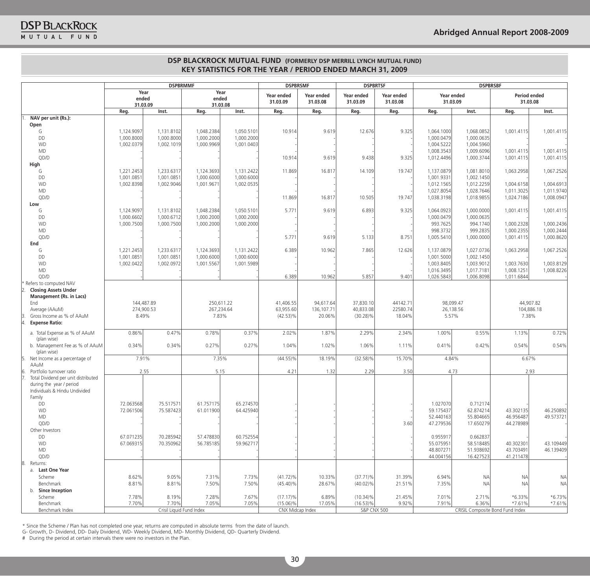|    |                                       | <b>DSPBRMMF</b>           |                          | <b>DSPBRSMF</b>           |            | <b>DSPBRTSF</b>        |                        | <b>DSPBRSBF</b>        |                        |                          |                                  |                          |                        |
|----|---------------------------------------|---------------------------|--------------------------|---------------------------|------------|------------------------|------------------------|------------------------|------------------------|--------------------------|----------------------------------|--------------------------|------------------------|
|    |                                       | Year<br>ended<br>31.03.09 |                          | Year<br>ended<br>31.03.08 |            | Year ended<br>31.03.09 | Year ended<br>31.03.08 | Year ended<br>31.03.09 | Year ended<br>31.03.08 | Year ended<br>31.03.09   |                                  | Period ended<br>31.03.08 |                        |
|    |                                       | Reg.                      | Inst.                    | Reg.                      | Inst.      | Reg.                   | Reg.                   | Reg.                   | Reg.                   | Reg.                     | Inst.                            | Reg.                     | Inst.                  |
|    | NAV per unit (Rs.):                   |                           |                          |                           |            |                        |                        |                        |                        |                          |                                  |                          |                        |
|    | Open                                  |                           |                          |                           |            |                        |                        |                        |                        |                          |                                  |                          |                        |
|    | G                                     | 1,124.9097                | 1,131.8102               | 1,048.2384                | 1,050.5101 | 10.914                 | 9.619                  | 12.676                 | 9.325                  | 1,064.1000               | 1,068.0852                       | 1,001.4115               | 1,001.4115             |
|    | DD<br><b>WD</b>                       | 1,000.8000                | 1,000.8000               | 1,000.2000                | 1,000.2000 |                        |                        |                        |                        | 1,000.0479               | 1,000.0635                       |                          |                        |
|    | <b>MD</b>                             | 1,002.0379                | 1,002.1019               | 1,000.9969                | 1,001.0403 |                        |                        |                        |                        | 1,004.5222<br>1,008.3543 | 1,004.5960<br>1,009.6096         | 1,001.4115               | 1,001.4115             |
|    | QD/D                                  |                           |                          |                           |            | 10.914                 | 9.619                  | 9.438                  | 9.325                  | 1,012.4496               | 1,000.3744                       | 1,001.4115               | 1,001.4115             |
|    | High                                  |                           |                          |                           |            |                        |                        |                        |                        |                          |                                  |                          |                        |
|    | G                                     | 1,221.2453                | 1,233.6317               | 1,124.3693                | 1,131.2422 | 11.869                 | 16.817                 | 14.109                 | 19.747                 | 1,137.0879               | 1,081.8010                       | 1,063.2958               | 1,067.2526             |
|    | DD                                    | 1,001.0851                | 1.001.0851               | 1,000.6000                | 1,000.6000 |                        |                        |                        |                        | 1,001.9331               | 1,002.1450                       |                          |                        |
|    | <b>WD</b>                             | 1,002.8398                | 1,002.9046               | 1,001.9671                | 1,002.0535 |                        |                        |                        |                        | 1,012.1565               | 1,012.2259                       | 1,004.6158               | 1,004.6913             |
|    | <b>MD</b>                             |                           |                          |                           |            |                        |                        |                        |                        | 1,027.8054               | 1,028.7646                       | 1,011.3025               | 1,011.9740             |
|    | QD/D                                  |                           |                          |                           |            | 11.869                 | 16.817                 | 10.505                 | 19.747                 | 1,038.3198               | 1,018.9855                       | 1,024.7186               | 1,008.0947             |
|    | Low                                   |                           |                          |                           |            |                        |                        |                        |                        |                          |                                  |                          |                        |
|    | G                                     | 1,124.9097                | 1,131.8102               | 1,048.2384                | 1,050.5101 | 5.771                  | 9.619                  | 6.893                  | 9.325                  | 1,064.0923               | 1,000.0000                       | 1,001.4115               | 1,001.4115             |
|    | DD                                    | 1,000.6602                | 1,000.6712               | 1,000.2000                | 1,000.2000 |                        |                        |                        |                        | 1,000.0479               | 1,000.0635                       |                          |                        |
|    | <b>WD</b>                             | 1,000.7500                | 1,000.7500               | 1,000.2000                | 1,000.2000 |                        |                        |                        |                        | 993.7625                 | 994.1740                         | 1,000.2328               | 1,000.2436             |
|    | <b>MD</b>                             |                           |                          |                           |            |                        |                        |                        |                        | 998.3732                 | 999.2835                         | 1,000.2355               | 1.000.2444             |
|    | QD/D<br>End                           |                           |                          |                           |            | 5.771                  | 9.619                  | 5.133                  | 8.751                  | 1,005.5410               | 1,000.0000                       | 1,001.4115               | 1,000.8620             |
|    | G                                     | 1,221.2453                | 1.233.6317               | 1,124.3693                | 1,131.2422 | 6.389                  | 10.962                 | 7.865                  | 12.626                 | 1,137.0879               | 1,027.0736                       | 1,063.2958               | 1,067.2526             |
|    | DD                                    | 1,001.0851                | 1,001.0851               | 1,000.6000                | 1,000.6000 |                        |                        |                        |                        | 1,001.5000               | 1,002.1450                       |                          |                        |
|    | <b>WD</b>                             | 1,002.0422                | 1,002.0972               | 1,001.5567                | 1,001.5989 |                        |                        |                        |                        | 1,003.8405               | 1,003.9012                       | 1,003.7630               | 1,003.8129             |
|    | <b>MD</b>                             |                           |                          |                           |            |                        |                        |                        |                        | 1,016.3495               | 1,017.7181                       | 1,008.1251               | 1,008.8226             |
|    | QD/D                                  |                           |                          |                           |            | 6.389                  | 10.962                 | 5.857                  | 9.401                  | 1,026.5843               | 1,006.8098                       | 1,011.6844               |                        |
|    | Refers to computed NAV                |                           |                          |                           |            |                        |                        |                        |                        |                          |                                  |                          |                        |
|    | <b>Closing Assets Under</b>           |                           |                          |                           |            |                        |                        |                        |                        |                          |                                  |                          |                        |
|    | <b>Management (Rs. in Lacs)</b>       |                           |                          |                           |            |                        |                        |                        |                        |                          |                                  |                          |                        |
|    | End                                   |                           | 144,487.89               |                           | 250,611.22 | 41,406.55              | 94,617.64              | 37,830.10              | 44142.71               |                          | 98,099.47                        | 44,907.82                |                        |
|    | Average (AAuM)                        |                           | 274,900.53               |                           | 267,234.64 | 63,955.60              | 136,107.71             | 40,833.08              | 22580.74               |                          | 26,138.56                        | 104,886.18               |                        |
|    | Gross Income as % of AAuM             | 8.49%                     |                          | 7.83%                     |            | $(42.53)\%$            | 20.06%                 | $(30.28)\%$            | 18.04%                 | 5.57%                    |                                  | 7.38%                    |                        |
|    | <b>Expense Ratio:</b>                 |                           |                          |                           |            |                        |                        |                        |                        |                          |                                  |                          |                        |
|    | a. Total Expense as % of AAuM         | 0.86%                     | 0.47%                    | 0.78%                     | 0.37%      | 2.02%                  | 1.87%                  | 2.29%                  | 2.34%                  | 1.00%                    | 0.55%                            | 1.13%                    | 0.72%                  |
|    | (plan wise)                           |                           |                          |                           |            |                        |                        |                        |                        |                          |                                  |                          |                        |
|    | b. Management Fee as % of AAuM        | 0.34%                     | 0.34%                    | 0.27%                     | 0.27%      | 1.04%                  | 1.02%                  | 1.06%                  | 1.11%                  | 0.41%                    | 0.42%                            | 0.54%                    | 0.54%                  |
|    | (plan wise)                           |                           |                          |                           |            |                        |                        |                        |                        |                          |                                  |                          |                        |
|    | Net Income as a percentage of<br>AAuM | 7.91%                     |                          | 7.35%                     |            | $(44.55)\%$            | 18.19%                 | $(32.58)\%$            | 15.70%                 | 4.84%                    |                                  | 6.67%                    |                        |
|    | Portfolio turnover ratio              |                           | 2.55                     |                           | 5.15       | 4.21                   | 1.32                   | 2.29                   | 3.50                   |                          | 4.73                             | 2.93                     |                        |
|    | Total Dividend per unit distributed   |                           |                          |                           |            |                        |                        |                        |                        |                          |                                  |                          |                        |
|    | during the year / period              |                           |                          |                           |            |                        |                        |                        |                        |                          |                                  |                          |                        |
|    | Individuals & Hindu Undivided         |                           |                          |                           |            |                        |                        |                        |                        |                          |                                  |                          |                        |
|    | Family                                |                           |                          |                           |            |                        |                        |                        |                        |                          |                                  |                          |                        |
|    | DD                                    | 72.063568                 | 75.517571                | 61.757175                 | 65.274570  |                        |                        |                        |                        | 1.027070                 | 0.712174                         |                          |                        |
|    | <b>WD</b>                             | 72.061506                 | 75.587423                | 61.011900                 | 64.425940  |                        |                        |                        |                        | 59.175437                | 62.874214                        | 43.302135                | 46.250892              |
|    | MD                                    |                           |                          |                           |            |                        |                        |                        |                        | 52.440163                | 55.804665                        | 46.956487                | 49.573721              |
|    | QD/D                                  |                           |                          |                           |            |                        |                        |                        | 3.60                   | 47.279536                | 17.650279                        | 44.278989                |                        |
|    | Other Investors                       |                           |                          |                           |            |                        |                        |                        |                        |                          |                                  |                          |                        |
|    | DD                                    | 67.071235                 | 70.285942                | 57.478830                 | 60.752554  |                        |                        |                        |                        | 0.955917                 | 0.662837                         |                          |                        |
|    | WD                                    | 67.069315                 | 70.350962                | 56.785185                 | 59.962717  |                        |                        |                        |                        | 55.075951                | 58.518485                        | 40.302301                | 43.109449<br>46.139409 |
|    | MD<br>QD/D                            |                           |                          |                           |            |                        |                        |                        |                        | 48.807271<br>44.004156   | 51.938692<br>16.427523           | 43.703491<br>41.211478   |                        |
| 8. | Returns:                              |                           |                          |                           |            |                        |                        |                        |                        |                          |                                  |                          |                        |
|    | a. Last One Year                      |                           |                          |                           |            |                        |                        |                        |                        |                          |                                  |                          |                        |
|    | Scheme                                | 8.62%                     | 9.05%                    | 7.31%                     | 7.73%      | $(41.72)\%$            | 10.33%                 | $(37.71)\%$            | 31.39%                 | 6.94%                    | <b>NA</b>                        | <b>NA</b>                | NA                     |
|    | Benchmark                             | 8.81%                     | 8.81%                    | 7.50%                     | 7.50%      | $(45.40)\%$            | 28.67%                 | $(40.02)\%$            | 21.51%                 | 7.35%                    | <b>NA</b>                        | <b>NA</b>                | NA                     |
|    | <b>Since Inception</b><br>b.          |                           |                          |                           |            |                        |                        |                        |                        |                          |                                  |                          |                        |
|    | Scheme                                | 7.78%                     | 8.19%                    | 7.28%                     | 7.67%      | $(17.17)\%$            | 6.89%                  | $(10.34)\%$            | 21.45%                 | 7.01%                    | 2.71%                            | $*6.33\%$                | $*6.73\%$              |
|    | Benchmark                             | 7.70%                     | 7.70%                    | 7.05%                     | 7.05%      | $(15.06)\%$            | 17.05%                 | $(16.53)\%$            | 9.92%                  | 7.91%                    | 6.36%                            | $*7.61%$                 | $*7.61%$               |
|    | Benchmark Index                       |                           | Crisil Liquid Fund Index |                           |            | CNX Midcap Index       |                        | <b>S&amp;P CNX 500</b> |                        |                          | CRISIL Composite Bond Fund Index |                          |                        |

\* Since the Scheme / Plan has not completed one year, returns are computed in absolute terms from the date of launch.

g- growth, D- Dividend, DD- Daily Dividend, wD- weekly Dividend, MD- Monthly Dividend, QD- Quarterly Dividend.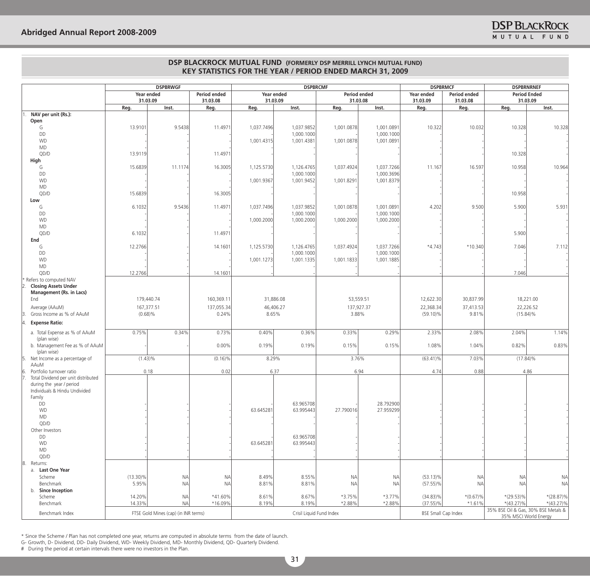|                                       | <b>DSPBRWGF</b> |                                      |                          | <b>DSPBRCMF</b>        |                          |            |                          | <b>DSPBRMCF</b>                                    | <b>DSPBRNRNEF</b> |                                 |                                     |
|---------------------------------------|-----------------|--------------------------------------|--------------------------|------------------------|--------------------------|------------|--------------------------|----------------------------------------------------|-------------------|---------------------------------|-------------------------------------|
|                                       |                 | Year ended<br>31.03.09               | Period ended<br>31.03.08 | Year ended<br>31.03.09 |                          |            | Period ended<br>31.03.08 | Period ended<br>Year ended<br>31.03.09<br>31.03.08 |                   | <b>Period Ended</b><br>31.03.09 |                                     |
|                                       | Reg.            | Inst.                                | Reg.                     | Reg.                   | Inst.                    | Reg.       | Inst.                    | Reg.                                               | Reg.              | Reg.                            | Inst.                               |
| NAV per unit (Rs.):                   |                 |                                      |                          |                        |                          |            |                          |                                                    |                   |                                 |                                     |
| Open                                  |                 |                                      |                          |                        |                          |            |                          |                                                    |                   |                                 |                                     |
| G                                     | 13.9101         | 9.5438                               | 11.4971                  | 1,037.7496             | 1,037.9852<br>1,000.1000 | 1,001.0878 | 1,001.0891<br>1,000.1000 | 10.322                                             | 10.032            | 10.328                          | 10.328                              |
| DD<br><b>WD</b>                       |                 |                                      |                          | 1,001.4315             | 1,001.4381               | 1,001.0878 | 1,001.0891               |                                                    |                   |                                 |                                     |
| <b>MD</b>                             |                 |                                      |                          |                        |                          |            |                          |                                                    |                   |                                 |                                     |
| QD/D                                  | 13.9119         |                                      | 11.4971                  |                        |                          |            |                          |                                                    |                   | 10.328                          |                                     |
| High                                  |                 |                                      |                          |                        |                          |            |                          |                                                    |                   |                                 |                                     |
| G                                     | 15.6839         | 11.1174                              | 16.3005                  | 1,125.5730             | 1,126.4765               | 1,037.4924 | 1,037.7266               | 11.167                                             | 16.597            | 10.958                          | 10.964                              |
| DD                                    |                 |                                      |                          |                        | 1,000.1000               |            | 1,000.3696               |                                                    |                   |                                 |                                     |
| <b>WD</b>                             |                 |                                      |                          | 1,001.9367             | 1,001.9452               | 1,001.8291 | 1,001.8379               |                                                    |                   |                                 |                                     |
| MD                                    |                 |                                      |                          |                        |                          |            |                          |                                                    |                   |                                 |                                     |
| QD/D                                  | 15.6839         |                                      | 16.3005                  |                        |                          |            |                          |                                                    |                   | 10.958                          |                                     |
| Low<br>G                              | 6.1032          | 9.5436                               | 11.4971                  | 1,037.7496             | 1,037.9852               | 1,001.0878 | 1,001.0891               | 4.202                                              | 9.500             | 5.900                           | 5.931                               |
| DD                                    |                 |                                      |                          |                        | 1,000.1000               |            | 1,000.1000               |                                                    |                   |                                 |                                     |
| WD                                    |                 |                                      |                          | 1,000.2000             | 1,000.2000               | 1,000.2000 | 1,000.2000               |                                                    |                   |                                 |                                     |
| $\mathsf{MD}$                         |                 |                                      |                          |                        |                          |            |                          |                                                    |                   |                                 |                                     |
| QD/D                                  | 6.1032          |                                      | 11.4971                  |                        |                          |            |                          |                                                    |                   | 5.900                           |                                     |
| End                                   |                 |                                      |                          |                        |                          |            |                          |                                                    |                   |                                 |                                     |
| G                                     | 12.2766         |                                      | 14.1601                  | 1,125.5730             | 1,126.4765               | 1,037.4924 | 1,037.7266               | $*4.743$                                           | *10.340           | 7.046                           | 7.112                               |
| DD                                    |                 |                                      |                          |                        | 1,000.1000               |            | 1,000.1000               |                                                    |                   |                                 |                                     |
| <b>WD</b>                             |                 |                                      |                          | 1,001.1273             | 1,001.1335               | 1,001.1833 | 1,001.1885               |                                                    |                   |                                 |                                     |
| MD<br>QD/D                            | 12.2766         |                                      | 14.1601                  |                        |                          |            |                          |                                                    |                   | 7.046                           |                                     |
| * Refers to computed NAV              |                 |                                      |                          |                        |                          |            |                          |                                                    |                   |                                 |                                     |
| <b>Closing Assets Under</b>           |                 |                                      |                          |                        |                          |            |                          |                                                    |                   |                                 |                                     |
| Management (Rs. in Lacs)              |                 |                                      |                          |                        |                          |            |                          |                                                    |                   |                                 |                                     |
| End                                   |                 | 179,440.74                           | 160,369.11               |                        | 31,886.08                |            | 53,559.51                | 12,622.30                                          | 30,837.99         |                                 | 18,221.00                           |
| Average (AAuM)                        |                 | 167,377.51                           | 137,055.34               |                        | 46,406.27                |            | 137,927.37               | 22,368.34                                          | 37,413.53         |                                 | 22,226.52                           |
| Gross Income as % of AAuM             |                 | $(0.68)\%$                           | 0.24%                    | 8.65%                  |                          |            | 3.88%                    | $(59.10)\%$                                        | 9.81%             | $(15.84)\%$                     |                                     |
| <b>Expense Ratio:</b>                 |                 |                                      |                          |                        |                          |            |                          |                                                    |                   |                                 |                                     |
| a. Total Expense as % of AAuM         | 0.75%           | 0.34%                                | 0.73%                    | 0.40%                  | 0.36%                    | 0.33%      | 0.29%                    | 2.33%                                              | 2.08%             | 2.04%                           | 1.14%                               |
| (plan wise)                           |                 |                                      |                          |                        |                          |            |                          |                                                    |                   |                                 |                                     |
| b. Management Fee as % of AAuM        |                 |                                      | 0.00%                    | 0.19%                  | 0.19%                    | 0.15%      | 0.15%                    | 1.08%                                              | 1.04%             | 0.82%                           | 0.83%                               |
| (plan wise)                           |                 |                                      |                          |                        |                          |            |                          |                                                    |                   |                                 |                                     |
| Net Income as a percentage of<br>AAuM | $(1.43)\%$      |                                      | $(0.16)\%$               | 8.29%                  |                          |            | 3.76%                    | $(63.41)\%$                                        | 7.03%             | $(17.84)\%$                     |                                     |
| Portfolio turnover ratio              |                 | 0.18                                 | 0.02                     |                        | 6.37                     |            | 6.94                     | 4.74                                               | 0.88              |                                 | 4.86                                |
| Total Dividend per unit distributed   |                 |                                      |                          |                        |                          |            |                          |                                                    |                   |                                 |                                     |
| during the year / period              |                 |                                      |                          |                        |                          |            |                          |                                                    |                   |                                 |                                     |
| Individuals & Hindu Undivided         |                 |                                      |                          |                        |                          |            |                          |                                                    |                   |                                 |                                     |
| Family                                |                 |                                      |                          |                        |                          |            |                          |                                                    |                   |                                 |                                     |
| DD                                    |                 |                                      |                          |                        | 63.965708                |            | 28.792900                |                                                    |                   |                                 |                                     |
| WD                                    |                 |                                      |                          | 63.645281              | 63.995443                | 27.790016  | 27.959299                |                                                    |                   |                                 |                                     |
| MD<br>QD/D                            |                 |                                      |                          |                        |                          |            |                          |                                                    |                   |                                 |                                     |
| Other Investors                       |                 |                                      |                          |                        |                          |            |                          |                                                    |                   |                                 |                                     |
| DD                                    |                 |                                      |                          |                        | 63.965708                |            |                          |                                                    |                   |                                 |                                     |
| <b>WD</b>                             |                 |                                      |                          | 63.645281              | 63.995443                |            |                          |                                                    |                   |                                 |                                     |
| MD                                    |                 |                                      |                          |                        |                          |            |                          |                                                    |                   |                                 |                                     |
| QD/D                                  |                 |                                      |                          |                        |                          |            |                          |                                                    |                   |                                 |                                     |
| 8. Returns:                           |                 |                                      |                          |                        |                          |            |                          |                                                    |                   |                                 |                                     |
| a. Last One Year                      |                 |                                      |                          |                        |                          |            |                          |                                                    |                   |                                 |                                     |
| Scheme                                | $(13.30)\%$     | <b>NA</b>                            | <b>NA</b>                | 8.49%                  | 8.55%                    | <b>NA</b>  | <b>NA</b>                | $(53.13)\%$                                        | <b>NA</b>         | <b>NA</b>                       | <b>NA</b>                           |
| Benchmark                             | 5.95%           | <b>NA</b>                            | <b>NA</b>                | 8.81%                  | 8.81%                    | <b>NA</b>  | NA                       | $(57.55)\%$                                        | <b>NA</b>         | <b>NA</b>                       | <b>NA</b>                           |
| b. Since Inception<br>Scheme          | 14.20%          | <b>NA</b>                            | *41.60%                  | 8.61%                  | 8.67%                    | *3.75%     | $*3.77\%$                | $(34.83)\%$                                        | $*(0.67)\%$       | $*(29.53)\%$                    | $*(28.87)\%$                        |
| Benchmark                             | 14.33%          | <b>NA</b>                            | *16.09%                  | 8.19%                  | 8.19%                    | *2.88%     | *2.88%                   | $(37.55)\%$                                        | $*1.61%$          | $*(43.27)\%$                    | $*(43.27)\%$                        |
|                                       |                 |                                      |                          |                        |                          |            |                          |                                                    |                   |                                 | 35% BSE Oil & Gas, 30% BSE Metals & |
| Benchmark Index                       |                 | FTSE Gold Mines (cap) (in INR terms) |                          |                        | Crisil Liquid Fund Index |            |                          | <b>BSE Small Cap Index</b>                         |                   | 35% MSCI World Energy           |                                     |

\* Since the Scheme / Plan has not completed one year, returns are computed in absolute terms from the date of launch.

g- growth, D- Dividend, DD- Daily Dividend, wD- weekly Dividend, MD- Monthly Dividend, QD- Quarterly Dividend.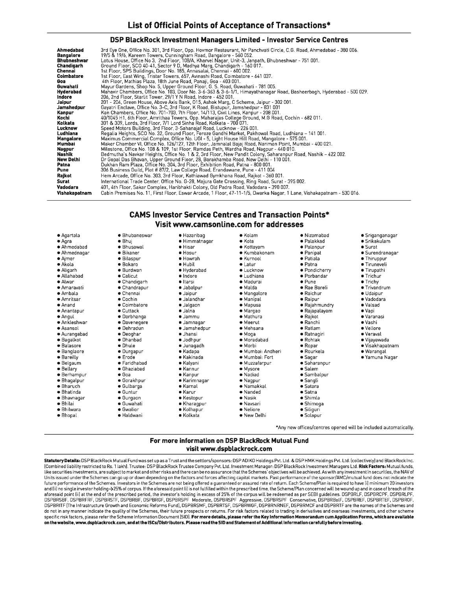#### DSP BlackRock Investment Managers Limited - Investor Service Centres

| Ahmedabad     | 3rd Eye One, Office No. 301, 3rd Floor, Opp. Hovmor Restaurant, Nr Panchvati Circle, C.G. Road, Ahmedabad - 380 006. |
|---------------|----------------------------------------------------------------------------------------------------------------------|
| Bangalore     | 19/5 & 19/6, Kareem Towers, Cunningham Road, Bangalore - 560 052.                                                    |
| Bhubneshwar   | Lotus House, Office No 3, 2nd Floor, 108/A, Kharvel Nagar, Unit-3, Janpath, Bhubneshwar - 751 001.                   |
| Chandigarh    | Ground Floor, SCO 40-41, Sector 9 D, Madhya Marg, Chandigarh - 160 017.                                              |
| Chennai       | 1st Floor, SPS Buildings, Door No. 185, Annasalai, Chennai - 600 002.                                                |
| Coimbatore    | 1st Floor, East Wing, Tristar Towers, 657, Avinashi Road, Coimbatore - 641 037.                                      |
| Goa           | 4th Floor, Mathias Plaza, 18th June Road, Panaji, Goa - 403 001.                                                     |
| Guwahati      | Mayur Gardens, Shop No. 5, Upper Ground Floor, G. S. Road, Guwahati - 781 005.                                       |
| Hyderabad     | Mahavir Chambers, Office No. 103, Door No. 3-6-363 & 3-6-1/1. Himayathanagar Road, Basheerbagh, Hyderabad - 500 029. |
| Indore        | 206, 2nd Floor, Starlit Tower, 29/1 Y N Road, Indore - 452 001.                                                      |
| Jaipur        | 201 - 204, Green House, Above Axis Bank, 015, Ashok Marg, C Scheme, Jaipur - 302 001.                                |
| Jamshedpur    | Gayatri Enclave, Office No. 3-C, 3rd Floor, K Road, Bistupur, Jamshedpur - 831 001                                   |
| Kanpur        | Kan Chambers, Office No. 701-703, 7th Floor, 14/113, Civil Lines, Kanpur - 208 001.                                  |
| Kochi         | .40/1045 H1, 6th Floor, Amrithaa Towers, Opp. Maharajas College Ground, M.G Road, Cochin - 682 011                   |
| Kolkata       | 301 & 309, Lords, 3rd Floor, 7/1 Lord Sinha Road, Kolkata - 700 071.                                                 |
| Lucknow       | Speed Motors Building, 3rd Floor, 3-Sahanajaf Road, Lucknow - 226 001.                                               |
| Ludhiana      | Regalia Heights, SCO No. 32, Ground Floor, Feroze Gandhi Market, Pakhowal Road, Ludhiana - 141 001.                  |
| Mangalore     | Maximus Commercial Complex, Office No. UGI - 5, Light House Hill Road, Mangalore - 575 001.                          |
| Mumbai        | Maker Chamber VI, Office No. 126/127, 12th Floor, Jamnalal Bajaj Road, Nariman Point, Mumbai - 400 021.              |
| Nagpur        | Milestone, Office No. 108 & 109, 1st Floor, Ramdas Peth, Wardha Road, Nagpur - 440 010.                              |
| Nashik        | Bedmutha's Navkar Heights, Office No. 1 & 2, 3rd Floor, New Pandit Colony, Saharanpur Road, Nashik - 422 002.        |
| New Delhi     | Dr Gopal Das Bhavan, Upper Ground Floor, 28, Barakhamba Road, New Delhi - 110 001.                                   |
| Patna         | Dukhan Ram Plaza, Office No. 304, 3rd Floor, Exhibition Road, Patna - 800 001.                                       |
| Pune          | 306 Business Guild, Plot # 87/2, Law College Road, Erandawane, Pune - 411 004                                        |
| Rajkot        | Hem Arcade, Office No. 303, 3rd Floor, Kathiawad Gymkhana Road, Rajkot - 360 001.                                    |
| Surat         | International Trade Center, Office No. G-28, Majura Gate Crossing, Ring Road, Surat - 395 002.                       |
| Vadodara      | 401, 4th Floor, Sakar Complex, Haribhakti Colony, Old Padra Road, Vadodara - 390 007.                                |
| Vishakapatnam | Cabin Premises No. 11, First Floor, Eswar Arcade, 1 Floor, 47-11-1/5, Dwarka Nagar, 1 Lane, Vishakapatnam - 530 016. |
|               |                                                                                                                      |

## **CAMS Investor Service Centres and Transaction Points\*** Visit www.camsonline.com for addresses

| ● Agartala          | · Bhubaneswar       | · Hazaribag        | • Kolam            | · Nizamabad      | ● Sriganganagar      |
|---------------------|---------------------|--------------------|--------------------|------------------|----------------------|
| ● Aqra              | $\bullet$ Bhuj      | · Himmatnagar      | • Kota             | • Palakkad       | $\bullet$ Srikakulam |
| • Ahmedabad         | · Bhusawal          | · Hisar            | • Kottayam         | • Palanpur       | $\bullet$ Surat      |
| • Ahmednagar        | <b>•</b> Bikaner    | • Hosur            | · Kumbakonam       | ● Panipat        | • Surendranagar      |
| $\bullet$ Ajmer     | · Bilaspur          | • Howrah           | • Kurnool          | · Patiala        | · Thiruppur          |
| · Akola             | · Bokaro            | · Hubil            | • Latur            | · Patna          | · Tiruneveli         |
| ● Aligarh           | · Burdwan           | · Hyderabad        | · Lucknow          | · Pondicherry    | ● Tirupathi          |
| ● Allahabad         | $\bullet$ Calicut   | · Indore           | $\bullet$ Ludhiana | • Porbandar      | $\bullet$ Trichur    |
| ● Alwar             | • Chandigarh        | · Itarsi           | · Madurai          | $\bullet$ Pune   | • Trichy             |
| ● Amaravati         | • Chandrapur        | • Jabalpur         | · Malda            | • Rae Bareli     | • Trivandrum         |
| • Ambala            | $\bullet$ Chennai   | $\bullet$ Jaipur   | • Mangalore        | · Raichur        | · Udaipur            |
| ● Amritsar          | ● Cochin            | · Jalandhar        | • Manipal          | • Raipur         | ● Vadodara           |
| • Anand             | • Coimbatore        | · Jalgaon          | • Mapusa           | · Rajahmundry    | · Valsad             |
| ● Anantapur         | $\bullet$ Cuttack   | ● Jalna            | ● Margao           | • Rajapalayam    | ● Vapi               |
| • Angul             | • Darbhanga         | $\bullet$ Jammu    | · Mathura          | $\bullet$ Rajkot | · Varanasi           |
| ● Ankleshwar        | • Davenegere        | · Jamnagar         | • Meerut           | • Ranchi         | ● Vashi              |
| • Asansol           | • Dehradun          | · Jamshedpur       | • Mehsana          | $\bullet$ Ratlam | • Vellore            |
| ● Aurangabad        | • Deoghar           | • Jhansi           | · Moga             | · Ratnagiri      | • Veraval            |
| ● Bagalkot          | · Dhanbad           | · Jodhpur          | · Moradabad        | · Rohtak         | · Vijayawada         |
| · Balasore          | • Dhule             | · Junagadh         | ● Morbi            | $\bullet$ Ropar  | ● Visakhapatnam      |
| · Banglaore         | $\bullet$ Durgapur  | • Kadapa           | · Mumbai: Andheri  | · Rourkela       | · Warangal           |
| • Bareilly          | · Erode             | • Kakinada         | · Mumbai: Fort     | ● Sagar          | ● Yamuna Naqar       |
| · Belgaum           | • Faridhabad        | • Kalyani          | ● Muzzafarpur      | · Saharanpur     |                      |
| $\bullet$ Bellary   | $\bullet$ Ghaziabad | ● Kannur           | • Mysore           | · Salem          |                      |
| $\bullet$ Berhampur | $\bullet$ Goa       | • Kanpur           | · Nadiad           | · Sambalpur      |                      |
| • Bhagalpur         | ● Gorakhpur         | • Karimnagar       | • Nagpur           | • Sangli         |                      |
| • Bharuch           | ● Gulbarga          | • Karnal           | • Namakkal         | $\bullet$ Satara |                      |
| ● Bhatinda          | $\bullet$ Guntur    | ● Karur            | • Nanded           | $\bullet$ Satna  |                      |
| · Bhavnagar         | ● Gurgaon           | • Kestopur         | · Nasik            | $\bullet$ Shimla |                      |
| · Bhilai            | · Guwahati          | • Kharagpur        | ● Navsari          | · Shimoga        |                      |
| $\bullet$ Bhilwara  | $\bullet$ Gwalior   | $\bullet$ Kolhapur | • Neliore          | • Siliguri       |                      |
| · Bhopal            | · Haldwani          | ● Kolkata          | • New Delhi        | • Solapur        |                      |

## For more information on DSP BlackRock Mutual Fund visit www.dspblackrock.com

Statutory Details: DSP BlackRock Mutual Fund was set up as a Trust and the settlors/sponsors: DSP ADIKO Holdings Pvt. Ltd. & DSP HMK Holdings Pvt. Ltd. (collectively) and BlackRock Inc. (Combined liability restricted to Rs. 1 lakh). Trustee: DSP BlackRock Trustee Company Pvt. Ltd. Investment Manager: DSP BlackRock Investment Managers Ltd. Risk Factors: Mutual funds, like securities investments, are subject to market and other risks and there can be no assurance that the Schemes' objectives will be achieved. As with any investment in securities, the NAV of Units issued under the Schemes can go up or down depending on the factors and forces affecting capital markets. Past performance of the sponsor/AMC/mutual fund does not indicate the future performance of the Schemes. Investors in the Schemes are not being offered a guaranteed or assured rate of return. Each Scheme/Plan is required to have [i] minimum 20 investors and (ii) no single investor holding ->25% of corpus. If the aforesaid point (i) is not fulfilled within the prescribed time, the Scheme/Plan concerned will be wound up and in case of breach of the<br>aforesaid point (ii) at t do not in any manner indicate the quality of the Schemes, their future prospects or returns. For risk factors related to trading in derivatives and overseas investments, and other scheme specific risk factors, please refer the Scheme Information Document (SID). For more details, please refer the Key Information Memorandum cum Application Forms, which are available on the website, www.dspblackrock.com, and at the ISCs/Distributors. Please read the SID and Statement of Additional Information carefully before investing.